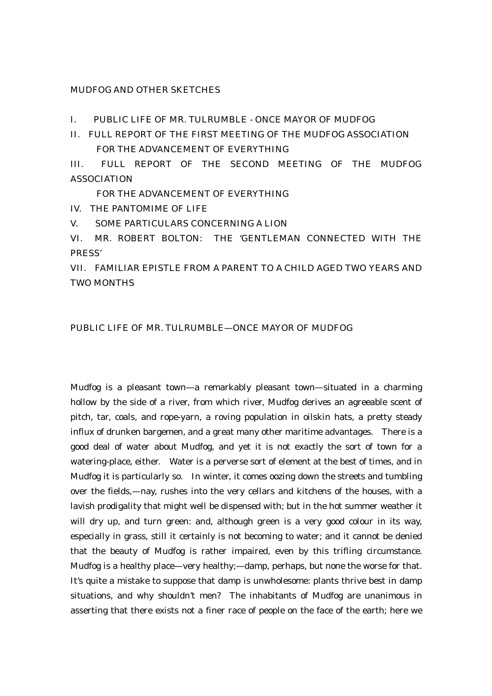MUDFOG AND OTHER SKETCHES

I. PUBLIC LIFE OF MR. TULRUMBLE - ONCE MAYOR OF MUDFOG

II. FULL REPORT OF THE FIRST MEETING OF THE MUDFOG ASSOCIATION FOR THE ADVANCEMENT OF EVERYTHING

III. FULL REPORT OF THE SECOND MEETING OF THE MUDFOG ASSOCIATION

FOR THE ADVANCEMENT OF EVERYTHING

IV. THE PANTOMIME OF LIFE

V. SOME PARTICULARS CONCERNING A LION

VI. MR. ROBERT BOLTON: THE 'GENTLEMAN CONNECTED WITH THE PRESS'

VII. FAMILIAR EPISTLE FROM A PARENT TO A CHILD AGED TWO YEARS AND TWO MONTHS

#### PUBLIC LIFE OF MR. TULRUMBLE—ONCE MAYOR OF MUDFOG

Mudfog is a pleasant town—a remarkably pleasant town—situated in a charming hollow by the side of a river, from which river, Mudfog derives an agreeable scent of pitch, tar, coals, and rope-yarn, a roving population in oilskin hats, a pretty steady influx of drunken bargemen, and a great many other maritime advantages. There is a good deal of water about Mudfog, and yet it is not exactly the sort of town for a watering-place, either. Water is a perverse sort of element at the best of times, and in Mudfog it is particularly so. In winter, it comes oozing down the streets and tumbling over the fields,—nay, rushes into the very cellars and kitchens of the houses, with a lavish prodigality that might well be dispensed with; but in the hot summer weather it will dry up, and turn green: and, although green is a very good colour in its way, especially in grass, still it certainly is not becoming to water; and it cannot be denied that the beauty of Mudfog is rather impaired, even by this trifling circumstance. Mudfog is a healthy place—very healthy;—damp, perhaps, but none the worse for that. It's quite a mistake to suppose that damp is unwholesome: plants thrive best in damp situations, and why shouldn't men? The inhabitants of Mudfog are unanimous in asserting that there exists not a finer race of people on the face of the earth; here we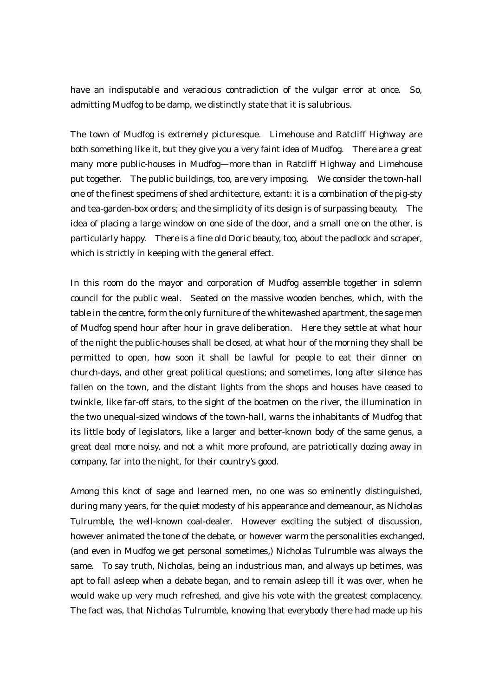have an indisputable and veracious contradiction of the vulgar error at once. So, admitting Mudfog to be damp, we distinctly state that it is salubrious.

The town of Mudfog is extremely picturesque. Limehouse and Ratcliff Highway are both something like it, but they give you a very faint idea of Mudfog. There are a great many more public-houses in Mudfog—more than in Ratcliff Highway and Limehouse put together. The public buildings, too, are very imposing. We consider the town-hall one of the finest specimens of shed architecture, extant: it is a combination of the pig-sty and tea-garden-box orders; and the simplicity of its design is of surpassing beauty. The idea of placing a large window on one side of the door, and a small one on the other, is particularly happy. There is a fine old Doric beauty, too, about the padlock and scraper, which is strictly in keeping with the general effect.

In this room do the mayor and corporation of Mudfog assemble together in solemn council for the public weal. Seated on the massive wooden benches, which, with the table in the centre, form the only furniture of the whitewashed apartment, the sage men of Mudfog spend hour after hour in grave deliberation. Here they settle at what hour of the night the public-houses shall be closed, at what hour of the morning they shall be permitted to open, how soon it shall be lawful for people to eat their dinner on church-days, and other great political questions; and sometimes, long after silence has fallen on the town, and the distant lights from the shops and houses have ceased to twinkle, like far-off stars, to the sight of the boatmen on the river, the illumination in the two unequal-sized windows of the town-hall, warns the inhabitants of Mudfog that its little body of legislators, like a larger and better-known body of the same genus, a great deal more noisy, and not a whit more profound, are patriotically dozing away in company, far into the night, for their country's good.

Among this knot of sage and learned men, no one was so eminently distinguished, during many years, for the quiet modesty of his appearance and demeanour, as Nicholas Tulrumble, the well-known coal-dealer. However exciting the subject of discussion, however animated the tone of the debate, or however warm the personalities exchanged, (and even in Mudfog we get personal sometimes,) Nicholas Tulrumble was always the same. To say truth, Nicholas, being an industrious man, and always up betimes, was apt to fall asleep when a debate began, and to remain asleep till it was over, when he would wake up very much refreshed, and give his vote with the greatest complacency. The fact was, that Nicholas Tulrumble, knowing that everybody there had made up his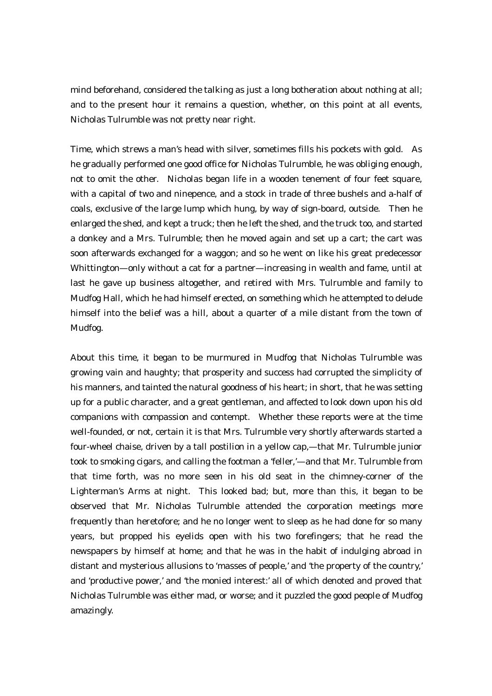mind beforehand, considered the talking as just a long botheration about nothing at all; and to the present hour it remains a question, whether, on this point at all events, Nicholas Tulrumble was not pretty near right.

Time, which strews a man's head with silver, sometimes fills his pockets with gold. As he gradually performed one good office for Nicholas Tulrumble, he was obliging enough, not to omit the other. Nicholas began life in a wooden tenement of four feet square, with a capital of two and ninepence, and a stock in trade of three bushels and a-half of coals, exclusive of the large lump which hung, by way of sign-board, outside. Then he enlarged the shed, and kept a truck; then he left the shed, and the truck too, and started a donkey and a Mrs. Tulrumble; then he moved again and set up a cart; the cart was soon afterwards exchanged for a waggon; and so he went on like his great predecessor Whittington—only without a cat for a partner—increasing in wealth and fame, until at last he gave up business altogether, and retired with Mrs. Tulrumble and family to Mudfog Hall, which he had himself erected, on something which he attempted to delude himself into the belief was a hill, about a quarter of a mile distant from the town of Mudfog.

About this time, it began to be murmured in Mudfog that Nicholas Tulrumble was growing vain and haughty; that prosperity and success had corrupted the simplicity of his manners, and tainted the natural goodness of his heart; in short, that he was setting up for a public character, and a great gentleman, and affected to look down upon his old companions with compassion and contempt. Whether these reports were at the time well-founded, or not, certain it is that Mrs. Tulrumble very shortly afterwards started a four-wheel chaise, driven by a tall postilion in a yellow cap,—that Mr. Tulrumble junior took to smoking cigars, and calling the footman a 'feller,'—and that Mr. Tulrumble from that time forth, was no more seen in his old seat in the chimney-corner of the Lighterman's Arms at night. This looked bad; but, more than this, it began to be observed that Mr. Nicholas Tulrumble attended the corporation meetings more frequently than heretofore; and he no longer went to sleep as he had done for so many years, but propped his eyelids open with his two forefingers; that he read the newspapers by himself at home; and that he was in the habit of indulging abroad in distant and mysterious allusions to 'masses of people,' and 'the property of the country,' and 'productive power,' and 'the monied interest:' all of which denoted and proved that Nicholas Tulrumble was either mad, or worse; and it puzzled the good people of Mudfog amazingly.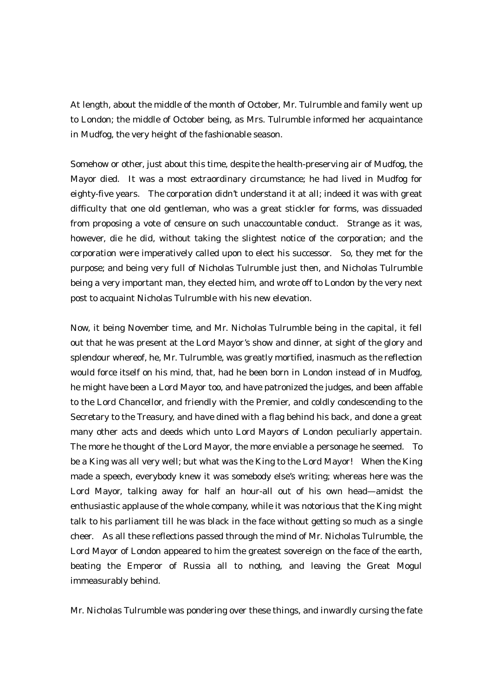At length, about the middle of the month of October, Mr. Tulrumble and family went up to London; the middle of October being, as Mrs. Tulrumble informed her acquaintance in Mudfog, the very height of the fashionable season.

Somehow or other, just about this time, despite the health-preserving air of Mudfog, the Mayor died. It was a most extraordinary circumstance; he had lived in Mudfog for eighty-five years. The corporation didn't understand it at all; indeed it was with great difficulty that one old gentleman, who was a great stickler for forms, was dissuaded from proposing a vote of censure on such unaccountable conduct. Strange as it was, however, die he did, without taking the slightest notice of the corporation; and the corporation were imperatively called upon to elect his successor. So, they met for the purpose; and being very full of Nicholas Tulrumble just then, and Nicholas Tulrumble being a very important man, they elected him, and wrote off to London by the very next post to acquaint Nicholas Tulrumble with his new elevation.

Now, it being November time, and Mr. Nicholas Tulrumble being in the capital, it fell out that he was present at the Lord Mayor's show and dinner, at sight of the glory and splendour whereof, he, Mr. Tulrumble, was greatly mortified, inasmuch as the reflection would force itself on his mind, that, had he been born in London instead of in Mudfog, he might have been a Lord Mayor too, and have patronized the judges, and been affable to the Lord Chancellor, and friendly with the Premier, and coldly condescending to the Secretary to the Treasury, and have dined with a flag behind his back, and done a great many other acts and deeds which unto Lord Mayors of London peculiarly appertain. The more he thought of the Lord Mayor, the more enviable a personage he seemed. To be a King was all very well; but what was the King to the Lord Mayor! When the King made a speech, everybody knew it was somebody else's writing; whereas here was the Lord Mayor, talking away for half an hour-all out of his own head—amidst the enthusiastic applause of the whole company, while it was notorious that the King might talk to his parliament till he was black in the face without getting so much as a single cheer. As all these reflections passed through the mind of Mr. Nicholas Tulrumble, the Lord Mayor of London appeared to him the greatest sovereign on the face of the earth, beating the Emperor of Russia all to nothing, and leaving the Great Mogul immeasurably behind.

Mr. Nicholas Tulrumble was pondering over these things, and inwardly cursing the fate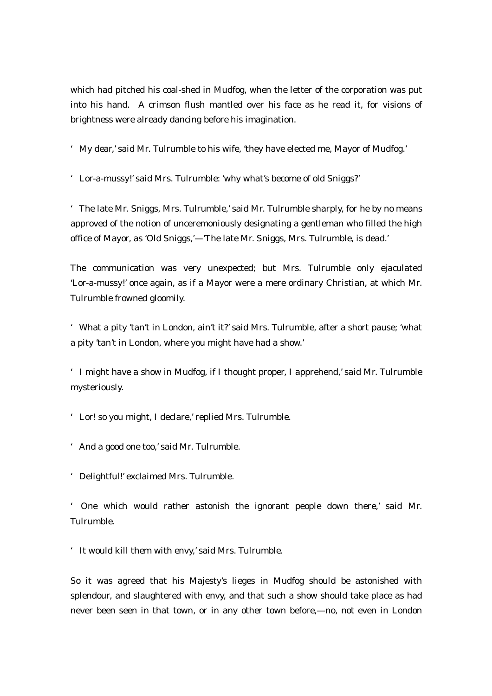which had pitched his coal-shed in Mudfog, when the letter of the corporation was put into his hand. A crimson flush mantled over his face as he read it, for visions of brightness were already dancing before his imagination.

'My dear,' said Mr. Tulrumble to his wife, 'they have elected me, Mayor of Mudfog.'

'Lor-a-mussy!' said Mrs. Tulrumble: 'why what's become of old Sniggs?'

'The late Mr. Sniggs, Mrs. Tulrumble,' said Mr. Tulrumble sharply, for he by no means approved of the notion of unceremoniously designating a gentleman who filled the high office of Mayor, as 'Old Sniggs,'—'The late Mr. Sniggs, Mrs. Tulrumble, is dead.'

The communication was very unexpected; but Mrs. Tulrumble only ejaculated 'Lor-a-mussy!' once again, as if a Mayor were a mere ordinary Christian, at which Mr. Tulrumble frowned gloomily.

'What a pity 'tan't in London, ain't it?' said Mrs. Tulrumble, after a short pause; 'what a pity 'tan't in London, where you might have had a show.'

'I might have a show in Mudfog, if I thought proper, I apprehend,' said Mr. Tulrumble mysteriously.

'Lor! so you might, I declare,' replied Mrs. Tulrumble.

'And a good one too,' said Mr. Tulrumble.

'Delightful!' exclaimed Mrs. Tulrumble.

' One which would rather astonish the ignorant people down there,' said Mr. Tulrumble.

'It would kill them with envy,' said Mrs. Tulrumble.

So it was agreed that his Majesty's lieges in Mudfog should be astonished with splendour, and slaughtered with envy, and that such a show should take place as had never been seen in that town, or in any other town before,—no, not even in London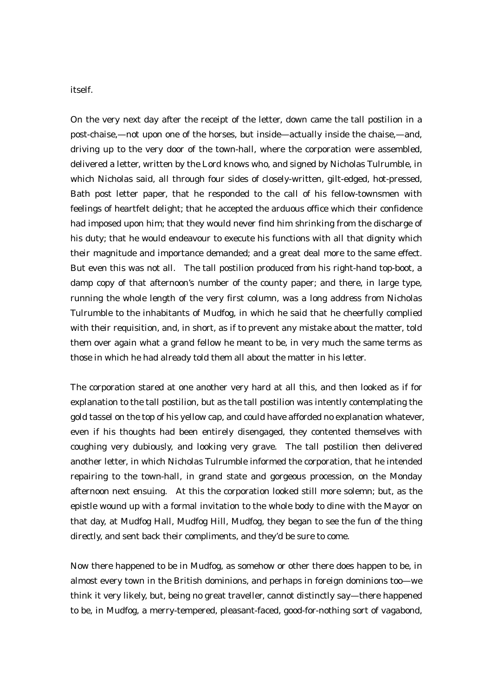#### itself.

On the very next day after the receipt of the letter, down came the tall postilion in a post-chaise,—not upon one of the horses, but inside—actually inside the chaise,—and, driving up to the very door of the town-hall, where the corporation were assembled, delivered a letter, written by the Lord knows who, and signed by Nicholas Tulrumble, in which Nicholas said, all through four sides of closely-written, gilt-edged, hot-pressed, Bath post letter paper, that he responded to the call of his fellow-townsmen with feelings of heartfelt delight; that he accepted the arduous office which their confidence had imposed upon him; that they would never find him shrinking from the discharge of his duty; that he would endeavour to execute his functions with all that dignity which their magnitude and importance demanded; and a great deal more to the same effect. But even this was not all. The tall postilion produced from his right-hand top-boot, a damp copy of that afternoon's number of the county paper; and there, in large type, running the whole length of the very first column, was a long address from Nicholas Tulrumble to the inhabitants of Mudfog, in which he said that he cheerfully complied with their requisition, and, in short, as if to prevent any mistake about the matter, told them over again what a grand fellow he meant to be, in very much the same terms as those in which he had already told them all about the matter in his letter.

The corporation stared at one another very hard at all this, and then looked as if for explanation to the tall postilion, but as the tall postilion was intently contemplating the gold tassel on the top of his yellow cap, and could have afforded no explanation whatever, even if his thoughts had been entirely disengaged, they contented themselves with coughing very dubiously, and looking very grave. The tall postilion then delivered another letter, in which Nicholas Tulrumble informed the corporation, that he intended repairing to the town-hall, in grand state and gorgeous procession, on the Monday afternoon next ensuing. At this the corporation looked still more solemn; but, as the epistle wound up with a formal invitation to the whole body to dine with the Mayor on that day, at Mudfog Hall, Mudfog Hill, Mudfog, they began to see the fun of the thing directly, and sent back their compliments, and they'd be sure to come.

Now there happened to be in Mudfog, as somehow or other there does happen to be, in almost every town in the British dominions, and perhaps in foreign dominions too—we think it very likely, but, being no great traveller, cannot distinctly say—there happened to be, in Mudfog, a merry-tempered, pleasant-faced, good-for-nothing sort of vagabond,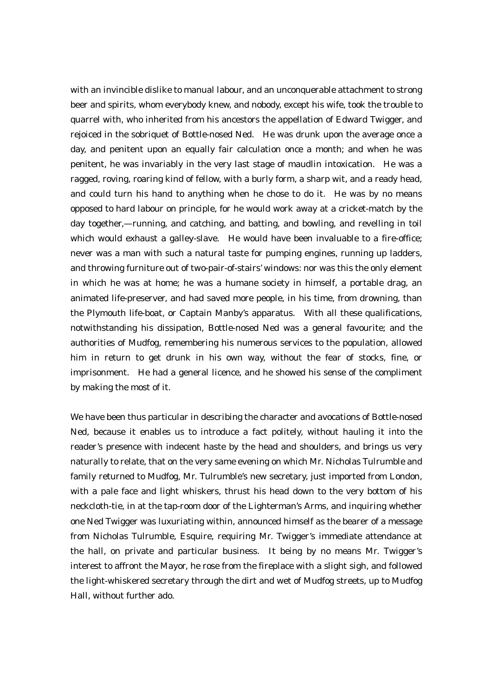with an invincible dislike to manual labour, and an unconquerable attachment to strong beer and spirits, whom everybody knew, and nobody, except his wife, took the trouble to quarrel with, who inherited from his ancestors the appellation of Edward Twigger, and rejoiced in the sobriquet of Bottle-nosed Ned. He was drunk upon the average once a day, and penitent upon an equally fair calculation once a month; and when he was penitent, he was invariably in the very last stage of maudlin intoxication. He was a ragged, roving, roaring kind of fellow, with a burly form, a sharp wit, and a ready head, and could turn his hand to anything when he chose to do it. He was by no means opposed to hard labour on principle, for he would work away at a cricket-match by the day together,—running, and catching, and batting, and bowling, and revelling in toil which would exhaust a galley-slave. He would have been invaluable to a fire-office; never was a man with such a natural taste for pumping engines, running up ladders, and throwing furniture out of two-pair-of-stairs' windows: nor was this the only element in which he was at home; he was a humane society in himself, a portable drag, an animated life-preserver, and had saved more people, in his time, from drowning, than the Plymouth life-boat, or Captain Manby's apparatus. With all these qualifications, notwithstanding his dissipation, Bottle-nosed Ned was a general favourite; and the authorities of Mudfog, remembering his numerous services to the population, allowed him in return to get drunk in his own way, without the fear of stocks, fine, or imprisonment. He had a general licence, and he showed his sense of the compliment by making the most of it.

We have been thus particular in describing the character and avocations of Bottle-nosed Ned, because it enables us to introduce a fact politely, without hauling it into the reader's presence with indecent haste by the head and shoulders, and brings us very naturally to relate, that on the very same evening on which Mr. Nicholas Tulrumble and family returned to Mudfog, Mr. Tulrumble's new secretary, just imported from London, with a pale face and light whiskers, thrust his head down to the very bottom of his neckcloth-tie, in at the tap-room door of the Lighterman's Arms, and inquiring whether one Ned Twigger was luxuriating within, announced himself as the bearer of a message from Nicholas Tulrumble, Esquire, requiring Mr. Twigger's immediate attendance at the hall, on private and particular business. It being by no means Mr. Twigger's interest to affront the Mayor, he rose from the fireplace with a slight sigh, and followed the light-whiskered secretary through the dirt and wet of Mudfog streets, up to Mudfog Hall, without further ado.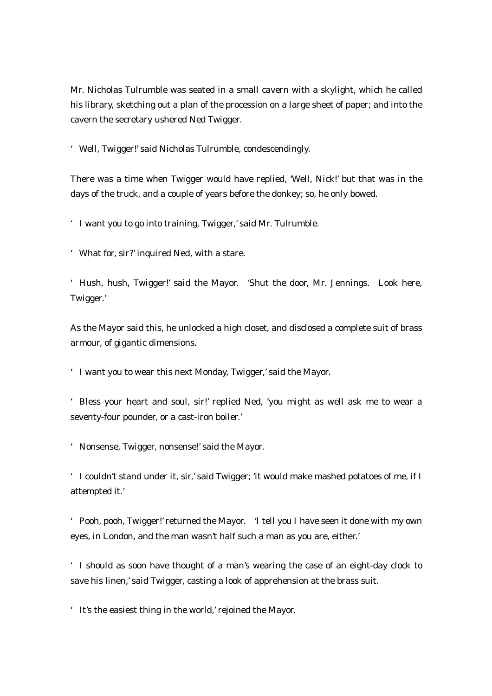Mr. Nicholas Tulrumble was seated in a small cavern with a skylight, which he called his library, sketching out a plan of the procession on a large sheet of paper; and into the cavern the secretary ushered Ned Twigger.

'Well, Twigger!' said Nicholas Tulrumble, condescendingly.

There was a time when Twigger would have replied, 'Well, Nick!' but that was in the days of the truck, and a couple of years before the donkey; so, he only bowed.

'I want you to go into training, Twigger,' said Mr. Tulrumble.

'What for, sir?' inquired Ned, with a stare.

'Hush, hush, Twigger!' said the Mayor. 'Shut the door, Mr. Jennings. Look here, Twigger.'

As the Mayor said this, he unlocked a high closet, and disclosed a complete suit of brass armour, of gigantic dimensions.

'I want you to wear this next Monday, Twigger,' said the Mayor.

'Bless your heart and soul, sir!' replied Ned, 'you might as well ask me to wear a seventy-four pounder, or a cast-iron boiler.'

'Nonsense, Twigger, nonsense!' said the Mayor.

'I couldn't stand under it, sir,' said Twigger; 'it would make mashed potatoes of me, if I attempted it.'

'Pooh, pooh, Twigger!' returned the Mayor. 'I tell you I have seen it done with my own eyes, in London, and the man wasn't half such a man as you are, either.'

'I should as soon have thought of a man's wearing the case of an eight-day clock to save his linen,' said Twigger, casting a look of apprehension at the brass suit.

'It's the easiest thing in the world,' rejoined the Mayor.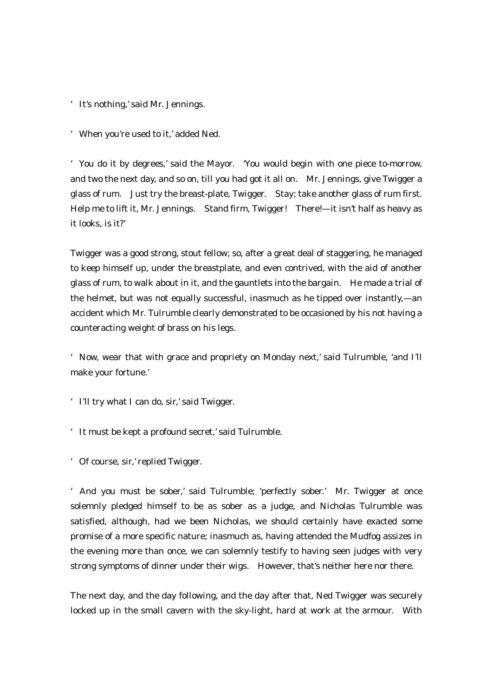- 'It's nothing,' said Mr. Jennings.
- 'When you're used to it,' added Ned.

'You do it by degrees,' said the Mayor. 'You would begin with one piece to-morrow, and two the next day, and so on, till you had got it all on. Mr. Jennings, give Twigger a glass of rum. Just try the breast-plate, Twigger. Stay; take another glass of rum first. Help me to lift it, Mr. Jennings. Stand firm, Twigger! There!—it isn't half as heavy as it looks, is it?'

Twigger was a good strong, stout fellow; so, after a great deal of staggering, he managed to keep himself up, under the breastplate, and even contrived, with the aid of another glass of rum, to walk about in it, and the gauntlets into the bargain. He made a trial of the helmet, but was not equally successful, inasmuch as he tipped over instantly,—an accident which Mr. Tulrumble clearly demonstrated to be occasioned by his not having a counteracting weight of brass on his legs.

'Now, wear that with grace and propriety on Monday next,' said Tulrumble, 'and I'll make your fortune.'

- 'I'll try what I can do, sir,' said Twigger.
- 'It must be kept a profound secret,' said Tulrumble.
- 'Of course, sir,' replied Twigger.

'And you must be sober,' said Tulrumble; 'perfectly sober.' Mr. Twigger at once solemnly pledged himself to be as sober as a judge, and Nicholas Tulrumble was satisfied, although, had we been Nicholas, we should certainly have exacted some promise of a more specific nature; inasmuch as, having attended the Mudfog assizes in the evening more than once, we can solemnly testify to having seen judges with very strong symptoms of dinner under their wigs. However, that's neither here nor there.

The next day, and the day following, and the day after that, Ned Twigger was securely locked up in the small cavern with the sky-light, hard at work at the armour. With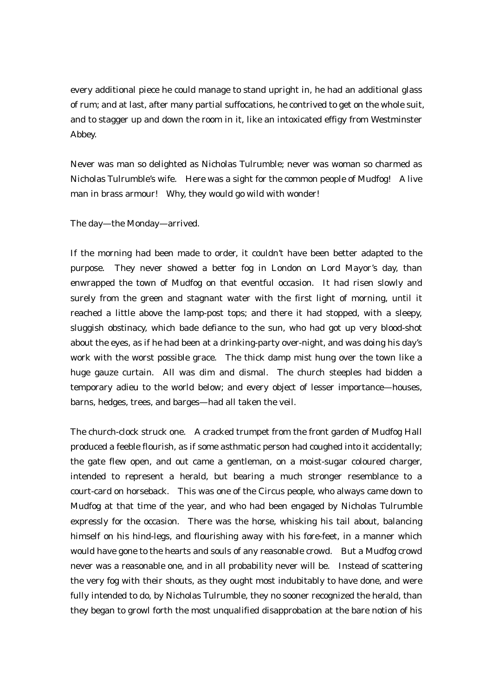every additional piece he could manage to stand upright in, he had an additional glass of rum; and at last, after many partial suffocations, he contrived to get on the whole suit, and to stagger up and down the room in it, like an intoxicated effigy from Westminster Abbey.

Never was man so delighted as Nicholas Tulrumble; never was woman so charmed as Nicholas Tulrumble's wife. Here was a sight for the common people of Mudfog! A live man in brass armour! Why, they would go wild with wonder!

The day—the Monday—arrived.

If the morning had been made to order, it couldn't have been better adapted to the purpose. They never showed a better fog in London on Lord Mayor's day, than enwrapped the town of Mudfog on that eventful occasion. It had risen slowly and surely from the green and stagnant water with the first light of morning, until it reached a little above the lamp-post tops; and there it had stopped, with a sleepy, sluggish obstinacy, which bade defiance to the sun, who had got up very blood-shot about the eyes, as if he had been at a drinking-party over-night, and was doing his day's work with the worst possible grace. The thick damp mist hung over the town like a huge gauze curtain. All was dim and dismal. The church steeples had bidden a temporary adieu to the world below; and every object of lesser importance—houses, barns, hedges, trees, and barges—had all taken the veil.

The church-clock struck one. A cracked trumpet from the front garden of Mudfog Hall produced a feeble flourish, as if some asthmatic person had coughed into it accidentally; the gate flew open, and out came a gentleman, on a moist-sugar coloured charger, intended to represent a herald, but bearing a much stronger resemblance to a court-card on horseback. This was one of the Circus people, who always came down to Mudfog at that time of the year, and who had been engaged by Nicholas Tulrumble expressly for the occasion. There was the horse, whisking his tail about, balancing himself on his hind-legs, and flourishing away with his fore-feet, in a manner which would have gone to the hearts and souls of any reasonable crowd. But a Mudfog crowd never was a reasonable one, and in all probability never will be. Instead of scattering the very fog with their shouts, as they ought most indubitably to have done, and were fully intended to do, by Nicholas Tulrumble, they no sooner recognized the herald, than they began to growl forth the most unqualified disapprobation at the bare notion of his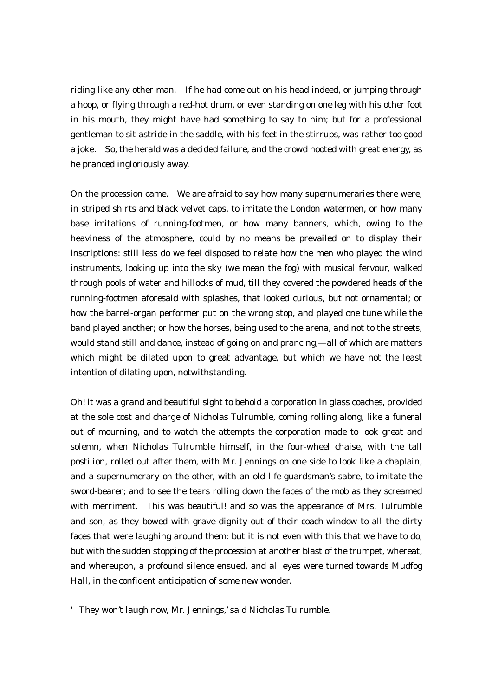riding like any other man. If he had come out on his head indeed, or jumping through a hoop, or flying through a red-hot drum, or even standing on one leg with his other foot in his mouth, they might have had something to say to him; but for a professional gentleman to sit astride in the saddle, with his feet in the stirrups, was rather too good a joke. So, the herald was a decided failure, and the crowd hooted with great energy, as he pranced ingloriously away.

On the procession came. We are afraid to say how many supernumeraries there were, in striped shirts and black velvet caps, to imitate the London watermen, or how many base imitations of running-footmen, or how many banners, which, owing to the heaviness of the atmosphere, could by no means be prevailed on to display their inscriptions: still less do we feel disposed to relate how the men who played the wind instruments, looking up into the sky (we mean the fog) with musical fervour, walked through pools of water and hillocks of mud, till they covered the powdered heads of the running-footmen aforesaid with splashes, that looked curious, but not ornamental; or how the barrel-organ performer put on the wrong stop, and played one tune while the band played another; or how the horses, being used to the arena, and not to the streets, would stand still and dance, instead of going on and prancing;—all of which are matters which might be dilated upon to great advantage, but which we have not the least intention of dilating upon, notwithstanding.

Oh! it was a grand and beautiful sight to behold a corporation in glass coaches, provided at the sole cost and charge of Nicholas Tulrumble, coming rolling along, like a funeral out of mourning, and to watch the attempts the corporation made to look great and solemn, when Nicholas Tulrumble himself, in the four-wheel chaise, with the tall postilion, rolled out after them, with Mr. Jennings on one side to look like a chaplain, and a supernumerary on the other, with an old life-guardsman's sabre, to imitate the sword-bearer; and to see the tears rolling down the faces of the mob as they screamed with merriment. This was beautiful! and so was the appearance of Mrs. Tulrumble and son, as they bowed with grave dignity out of their coach-window to all the dirty faces that were laughing around them: but it is not even with this that we have to do, but with the sudden stopping of the procession at another blast of the trumpet, whereat, and whereupon, a profound silence ensued, and all eyes were turned towards Mudfog Hall, in the confident anticipation of some new wonder.

'They won't laugh now, Mr. Jennings,' said Nicholas Tulrumble.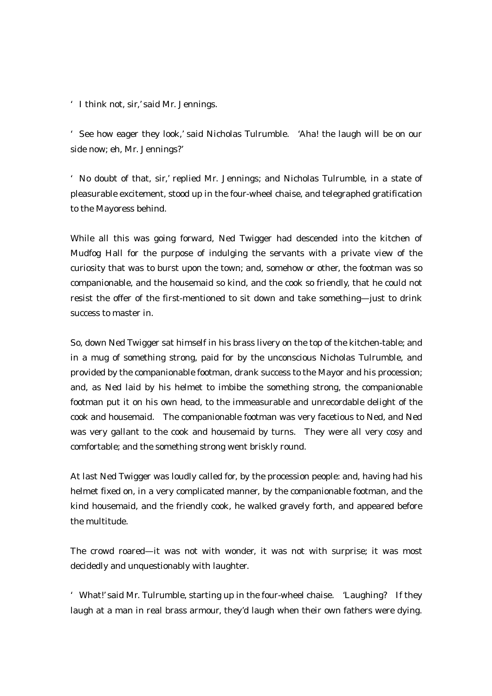'I think not, sir,' said Mr. Jennings.

'See how eager they look,' said Nicholas Tulrumble. 'Aha! the laugh will be on our side now; eh, Mr. Jennings?'

'No doubt of that, sir,' replied Mr. Jennings; and Nicholas Tulrumble, in a state of pleasurable excitement, stood up in the four-wheel chaise, and telegraphed gratification to the Mayoress behind.

While all this was going forward, Ned Twigger had descended into the kitchen of Mudfog Hall for the purpose of indulging the servants with a private view of the curiosity that was to burst upon the town; and, somehow or other, the footman was so companionable, and the housemaid so kind, and the cook so friendly, that he could not resist the offer of the first-mentioned to sit down and take something—just to drink success to master in.

So, down Ned Twigger sat himself in his brass livery on the top of the kitchen-table; and in a mug of something strong, paid for by the unconscious Nicholas Tulrumble, and provided by the companionable footman, drank success to the Mayor and his procession; and, as Ned laid by his helmet to imbibe the something strong, the companionable footman put it on his own head, to the immeasurable and unrecordable delight of the cook and housemaid. The companionable footman was very facetious to Ned, and Ned was very gallant to the cook and housemaid by turns. They were all very cosy and comfortable; and the something strong went briskly round.

At last Ned Twigger was loudly called for, by the procession people: and, having had his helmet fixed on, in a very complicated manner, by the companionable footman, and the kind housemaid, and the friendly cook, he walked gravely forth, and appeared before the multitude.

The crowd roared—it was not with wonder, it was not with surprise; it was most decidedly and unquestionably with laughter.

'What!' said Mr. Tulrumble, starting up in the four-wheel chaise. 'Laughing? If they laugh at a man in real brass armour, they'd laugh when their own fathers were dying.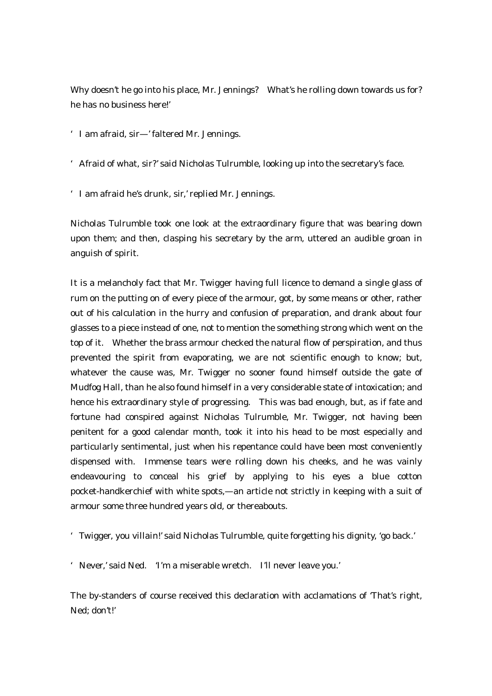Why doesn't he go into his place, Mr. Jennings? What's he rolling down towards us for? he has no business here!'

'I am afraid, sir—' faltered Mr. Jennings.

'Afraid of what, sir?' said Nicholas Tulrumble, looking up into the secretary's face.

'I am afraid he's drunk, sir,' replied Mr. Jennings.

Nicholas Tulrumble took one look at the extraordinary figure that was bearing down upon them; and then, clasping his secretary by the arm, uttered an audible groan in anguish of spirit.

It is a melancholy fact that Mr. Twigger having full licence to demand a single glass of rum on the putting on of every piece of the armour, got, by some means or other, rather out of his calculation in the hurry and confusion of preparation, and drank about four glasses to a piece instead of one, not to mention the something strong which went on the top of it. Whether the brass armour checked the natural flow of perspiration, and thus prevented the spirit from evaporating, we are not scientific enough to know; but, whatever the cause was, Mr. Twigger no sooner found himself outside the gate of Mudfog Hall, than he also found himself in a very considerable state of intoxication; and hence his extraordinary style of progressing. This was bad enough, but, as if fate and fortune had conspired against Nicholas Tulrumble, Mr. Twigger, not having been penitent for a good calendar month, took it into his head to be most especially and particularly sentimental, just when his repentance could have been most conveniently dispensed with. Immense tears were rolling down his cheeks, and he was vainly endeavouring to conceal his grief by applying to his eyes a blue cotton pocket-handkerchief with white spots,—an article not strictly in keeping with a suit of armour some three hundred years old, or thereabouts.

'Twigger, you villain!' said Nicholas Tulrumble, quite forgetting his dignity, 'go back.'

'Never,' said Ned. 'I'm a miserable wretch. I'll never leave you.'

The by-standers of course received this declaration with acclamations of 'That's right, Ned; don't!'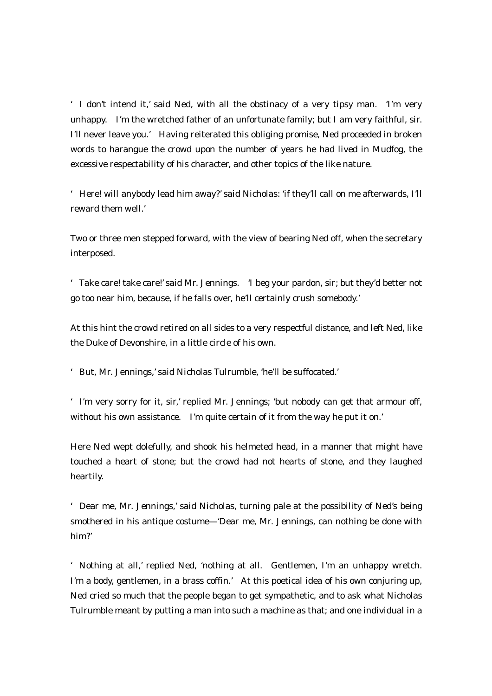'I don't intend it,' said Ned, with all the obstinacy of a very tipsy man. 'I'm very unhappy. I'm the wretched father of an unfortunate family; but I am very faithful, sir. I'll never leave you.' Having reiterated this obliging promise, Ned proceeded in broken words to harangue the crowd upon the number of years he had lived in Mudfog, the excessive respectability of his character, and other topics of the like nature.

'Here! will anybody lead him away?' said Nicholas: 'if they'll call on me afterwards, I'll reward them well.'

Two or three men stepped forward, with the view of bearing Ned off, when the secretary interposed.

'Take care! take care!' said Mr. Jennings. 'I beg your pardon, sir; but they'd better not go too near him, because, if he falls over, he'll certainly crush somebody.'

At this hint the crowd retired on all sides to a very respectful distance, and left Ned, like the Duke of Devonshire, in a little circle of his own.

'But, Mr. Jennings,' said Nicholas Tulrumble, 'he'll be suffocated.'

'I'm very sorry for it, sir,' replied Mr. Jennings; 'but nobody can get that armour off, without his own assistance. I'm quite certain of it from the way he put it on.'

Here Ned wept dolefully, and shook his helmeted head, in a manner that might have touched a heart of stone; but the crowd had not hearts of stone, and they laughed heartily.

'Dear me, Mr. Jennings,' said Nicholas, turning pale at the possibility of Ned's being smothered in his antique costume—'Dear me, Mr. Jennings, can nothing be done with him?'

'Nothing at all,' replied Ned, 'nothing at all. Gentlemen, I'm an unhappy wretch. I'm a body, gentlemen, in a brass coffin.' At this poetical idea of his own conjuring up, Ned cried so much that the people began to get sympathetic, and to ask what Nicholas Tulrumble meant by putting a man into such a machine as that; and one individual in a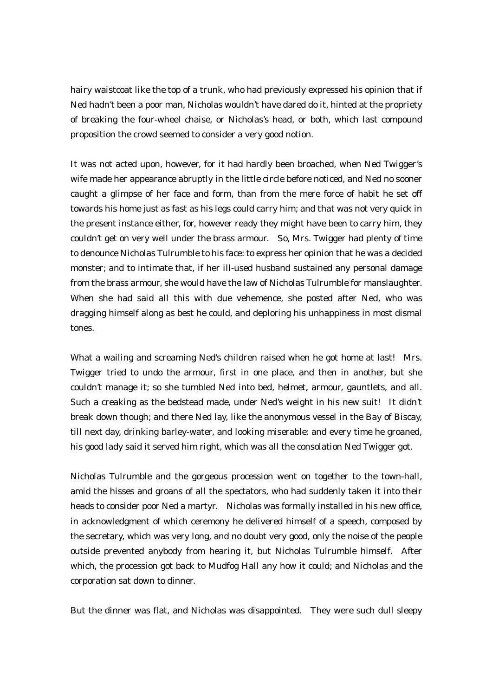hairy waistcoat like the top of a trunk, who had previously expressed his opinion that if Ned hadn't been a poor man, Nicholas wouldn't have dared do it, hinted at the propriety of breaking the four-wheel chaise, or Nicholas's head, or both, which last compound proposition the crowd seemed to consider a very good notion.

It was not acted upon, however, for it had hardly been broached, when Ned Twigger's wife made her appearance abruptly in the little circle before noticed, and Ned no sooner caught a glimpse of her face and form, than from the mere force of habit he set off towards his home just as fast as his legs could carry him; and that was not very quick in the present instance either, for, however ready they might have been to carry him, they couldn't get on very well under the brass armour. So, Mrs. Twigger had plenty of time to denounce Nicholas Tulrumble to his face: to express her opinion that he was a decided monster; and to intimate that, if her ill-used husband sustained any personal damage from the brass armour, she would have the law of Nicholas Tulrumble for manslaughter. When she had said all this with due vehemence, she posted after Ned, who was dragging himself along as best he could, and deploring his unhappiness in most dismal tones.

What a wailing and screaming Ned's children raised when he got home at last! Mrs. Twigger tried to undo the armour, first in one place, and then in another, but she couldn't manage it; so she tumbled Ned into bed, helmet, armour, gauntlets, and all. Such a creaking as the bedstead made, under Ned's weight in his new suit! It didn't break down though; and there Ned lay, like the anonymous vessel in the Bay of Biscay, till next day, drinking barley-water, and looking miserable: and every time he groaned, his good lady said it served him right, which was all the consolation Ned Twigger got.

Nicholas Tulrumble and the gorgeous procession went on together to the town-hall, amid the hisses and groans of all the spectators, who had suddenly taken it into their heads to consider poor Ned a martyr. Nicholas was formally installed in his new office, in acknowledgment of which ceremony he delivered himself of a speech, composed by the secretary, which was very long, and no doubt very good, only the noise of the people outside prevented anybody from hearing it, but Nicholas Tulrumble himself. After which, the procession got back to Mudfog Hall any how it could; and Nicholas and the corporation sat down to dinner.

But the dinner was flat, and Nicholas was disappointed. They were such dull sleepy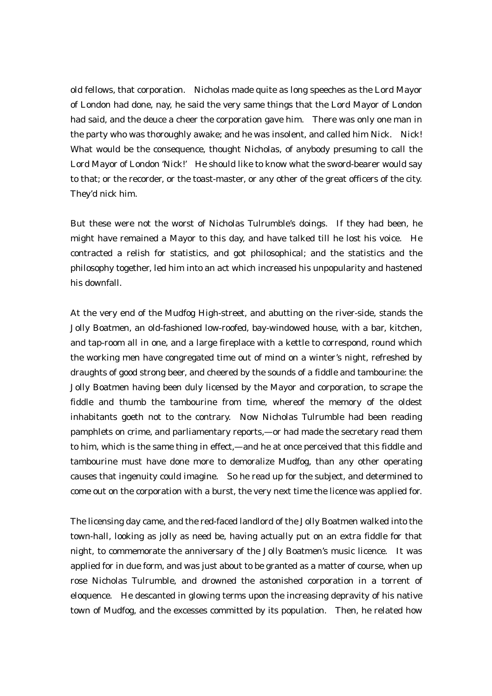old fellows, that corporation. Nicholas made quite as long speeches as the Lord Mayor of London had done, nay, he said the very same things that the Lord Mayor of London had said, and the deuce a cheer the corporation gave him. There was only one man in the party who was thoroughly awake; and he was insolent, and called him Nick. Nick! What would be the consequence, thought Nicholas, of anybody presuming to call the Lord Mayor of London 'Nick!' He should like to know what the sword-bearer would say to that; or the recorder, or the toast-master, or any other of the great officers of the city. They'd nick him.

But these were not the worst of Nicholas Tulrumble's doings. If they had been, he might have remained a Mayor to this day, and have talked till he lost his voice. He contracted a relish for statistics, and got philosophical; and the statistics and the philosophy together, led him into an act which increased his unpopularity and hastened his downfall.

At the very end of the Mudfog High-street, and abutting on the river-side, stands the Jolly Boatmen, an old-fashioned low-roofed, bay-windowed house, with a bar, kitchen, and tap-room all in one, and a large fireplace with a kettle to correspond, round which the working men have congregated time out of mind on a winter's night, refreshed by draughts of good strong beer, and cheered by the sounds of a fiddle and tambourine: the Jolly Boatmen having been duly licensed by the Mayor and corporation, to scrape the fiddle and thumb the tambourine from time, whereof the memory of the oldest inhabitants goeth not to the contrary. Now Nicholas Tulrumble had been reading pamphlets on crime, and parliamentary reports,—or had made the secretary read them to him, which is the same thing in effect,—and he at once perceived that this fiddle and tambourine must have done more to demoralize Mudfog, than any other operating causes that ingenuity could imagine. So he read up for the subject, and determined to come out on the corporation with a burst, the very next time the licence was applied for.

The licensing day came, and the red-faced landlord of the Jolly Boatmen walked into the town-hall, looking as jolly as need be, having actually put on an extra fiddle for that night, to commemorate the anniversary of the Jolly Boatmen's music licence. It was applied for in due form, and was just about to be granted as a matter of course, when up rose Nicholas Tulrumble, and drowned the astonished corporation in a torrent of eloquence. He descanted in glowing terms upon the increasing depravity of his native town of Mudfog, and the excesses committed by its population. Then, he related how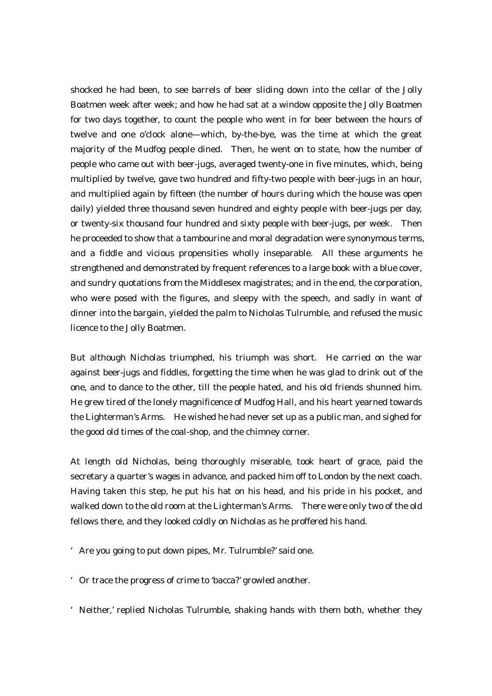shocked he had been, to see barrels of beer sliding down into the cellar of the Jolly Boatmen week after week; and how he had sat at a window opposite the Jolly Boatmen for two days together, to count the people who went in for beer between the hours of twelve and one o'clock alone—which, by-the-bye, was the time at which the great majority of the Mudfog people dined. Then, he went on to state, how the number of people who came out with beer-jugs, averaged twenty-one in five minutes, which, being multiplied by twelve, gave two hundred and fifty-two people with beer-jugs in an hour, and multiplied again by fifteen (the number of hours during which the house was open daily) yielded three thousand seven hundred and eighty people with beer-jugs per day, or twenty-six thousand four hundred and sixty people with beer-jugs, per week. Then he proceeded to show that a tambourine and moral degradation were synonymous terms, and a fiddle and vicious propensities wholly inseparable. All these arguments he strengthened and demonstrated by frequent references to a large book with a blue cover, and sundry quotations from the Middlesex magistrates; and in the end, the corporation, who were posed with the figures, and sleepy with the speech, and sadly in want of dinner into the bargain, yielded the palm to Nicholas Tulrumble, and refused the music licence to the Jolly Boatmen.

But although Nicholas triumphed, his triumph was short. He carried on the war against beer-jugs and fiddles, forgetting the time when he was glad to drink out of the one, and to dance to the other, till the people hated, and his old friends shunned him. He grew tired of the lonely magnificence of Mudfog Hall, and his heart yearned towards the Lighterman's Arms. He wished he had never set up as a public man, and sighed for the good old times of the coal-shop, and the chimney corner.

At length old Nicholas, being thoroughly miserable, took heart of grace, paid the secretary a quarter's wages in advance, and packed him off to London by the next coach. Having taken this step, he put his hat on his head, and his pride in his pocket, and walked down to the old room at the Lighterman's Arms. There were only two of the old fellows there, and they looked coldly on Nicholas as he proffered his hand.

- 'Are you going to put down pipes, Mr. Tulrumble?' said one.
- 'Or trace the progress of crime to 'bacca?' growled another.
- 'Neither,' replied Nicholas Tulrumble, shaking hands with them both, whether they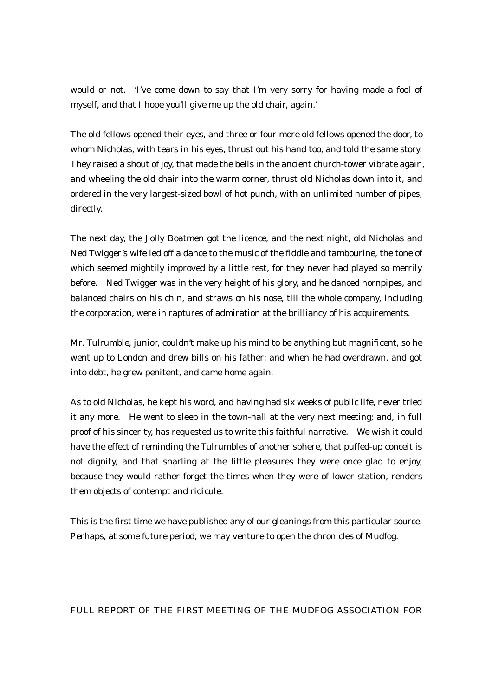would or not. 'I've come down to say that I'm very sorry for having made a fool of myself, and that I hope you'll give me up the old chair, again.'

The old fellows opened their eyes, and three or four more old fellows opened the door, to whom Nicholas, with tears in his eyes, thrust out his hand too, and told the same story. They raised a shout of joy, that made the bells in the ancient church-tower vibrate again, and wheeling the old chair into the warm corner, thrust old Nicholas down into it, and ordered in the very largest-sized bowl of hot punch, with an unlimited number of pipes, directly.

The next day, the Jolly Boatmen got the licence, and the next night, old Nicholas and Ned Twigger's wife led off a dance to the music of the fiddle and tambourine, the tone of which seemed mightily improved by a little rest, for they never had played so merrily before. Ned Twigger was in the very height of his glory, and he danced hornpipes, and balanced chairs on his chin, and straws on his nose, till the whole company, including the corporation, were in raptures of admiration at the brilliancy of his acquirements.

Mr. Tulrumble, junior, couldn't make up his mind to be anything but magnificent, so he went up to London and drew bills on his father; and when he had overdrawn, and got into debt, he grew penitent, and came home again.

As to old Nicholas, he kept his word, and having had six weeks of public life, never tried it any more. He went to sleep in the town-hall at the very next meeting; and, in full proof of his sincerity, has requested us to write this faithful narrative. We wish it could have the effect of reminding the Tulrumbles of another sphere, that puffed-up conceit is not dignity, and that snarling at the little pleasures they were once glad to enjoy, because they would rather forget the times when they were of lower station, renders them objects of contempt and ridicule.

This is the first time we have published any of our gleanings from this particular source. Perhaps, at some future period, we may venture to open the chronicles of Mudfog.

### FULL REPORT OF THE FIRST MEETING OF THE MUDFOG ASSOCIATION FOR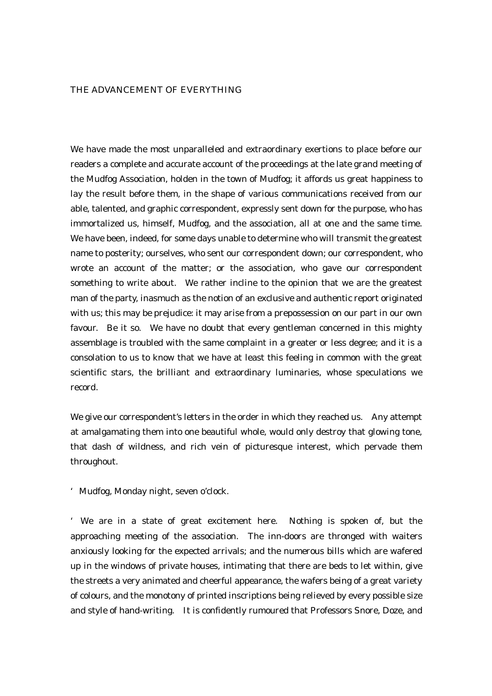#### THE ADVANCEMENT OF EVERYTHING

We have made the most unparalleled and extraordinary exertions to place before our readers a complete and accurate account of the proceedings at the late grand meeting of the Mudfog Association, holden in the town of Mudfog; it affords us great happiness to lay the result before them, in the shape of various communications received from our able, talented, and graphic correspondent, expressly sent down for the purpose, who has immortalized us, himself, Mudfog, and the association, all at one and the same time. We have been, indeed, for some days unable to determine who will transmit the greatest name to posterity; ourselves, who sent our correspondent down; our correspondent, who wrote an account of the matter; or the association, who gave our correspondent something to write about. We rather incline to the opinion that we are the greatest man of the party, inasmuch as the notion of an exclusive and authentic report originated with us; this may be prejudice: it may arise from a prepossession on our part in our own favour. Be it so. We have no doubt that every gentleman concerned in this mighty assemblage is troubled with the same complaint in a greater or less degree; and it is a consolation to us to know that we have at least this feeling in common with the great scientific stars, the brilliant and extraordinary luminaries, whose speculations we record.

We give our correspondent's letters in the order in which they reached us. Any attempt at amalgamating them into one beautiful whole, would only destroy that glowing tone, that dash of wildness, and rich vein of picturesque interest, which pervade them throughout.

'Mudfog, Monday night, seven o'clock.

' We are in a state of great excitement here. Nothing is spoken of, but the approaching meeting of the association. The inn-doors are thronged with waiters anxiously looking for the expected arrivals; and the numerous bills which are wafered up in the windows of private houses, intimating that there are beds to let within, give the streets a very animated and cheerful appearance, the wafers being of a great variety of colours, and the monotony of printed inscriptions being relieved by every possible size and style of hand-writing. It is confidently rumoured that Professors Snore, Doze, and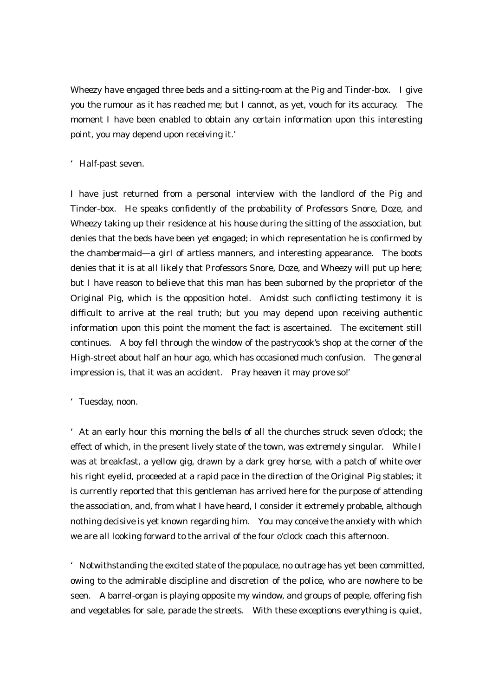Wheezy have engaged three beds and a sitting-room at the Pig and Tinder-box. I give you the rumour as it has reached me; but I cannot, as yet, vouch for its accuracy. The moment I have been enabled to obtain any certain information upon this interesting point, you may depend upon receiving it.'

### 'Half-past seven.

I have just returned from a personal interview with the landlord of the Pig and Tinder-box. He speaks confidently of the probability of Professors Snore, Doze, and Wheezy taking up their residence at his house during the sitting of the association, but denies that the beds have been yet engaged; in which representation he is confirmed by the chambermaid—a girl of artless manners, and interesting appearance. The boots denies that it is at all likely that Professors Snore, Doze, and Wheezy will put up here; but I have reason to believe that this man has been suborned by the proprietor of the Original Pig, which is the opposition hotel. Amidst such conflicting testimony it is difficult to arrive at the real truth; but you may depend upon receiving authentic information upon this point the moment the fact is ascertained. The excitement still continues. A boy fell through the window of the pastrycook's shop at the corner of the High-street about half an hour ago, which has occasioned much confusion. The general impression is, that it was an accident. Pray heaven it may prove so!'

## 'Tuesday, noon.

'At an early hour this morning the bells of all the churches struck seven o'clock; the effect of which, in the present lively state of the town, was extremely singular. While I was at breakfast, a yellow gig, drawn by a dark grey horse, with a patch of white over his right eyelid, proceeded at a rapid pace in the direction of the Original Pig stables; it is currently reported that this gentleman has arrived here for the purpose of attending the association, and, from what I have heard, I consider it extremely probable, although nothing decisive is yet known regarding him. You may conceive the anxiety with which we are all looking forward to the arrival of the four o'clock coach this afternoon.

'Notwithstanding the excited state of the populace, no outrage has yet been committed, owing to the admirable discipline and discretion of the police, who are nowhere to be seen. A barrel-organ is playing opposite my window, and groups of people, offering fish and vegetables for sale, parade the streets. With these exceptions everything is quiet,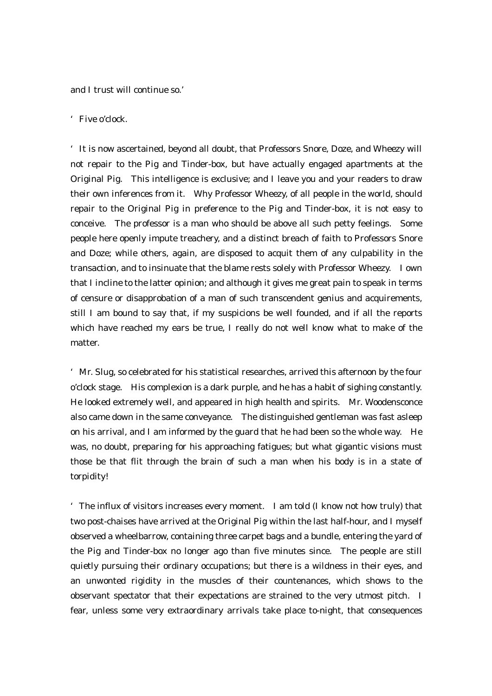and I trust will continue so.'

## 'Five o'clock.

'It is now ascertained, beyond all doubt, that Professors Snore, Doze, and Wheezy will not repair to the Pig and Tinder-box, but have actually engaged apartments at the Original Pig. This intelligence is exclusive; and I leave you and your readers to draw their own inferences from it. Why Professor Wheezy, of all people in the world, should repair to the Original Pig in preference to the Pig and Tinder-box, it is not easy to conceive. The professor is a man who should be above all such petty feelings. Some people here openly impute treachery, and a distinct breach of faith to Professors Snore and Doze; while others, again, are disposed to acquit them of any culpability in the transaction, and to insinuate that the blame rests solely with Professor Wheezy. I own that I incline to the latter opinion; and although it gives me great pain to speak in terms of censure or disapprobation of a man of such transcendent genius and acquirements, still I am bound to say that, if my suspicions be well founded, and if all the reports which have reached my ears be true, I really do not well know what to make of the matter.

'Mr. Slug, so celebrated for his statistical researches, arrived this afternoon by the four o'clock stage. His complexion is a dark purple, and he has a habit of sighing constantly. He looked extremely well, and appeared in high health and spirits. Mr. Woodensconce also came down in the same conveyance. The distinguished gentleman was fast asleep on his arrival, and I am informed by the guard that he had been so the whole way. He was, no doubt, preparing for his approaching fatigues; but what gigantic visions must those be that flit through the brain of such a man when his body is in a state of torpidity!

'The influx of visitors increases every moment. I am told (I know not how truly) that two post-chaises have arrived at the Original Pig within the last half-hour, and I myself observed a wheelbarrow, containing three carpet bags and a bundle, entering the yard of the Pig and Tinder-box no longer ago than five minutes since. The people are still quietly pursuing their ordinary occupations; but there is a wildness in their eyes, and an unwonted rigidity in the muscles of their countenances, which shows to the observant spectator that their expectations are strained to the very utmost pitch. I fear, unless some very extraordinary arrivals take place to-night, that consequences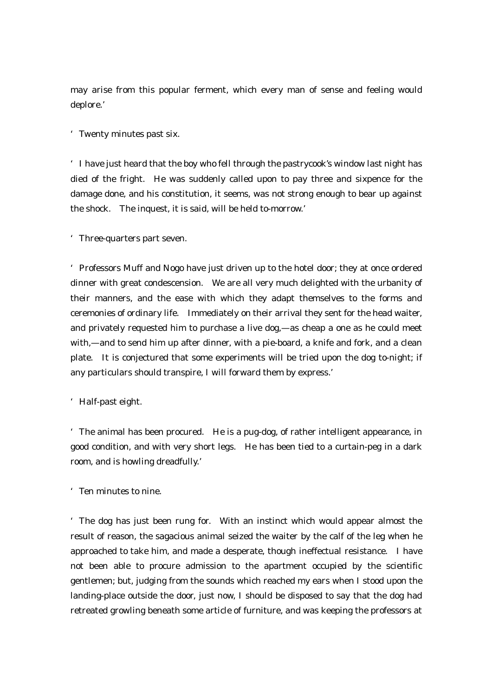may arise from this popular ferment, which every man of sense and feeling would deplore.'

'Twenty minutes past six.

'I have just heard that the boy who fell through the pastrycook's window last night has died of the fright. He was suddenly called upon to pay three and sixpence for the damage done, and his constitution, it seems, was not strong enough to bear up against the shock. The inquest, it is said, will be held to-morrow.'

'Three-quarters part seven.

'Professors Muff and Nogo have just driven up to the hotel door; they at once ordered dinner with great condescension. We are all very much delighted with the urbanity of their manners, and the ease with which they adapt themselves to the forms and ceremonies of ordinary life. Immediately on their arrival they sent for the head waiter, and privately requested him to purchase a live dog,—as cheap a one as he could meet with,—and to send him up after dinner, with a pie-board, a knife and fork, and a clean plate. It is conjectured that some experiments will be tried upon the dog to-night; if any particulars should transpire, I will forward them by express.'

'Half-past eight.

'The animal has been procured. He is a pug-dog, of rather intelligent appearance, in good condition, and with very short legs. He has been tied to a curtain-peg in a dark room, and is howling dreadfully.'

'Ten minutes to nine.

'The dog has just been rung for. With an instinct which would appear almost the result of reason, the sagacious animal seized the waiter by the calf of the leg when he approached to take him, and made a desperate, though ineffectual resistance. I have not been able to procure admission to the apartment occupied by the scientific gentlemen; but, judging from the sounds which reached my ears when I stood upon the landing-place outside the door, just now, I should be disposed to say that the dog had retreated growling beneath some article of furniture, and was keeping the professors at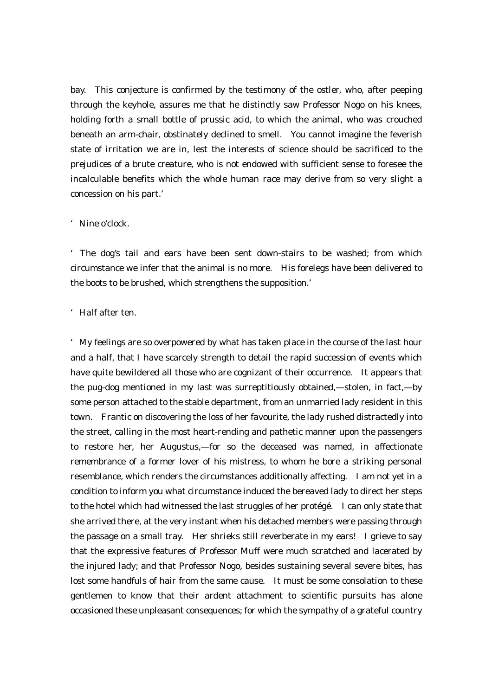bay. This conjecture is confirmed by the testimony of the ostler, who, after peeping through the keyhole, assures me that he distinctly saw Professor Nogo on his knees, holding forth a small bottle of prussic acid, to which the animal, who was crouched beneath an arm-chair, obstinately declined to smell. You cannot imagine the feverish state of irritation we are in, lest the interests of science should be sacrificed to the prejudices of a brute creature, who is not endowed with sufficient sense to foresee the incalculable benefits which the whole human race may derive from so very slight a concession on his part.'

#### 'Nine o'clock.

'The dog's tail and ears have been sent down-stairs to be washed; from which circumstance we infer that the animal is no more. His forelegs have been delivered to the boots to be brushed, which strengthens the supposition.'

## 'Half after ten.

'My feelings are so overpowered by what has taken place in the course of the last hour and a half, that I have scarcely strength to detail the rapid succession of events which have quite bewildered all those who are cognizant of their occurrence. It appears that the pug-dog mentioned in my last was surreptitiously obtained,—stolen, in fact,—by some person attached to the stable department, from an unmarried lady resident in this town. Frantic on discovering the loss of her favourite, the lady rushed distractedly into the street, calling in the most heart-rending and pathetic manner upon the passengers to restore her, her Augustus,—for so the deceased was named, in affectionate remembrance of a former lover of his mistress, to whom he bore a striking personal resemblance, which renders the circumstances additionally affecting. I am not yet in a condition to inform you what circumstance induced the bereaved lady to direct her steps to the hotel which had witnessed the last struggles of her protégé. I can only state that she arrived there, at the very instant when his detached members were passing through the passage on a small tray. Her shrieks still reverberate in my ears! I grieve to say that the expressive features of Professor Muff were much scratched and lacerated by the injured lady; and that Professor Nogo, besides sustaining several severe bites, has lost some handfuls of hair from the same cause. It must be some consolation to these gentlemen to know that their ardent attachment to scientific pursuits has alone occasioned these unpleasant consequences; for which the sympathy of a grateful country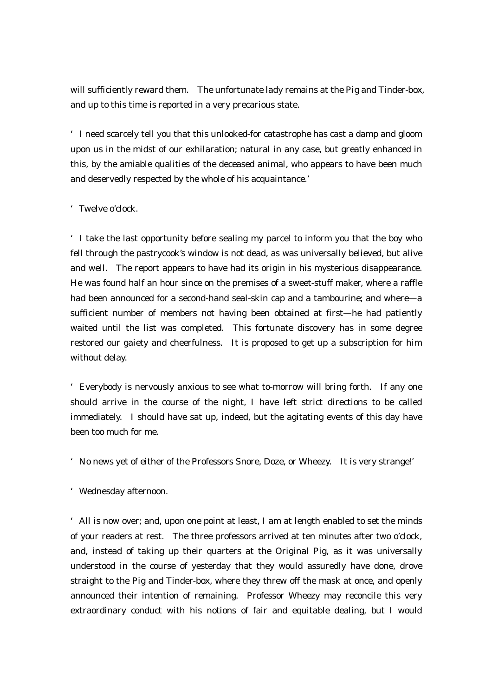will sufficiently reward them. The unfortunate lady remains at the Pig and Tinder-box, and up to this time is reported in a very precarious state.

'I need scarcely tell you that this unlooked-for catastrophe has cast a damp and gloom upon us in the midst of our exhilaration; natural in any case, but greatly enhanced in this, by the amiable qualities of the deceased animal, who appears to have been much and deservedly respected by the whole of his acquaintance.'

## 'Twelve o'clock.

'I take the last opportunity before sealing my parcel to inform you that the boy who fell through the pastrycook's window is not dead, as was universally believed, but alive and well. The report appears to have had its origin in his mysterious disappearance. He was found half an hour since on the premises of a sweet-stuff maker, where a raffle had been announced for a second-hand seal-skin cap and a tambourine; and where—a sufficient number of members not having been obtained at first—he had patiently waited until the list was completed. This fortunate discovery has in some degree restored our gaiety and cheerfulness. It is proposed to get up a subscription for him without delay.

'Everybody is nervously anxious to see what to-morrow will bring forth. If any one should arrive in the course of the night, I have left strict directions to be called immediately. I should have sat up, indeed, but the agitating events of this day have been too much for me.

'No news yet of either of the Professors Snore, Doze, or Wheezy. It is very strange!'

'Wednesday afternoon.

'All is now over; and, upon one point at least, I am at length enabled to set the minds of your readers at rest. The three professors arrived at ten minutes after two o'clock, and, instead of taking up their quarters at the Original Pig, as it was universally understood in the course of yesterday that they would assuredly have done, drove straight to the Pig and Tinder-box, where they threw off the mask at once, and openly announced their intention of remaining. Professor Wheezy may reconcile this very extraordinary conduct with his notions of fair and equitable dealing, but I would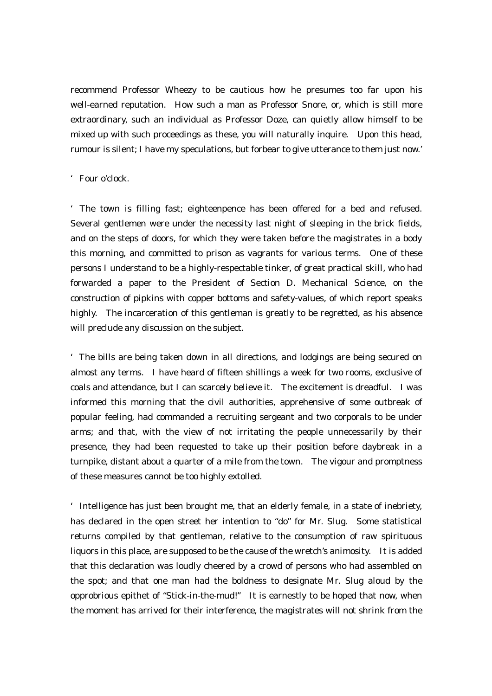recommend Professor Wheezy to be cautious how he presumes too far upon his well-earned reputation. How such a man as Professor Snore, or, which is still more extraordinary, such an individual as Professor Doze, can quietly allow himself to be mixed up with such proceedings as these, you will naturally inquire. Upon this head, rumour is silent; I have my speculations, but forbear to give utterance to them just now.'

### 'Four o'clock.

'The town is filling fast; eighteenpence has been offered for a bed and refused. Several gentlemen were under the necessity last night of sleeping in the brick fields, and on the steps of doors, for which they were taken before the magistrates in a body this morning, and committed to prison as vagrants for various terms. One of these persons I understand to be a highly-respectable tinker, of great practical skill, who had forwarded a paper to the President of Section D. Mechanical Science, on the construction of pipkins with copper bottoms and safety-values, of which report speaks highly. The incarceration of this gentleman is greatly to be regretted, as his absence will preclude any discussion on the subject.

'The bills are being taken down in all directions, and lodgings are being secured on almost any terms. I have heard of fifteen shillings a week for two rooms, exclusive of coals and attendance, but I can scarcely believe it. The excitement is dreadful. I was informed this morning that the civil authorities, apprehensive of some outbreak of popular feeling, had commanded a recruiting sergeant and two corporals to be under arms; and that, with the view of not irritating the people unnecessarily by their presence, they had been requested to take up their position before daybreak in a turnpike, distant about a quarter of a mile from the town. The vigour and promptness of these measures cannot be too highly extolled.

'Intelligence has just been brought me, that an elderly female, in a state of inebriety, has declared in the open street her intention to "do" for Mr. Slug. Some statistical returns compiled by that gentleman, relative to the consumption of raw spirituous liquors in this place, are supposed to be the cause of the wretch's animosity. It is added that this declaration was loudly cheered by a crowd of persons who had assembled on the spot; and that one man had the boldness to designate Mr. Slug aloud by the opprobrious epithet of "Stick-in-the-mud!" It is earnestly to be hoped that now, when the moment has arrived for their interference, the magistrates will not shrink from the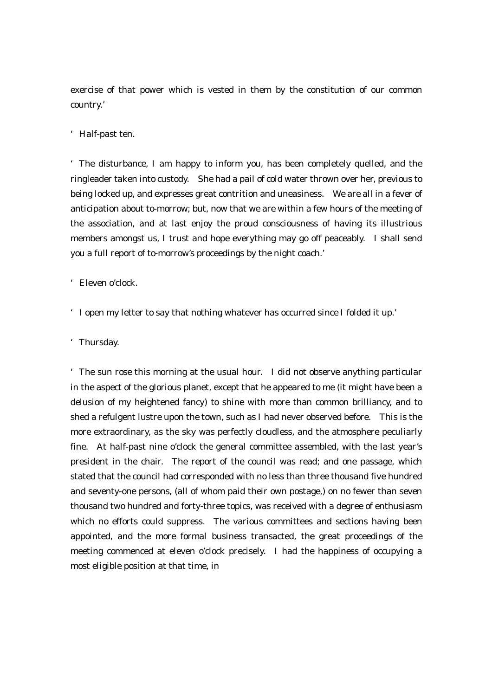exercise of that power which is vested in them by the constitution of our common country.'

## 'Half-past ten.

'The disturbance, I am happy to inform you, has been completely quelled, and the ringleader taken into custody. She had a pail of cold water thrown over her, previous to being locked up, and expresses great contrition and uneasiness. We are all in a fever of anticipation about to-morrow; but, now that we are within a few hours of the meeting of the association, and at last enjoy the proud consciousness of having its illustrious members amongst us, I trust and hope everything may go off peaceably. I shall send you a full report of to-morrow's proceedings by the night coach.'

'Eleven o'clock.

'I open my letter to say that nothing whatever has occurred since I folded it up.'

'Thursday.

'The sun rose this morning at the usual hour. I did not observe anything particular in the aspect of the glorious planet, except that he appeared to me (it might have been a delusion of my heightened fancy) to shine with more than common brilliancy, and to shed a refulgent lustre upon the town, such as I had never observed before. This is the more extraordinary, as the sky was perfectly cloudless, and the atmosphere peculiarly fine. At half-past nine o'clock the general committee assembled, with the last year's president in the chair. The report of the council was read; and one passage, which stated that the council had corresponded with no less than three thousand five hundred and seventy-one persons, (all of whom paid their own postage,) on no fewer than seven thousand two hundred and forty-three topics, was received with a degree of enthusiasm which no efforts could suppress. The various committees and sections having been appointed, and the more formal business transacted, the great proceedings of the meeting commenced at eleven o'clock precisely. I had the happiness of occupying a most eligible position at that time, in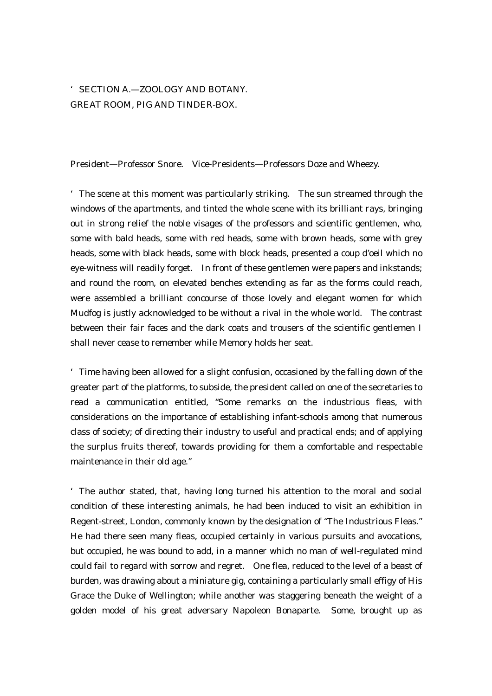# 'SECTION A.—ZOOLOGY AND BOTANY. GREAT ROOM, PIG AND TINDER-BOX.

President—Professor Snore. Vice-Presidents—Professors Doze and Wheezy.

'The scene at this moment was particularly striking. The sun streamed through the windows of the apartments, and tinted the whole scene with its brilliant rays, bringing out in strong relief the noble visages of the professors and scientific gentlemen, who, some with bald heads, some with red heads, some with brown heads, some with grey heads, some with black heads, some with block heads, presented a coup d'oeil which no eye-witness will readily forget. In front of these gentlemen were papers and inkstands; and round the room, on elevated benches extending as far as the forms could reach, were assembled a brilliant concourse of those lovely and elegant women for which Mudfog is justly acknowledged to be without a rival in the whole world. The contrast between their fair faces and the dark coats and trousers of the scientific gentlemen I shall never cease to remember while Memory holds her seat.

'Time having been allowed for a slight confusion, occasioned by the falling down of the greater part of the platforms, to subside, the president called on one of the secretaries to read a communication entitled, "Some remarks on the industrious fleas, with considerations on the importance of establishing infant-schools among that numerous class of society; of directing their industry to useful and practical ends; and of applying the surplus fruits thereof, towards providing for them a comfortable and respectable maintenance in their old age."

'The author stated, that, having long turned his attention to the moral and social condition of these interesting animals, he had been induced to visit an exhibition in Regent-street, London, commonly known by the designation of "The Industrious Fleas." He had there seen many fleas, occupied certainly in various pursuits and avocations, but occupied, he was bound to add, in a manner which no man of well-regulated mind could fail to regard with sorrow and regret. One flea, reduced to the level of a beast of burden, was drawing about a miniature gig, containing a particularly small effigy of His Grace the Duke of Wellington; while another was staggering beneath the weight of a golden model of his great adversary Napoleon Bonaparte. Some, brought up as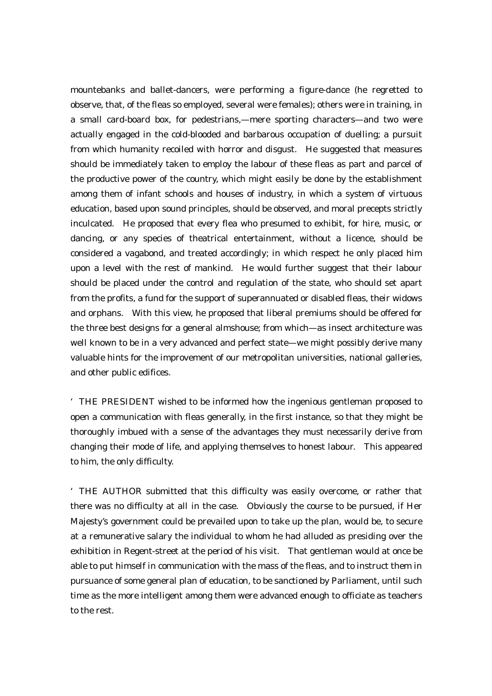mountebanks and ballet-dancers, were performing a figure-dance (he regretted to observe, that, of the fleas so employed, several were females); others were in training, in a small card-board box, for pedestrians,—mere sporting characters—and two were actually engaged in the cold-blooded and barbarous occupation of duelling; a pursuit from which humanity recoiled with horror and disgust. He suggested that measures should be immediately taken to employ the labour of these fleas as part and parcel of the productive power of the country, which might easily be done by the establishment among them of infant schools and houses of industry, in which a system of virtuous education, based upon sound principles, should be observed, and moral precepts strictly inculcated. He proposed that every flea who presumed to exhibit, for hire, music, or dancing, or any species of theatrical entertainment, without a licence, should be considered a vagabond, and treated accordingly; in which respect he only placed him upon a level with the rest of mankind. He would further suggest that their labour should be placed under the control and regulation of the state, who should set apart from the profits, a fund for the support of superannuated or disabled fleas, their widows and orphans. With this view, he proposed that liberal premiums should be offered for the three best designs for a general almshouse; from which—as insect architecture was well known to be in a very advanced and perfect state—we might possibly derive many valuable hints for the improvement of our metropolitan universities, national galleries, and other public edifices.

'THE PRESIDENT wished to be informed how the ingenious gentleman proposed to open a communication with fleas generally, in the first instance, so that they might be thoroughly imbued with a sense of the advantages they must necessarily derive from changing their mode of life, and applying themselves to honest labour. This appeared to him, the only difficulty.

'THE AUTHOR submitted that this difficulty was easily overcome, or rather that there was no difficulty at all in the case. Obviously the course to be pursued, if Her Majesty's government could be prevailed upon to take up the plan, would be, to secure at a remunerative salary the individual to whom he had alluded as presiding over the exhibition in Regent-street at the period of his visit. That gentleman would at once be able to put himself in communication with the mass of the fleas, and to instruct them in pursuance of some general plan of education, to be sanctioned by Parliament, until such time as the more intelligent among them were advanced enough to officiate as teachers to the rest.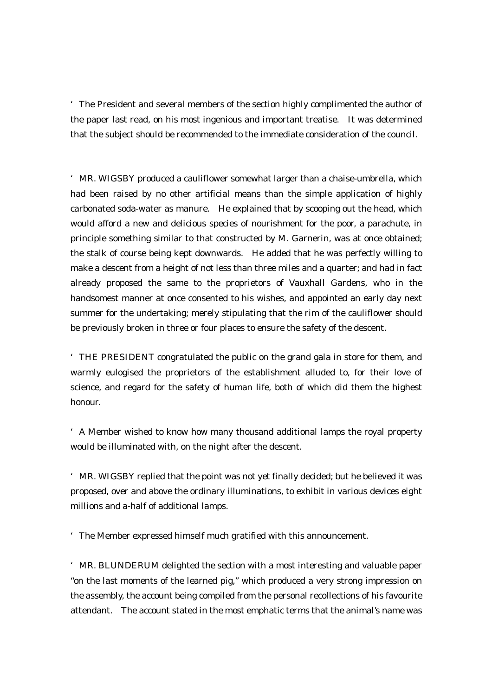'The President and several members of the section highly complimented the author of the paper last read, on his most ingenious and important treatise. It was determined that the subject should be recommended to the immediate consideration of the council.

'MR. WIGSBY produced a cauliflower somewhat larger than a chaise-umbrella, which had been raised by no other artificial means than the simple application of highly carbonated soda-water as manure. He explained that by scooping out the head, which would afford a new and delicious species of nourishment for the poor, a parachute, in principle something similar to that constructed by M. Garnerin, was at once obtained; the stalk of course being kept downwards. He added that he was perfectly willing to make a descent from a height of not less than three miles and a quarter; and had in fact already proposed the same to the proprietors of Vauxhall Gardens, who in the handsomest manner at once consented to his wishes, and appointed an early day next summer for the undertaking; merely stipulating that the rim of the cauliflower should be previously broken in three or four places to ensure the safety of the descent.

'THE PRESIDENT congratulated the public on the grand gala in store for them, and warmly eulogised the proprietors of the establishment alluded to, for their love of science, and regard for the safety of human life, both of which did them the highest honour.

'A Member wished to know how many thousand additional lamps the royal property would be illuminated with, on the night after the descent.

'MR. WIGSBY replied that the point was not yet finally decided; but he believed it was proposed, over and above the ordinary illuminations, to exhibit in various devices eight millions and a-half of additional lamps.

'The Member expressed himself much gratified with this announcement.

'MR. BLUNDERUM delighted the section with a most interesting and valuable paper "on the last moments of the learned pig," which produced a very strong impression on the assembly, the account being compiled from the personal recollections of his favourite attendant. The account stated in the most emphatic terms that the animal's name was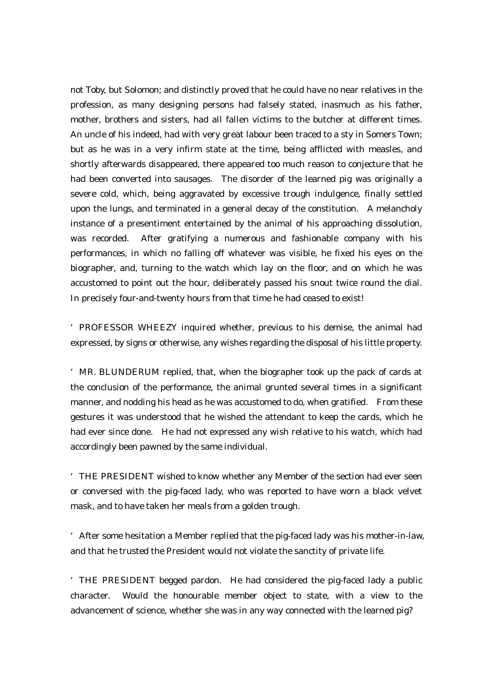not Toby, but Solomon; and distinctly proved that he could have no near relatives in the profession, as many designing persons had falsely stated, inasmuch as his father, mother, brothers and sisters, had all fallen victims to the butcher at different times. An uncle of his indeed, had with very great labour been traced to a sty in Somers Town; but as he was in a very infirm state at the time, being afflicted with measles, and shortly afterwards disappeared, there appeared too much reason to conjecture that he had been converted into sausages. The disorder of the learned pig was originally a severe cold, which, being aggravated by excessive trough indulgence, finally settled upon the lungs, and terminated in a general decay of the constitution. A melancholy instance of a presentiment entertained by the animal of his approaching dissolution, was recorded. After gratifying a numerous and fashionable company with his performances, in which no falling off whatever was visible, he fixed his eyes on the biographer, and, turning to the watch which lay on the floor, and on which he was accustomed to point out the hour, deliberately passed his snout twice round the dial. In precisely four-and-twenty hours from that time he had ceased to exist!

'PROFESSOR WHEEZY inquired whether, previous to his demise, the animal had expressed, by signs or otherwise, any wishes regarding the disposal of his little property.

'MR. BLUNDERUM replied, that, when the biographer took up the pack of cards at the conclusion of the performance, the animal grunted several times in a significant manner, and nodding his head as he was accustomed to do, when gratified. From these gestures it was understood that he wished the attendant to keep the cards, which he had ever since done. He had not expressed any wish relative to his watch, which had accordingly been pawned by the same individual.

'THE PRESIDENT wished to know whether any Member of the section had ever seen or conversed with the pig-faced lady, who was reported to have worn a black velvet mask, and to have taken her meals from a golden trough.

'After some hesitation a Member replied that the pig-faced lady was his mother-in-law, and that he trusted the President would not violate the sanctity of private life.

'THE PRESIDENT begged pardon. He had considered the pig-faced lady a public character. Would the honourable member object to state, with a view to the advancement of science, whether she was in any way connected with the learned pig?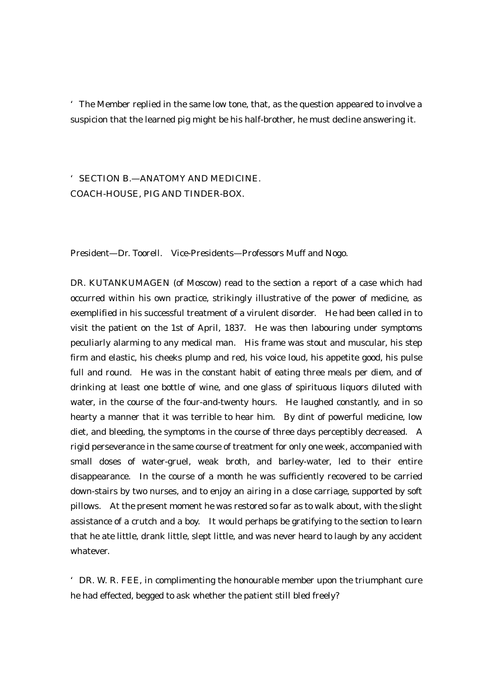'The Member replied in the same low tone, that, as the question appeared to involve a suspicion that the learned pig might be his half-brother, he must decline answering it.

# 'SECTION B.—ANATOMY AND MEDICINE. COACH-HOUSE, PIG AND TINDER-BOX.

President—Dr. Toorell. Vice-Presidents—Professors Muff and Nogo.

DR. KUTANKUMAGEN (of Moscow) read to the section a report of a case which had occurred within his own practice, strikingly illustrative of the power of medicine, as exemplified in his successful treatment of a virulent disorder. He had been called in to visit the patient on the 1st of April, 1837. He was then labouring under symptoms peculiarly alarming to any medical man. His frame was stout and muscular, his step firm and elastic, his cheeks plump and red, his voice loud, his appetite good, his pulse full and round. He was in the constant habit of eating three meals per diem, and of drinking at least one bottle of wine, and one glass of spirituous liquors diluted with water, in the course of the four-and-twenty hours. He laughed constantly, and in so hearty a manner that it was terrible to hear him. By dint of powerful medicine, low diet, and bleeding, the symptoms in the course of three days perceptibly decreased. A rigid perseverance in the same course of treatment for only one week, accompanied with small doses of water-gruel, weak broth, and barley-water, led to their entire disappearance. In the course of a month he was sufficiently recovered to be carried down-stairs by two nurses, and to enjoy an airing in a close carriage, supported by soft pillows. At the present moment he was restored so far as to walk about, with the slight assistance of a crutch and a boy. It would perhaps be gratifying to the section to learn that he ate little, drank little, slept little, and was never heard to laugh by any accident whatever.

'DR. W. R. FEE, in complimenting the honourable member upon the triumphant cure he had effected, begged to ask whether the patient still bled freely?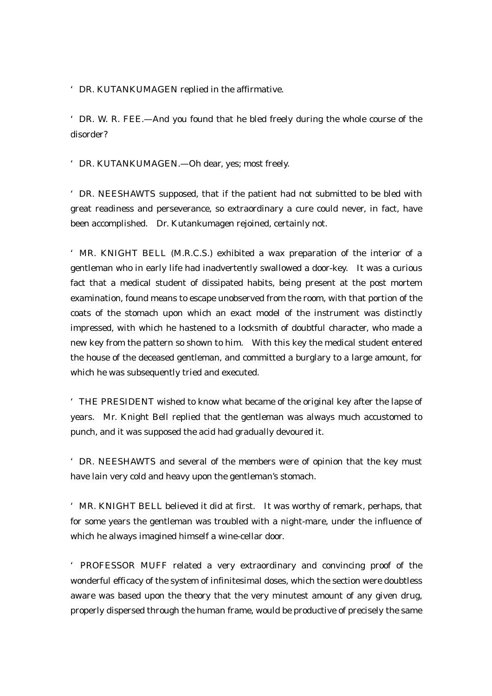'DR. KUTANKUMAGEN replied in the affirmative.

'DR. W. R. FEE.—And you found that he bled freely during the whole course of the disorder?

'DR. KUTANKUMAGEN.—Oh dear, yes; most freely.

'DR. NEESHAWTS supposed, that if the patient had not submitted to be bled with great readiness and perseverance, so extraordinary a cure could never, in fact, have been accomplished. Dr. Kutankumagen rejoined, certainly not.

'MR. KNIGHT BELL (M.R.C.S.) exhibited a wax preparation of the interior of a gentleman who in early life had inadvertently swallowed a door-key. It was a curious fact that a medical student of dissipated habits, being present at the post mortem examination, found means to escape unobserved from the room, with that portion of the coats of the stomach upon which an exact model of the instrument was distinctly impressed, with which he hastened to a locksmith of doubtful character, who made a new key from the pattern so shown to him. With this key the medical student entered the house of the deceased gentleman, and committed a burglary to a large amount, for which he was subsequently tried and executed.

'THE PRESIDENT wished to know what became of the original key after the lapse of years. Mr. Knight Bell replied that the gentleman was always much accustomed to punch, and it was supposed the acid had gradually devoured it.

'DR. NEESHAWTS and several of the members were of opinion that the key must have lain very cold and heavy upon the gentleman's stomach.

'MR. KNIGHT BELL believed it did at first. It was worthy of remark, perhaps, that for some years the gentleman was troubled with a night-mare, under the influence of which he always imagined himself a wine-cellar door.

'PROFESSOR MUFF related a very extraordinary and convincing proof of the wonderful efficacy of the system of infinitesimal doses, which the section were doubtless aware was based upon the theory that the very minutest amount of any given drug, properly dispersed through the human frame, would be productive of precisely the same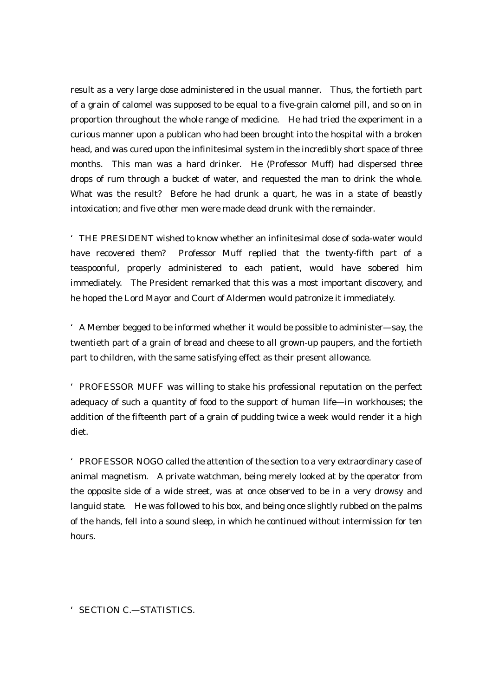result as a very large dose administered in the usual manner. Thus, the fortieth part of a grain of calomel was supposed to be equal to a five-grain calomel pill, and so on in proportion throughout the whole range of medicine. He had tried the experiment in a curious manner upon a publican who had been brought into the hospital with a broken head, and was cured upon the infinitesimal system in the incredibly short space of three months. This man was a hard drinker. He (Professor Muff) had dispersed three drops of rum through a bucket of water, and requested the man to drink the whole. What was the result? Before he had drunk a quart, he was in a state of beastly intoxication; and five other men were made dead drunk with the remainder.

'THE PRESIDENT wished to know whether an infinitesimal dose of soda-water would have recovered them? Professor Muff replied that the twenty-fifth part of a teaspoonful, properly administered to each patient, would have sobered him immediately. The President remarked that this was a most important discovery, and he hoped the Lord Mayor and Court of Aldermen would patronize it immediately.

'A Member begged to be informed whether it would be possible to administer—say, the twentieth part of a grain of bread and cheese to all grown-up paupers, and the fortieth part to children, with the same satisfying effect as their present allowance.

'PROFESSOR MUFF was willing to stake his professional reputation on the perfect adequacy of such a quantity of food to the support of human life—in workhouses; the addition of the fifteenth part of a grain of pudding twice a week would render it a high diet.

'PROFESSOR NOGO called the attention of the section to a very extraordinary case of animal magnetism. A private watchman, being merely looked at by the operator from the opposite side of a wide street, was at once observed to be in a very drowsy and languid state. He was followed to his box, and being once slightly rubbed on the palms of the hands, fell into a sound sleep, in which he continued without intermission for ten hours.

'SECTION C.—STATISTICS.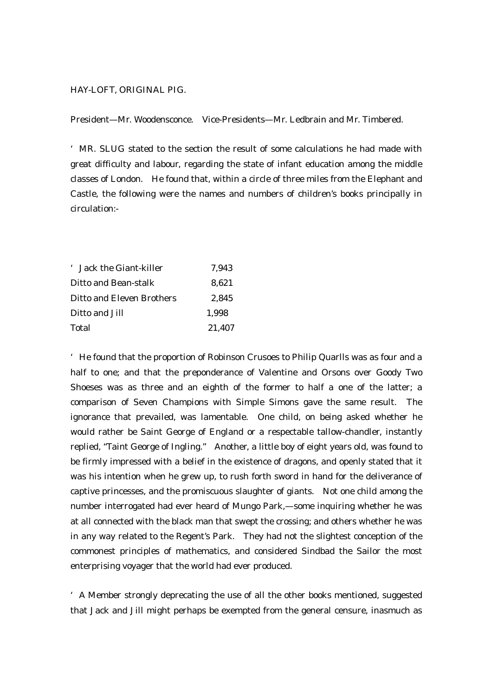#### HAY-LOFT, ORIGINAL PIG.

President—Mr. Woodensconce. Vice-Presidents—Mr. Ledbrain and Mr. Timbered.

'MR. SLUG stated to the section the result of some calculations he had made with great difficulty and labour, regarding the state of infant education among the middle classes of London. He found that, within a circle of three miles from the Elephant and Castle, the following were the names and numbers of children's books principally in circulation:-

| ' Jack the Giant-killer          | 7.943  |
|----------------------------------|--------|
| Ditto and Bean-stalk             | 8.621  |
| <b>Ditto and Eleven Brothers</b> | 2.845  |
| Ditto and Jill                   | 1.998  |
| <b>Total</b>                     | 21,407 |

'He found that the proportion of Robinson Crusoes to Philip Quarlls was as four and a half to one; and that the preponderance of Valentine and Orsons over Goody Two Shoeses was as three and an eighth of the former to half a one of the latter; a comparison of Seven Champions with Simple Simons gave the same result. The ignorance that prevailed, was lamentable. One child, on being asked whether he would rather be Saint George of England or a respectable tallow-chandler, instantly replied, "Taint George of Ingling." Another, a little boy of eight years old, was found to be firmly impressed with a belief in the existence of dragons, and openly stated that it was his intention when he grew up, to rush forth sword in hand for the deliverance of captive princesses, and the promiscuous slaughter of giants. Not one child among the number interrogated had ever heard of Mungo Park,—some inquiring whether he was at all connected with the black man that swept the crossing; and others whether he was in any way related to the Regent's Park. They had not the slightest conception of the commonest principles of mathematics, and considered Sindbad the Sailor the most enterprising voyager that the world had ever produced.

'A Member strongly deprecating the use of all the other books mentioned, suggested that Jack and Jill might perhaps be exempted from the general censure, inasmuch as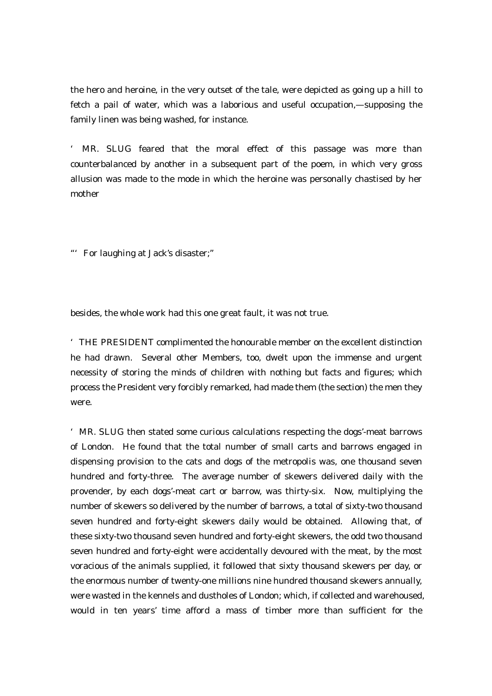the hero and heroine, in the very outset of the tale, were depicted as going up a hill to fetch a pail of water, which was a laborious and useful occupation,—supposing the family linen was being washed, for instance.

MR. SLUG feared that the moral effect of this passage was more than counterbalanced by another in a subsequent part of the poem, in which very gross allusion was made to the mode in which the heroine was personally chastised by her mother

"'For laughing at Jack's disaster;"

besides, the whole work had this one great fault, it was not true.

'THE PRESIDENT complimented the honourable member on the excellent distinction he had drawn. Several other Members, too, dwelt upon the immense and urgent necessity of storing the minds of children with nothing but facts and figures; which process the President very forcibly remarked, had made them (the section) the men they were.

'MR. SLUG then stated some curious calculations respecting the dogs'-meat barrows of London. He found that the total number of small carts and barrows engaged in dispensing provision to the cats and dogs of the metropolis was, one thousand seven hundred and forty-three. The average number of skewers delivered daily with the provender, by each dogs'-meat cart or barrow, was thirty-six. Now, multiplying the number of skewers so delivered by the number of barrows, a total of sixty-two thousand seven hundred and forty-eight skewers daily would be obtained. Allowing that, of these sixty-two thousand seven hundred and forty-eight skewers, the odd two thousand seven hundred and forty-eight were accidentally devoured with the meat, by the most voracious of the animals supplied, it followed that sixty thousand skewers per day, or the enormous number of twenty-one millions nine hundred thousand skewers annually, were wasted in the kennels and dustholes of London; which, if collected and warehoused, would in ten years' time afford a mass of timber more than sufficient for the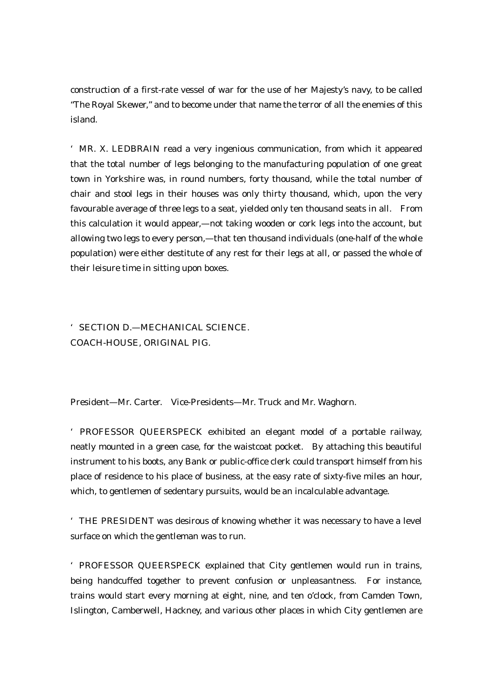construction of a first-rate vessel of war for the use of her Majesty's navy, to be called "The Royal Skewer," and to become under that name the terror of all the enemies of this island.

'MR. X. LEDBRAIN read a very ingenious communication, from which it appeared that the total number of legs belonging to the manufacturing population of one great town in Yorkshire was, in round numbers, forty thousand, while the total number of chair and stool legs in their houses was only thirty thousand, which, upon the very favourable average of three legs to a seat, yielded only ten thousand seats in all. From this calculation it would appear,—not taking wooden or cork legs into the account, but allowing two legs to every person,—that ten thousand individuals (one-half of the whole population) were either destitute of any rest for their legs at all, or passed the whole of their leisure time in sitting upon boxes.

## 'SECTION D.—MECHANICAL SCIENCE. COACH-HOUSE, ORIGINAL PIG.

President—Mr. Carter. Vice-Presidents—Mr. Truck and Mr. Waghorn.

'PROFESSOR QUEERSPECK exhibited an elegant model of a portable railway, neatly mounted in a green case, for the waistcoat pocket. By attaching this beautiful instrument to his boots, any Bank or public-office clerk could transport himself from his place of residence to his place of business, at the easy rate of sixty-five miles an hour, which, to gentlemen of sedentary pursuits, would be an incalculable advantage.

'THE PRESIDENT was desirous of knowing whether it was necessary to have a level surface on which the gentleman was to run.

'PROFESSOR QUEERSPECK explained that City gentlemen would run in trains, being handcuffed together to prevent confusion or unpleasantness. For instance, trains would start every morning at eight, nine, and ten o'clock, from Camden Town, Islington, Camberwell, Hackney, and various other places in which City gentlemen are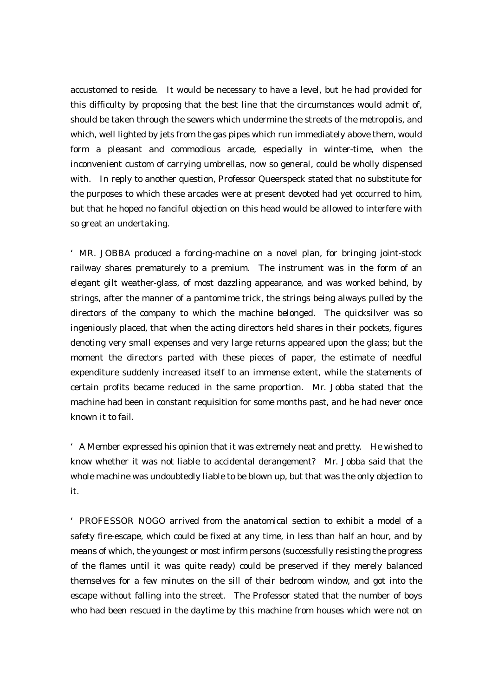accustomed to reside. It would be necessary to have a level, but he had provided for this difficulty by proposing that the best line that the circumstances would admit of, should be taken through the sewers which undermine the streets of the metropolis, and which, well lighted by jets from the gas pipes which run immediately above them, would form a pleasant and commodious arcade, especially in winter-time, when the inconvenient custom of carrying umbrellas, now so general, could be wholly dispensed with. In reply to another question, Professor Queerspeck stated that no substitute for the purposes to which these arcades were at present devoted had yet occurred to him, but that he hoped no fanciful objection on this head would be allowed to interfere with so great an undertaking.

'MR. JOBBA produced a forcing-machine on a novel plan, for bringing joint-stock railway shares prematurely to a premium. The instrument was in the form of an elegant gilt weather-glass, of most dazzling appearance, and was worked behind, by strings, after the manner of a pantomime trick, the strings being always pulled by the directors of the company to which the machine belonged. The quicksilver was so ingeniously placed, that when the acting directors held shares in their pockets, figures denoting very small expenses and very large returns appeared upon the glass; but the moment the directors parted with these pieces of paper, the estimate of needful expenditure suddenly increased itself to an immense extent, while the statements of certain profits became reduced in the same proportion. Mr. Jobba stated that the machine had been in constant requisition for some months past, and he had never once known it to fail.

'A Member expressed his opinion that it was extremely neat and pretty. He wished to know whether it was not liable to accidental derangement? Mr. Jobba said that the whole machine was undoubtedly liable to be blown up, but that was the only objection to it.

'PROFESSOR NOGO arrived from the anatomical section to exhibit a model of a safety fire-escape, which could be fixed at any time, in less than half an hour, and by means of which, the youngest or most infirm persons (successfully resisting the progress of the flames until it was quite ready) could be preserved if they merely balanced themselves for a few minutes on the sill of their bedroom window, and got into the escape without falling into the street. The Professor stated that the number of boys who had been rescued in the daytime by this machine from houses which were not on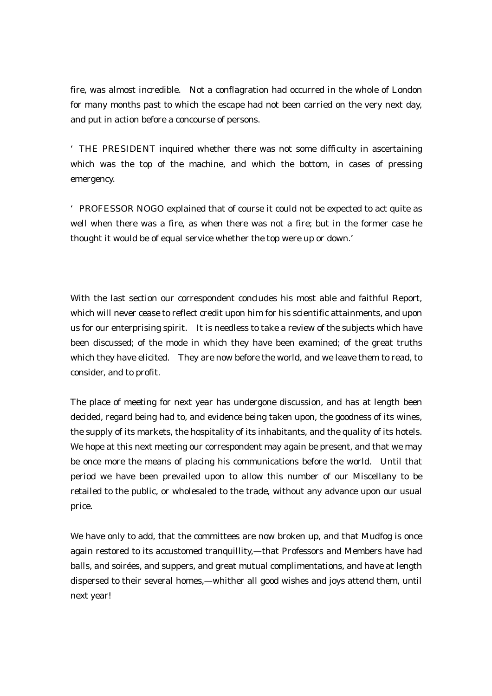fire, was almost incredible. Not a conflagration had occurred in the whole of London for many months past to which the escape had not been carried on the very next day, and put in action before a concourse of persons.

'THE PRESIDENT inquired whether there was not some difficulty in ascertaining which was the top of the machine, and which the bottom, in cases of pressing emergency.

'PROFESSOR NOGO explained that of course it could not be expected to act quite as well when there was a fire, as when there was not a fire; but in the former case he thought it would be of equal service whether the top were up or down.'

With the last section our correspondent concludes his most able and faithful Report, which will never cease to reflect credit upon him for his scientific attainments, and upon us for our enterprising spirit. It is needless to take a review of the subjects which have been discussed; of the mode in which they have been examined; of the great truths which they have elicited. They are now before the world, and we leave them to read, to consider, and to profit.

The place of meeting for next year has undergone discussion, and has at length been decided, regard being had to, and evidence being taken upon, the goodness of its wines, the supply of its markets, the hospitality of its inhabitants, and the quality of its hotels. We hope at this next meeting our correspondent may again be present, and that we may be once more the means of placing his communications before the world. Until that period we have been prevailed upon to allow this number of our Miscellany to be retailed to the public, or wholesaled to the trade, without any advance upon our usual price.

We have only to add, that the committees are now broken up, and that Mudfog is once again restored to its accustomed tranquillity,—that Professors and Members have had balls, and soirées, and suppers, and great mutual complimentations, and have at length dispersed to their several homes,—whither all good wishes and joys attend them, until next year!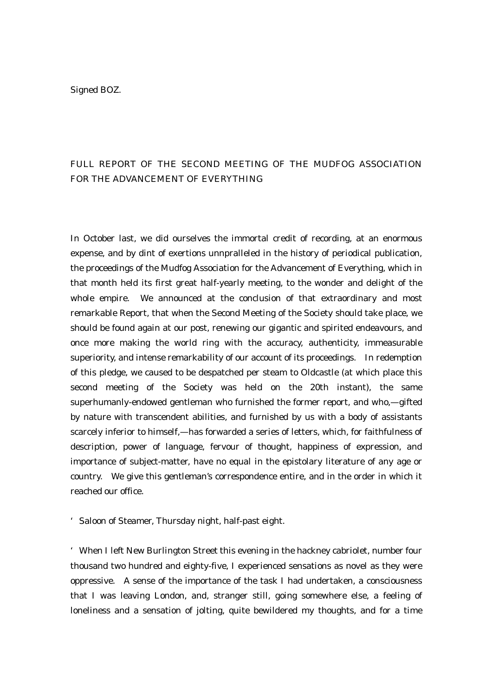Signed BOZ.

# FULL REPORT OF THE SECOND MEETING OF THE MUDFOG ASSOCIATION FOR THE ADVANCEMENT OF EVERYTHING

In October last, we did ourselves the immortal credit of recording, at an enormous expense, and by dint of exertions unnpralleled in the history of periodical publication, the proceedings of the Mudfog Association for the Advancement of Everything, which in that month held its first great half-yearly meeting, to the wonder and delight of the whole empire. We announced at the conclusion of that extraordinary and most remarkable Report, that when the Second Meeting of the Society should take place, we should be found again at our post, renewing our gigantic and spirited endeavours, and once more making the world ring with the accuracy, authenticity, immeasurable superiority, and intense remarkability of our account of its proceedings. In redemption of this pledge, we caused to be despatched per steam to Oldcastle (at which place this second meeting of the Society was held on the 20th instant), the same superhumanly-endowed gentleman who furnished the former report, and who,—gifted by nature with transcendent abilities, and furnished by us with a body of assistants scarcely inferior to himself,—has forwarded a series of letters, which, for faithfulness of description, power of language, fervour of thought, happiness of expression, and importance of subject-matter, have no equal in the epistolary literature of any age or country. We give this gentleman's correspondence entire, and in the order in which it reached our office.

'Saloon of Steamer, Thursday night, half-past eight.

'When I left New Burlington Street this evening in the hackney cabriolet, number four thousand two hundred and eighty-five, I experienced sensations as novel as they were oppressive. A sense of the importance of the task I had undertaken, a consciousness that I was leaving London, and, stranger still, going somewhere else, a feeling of loneliness and a sensation of jolting, quite bewildered my thoughts, and for a time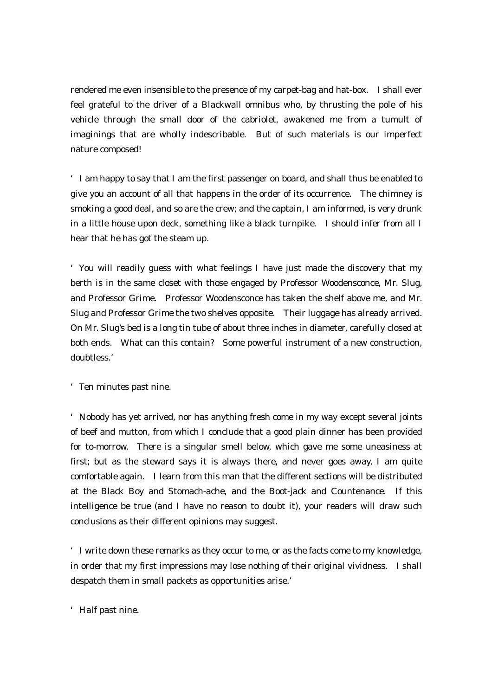rendered me even insensible to the presence of my carpet-bag and hat-box. I shall ever feel grateful to the driver of a Blackwall omnibus who, by thrusting the pole of his vehicle through the small door of the cabriolet, awakened me from a tumult of imaginings that are wholly indescribable. But of such materials is our imperfect nature composed!

'I am happy to say that I am the first passenger on board, and shall thus be enabled to give you an account of all that happens in the order of its occurrence. The chimney is smoking a good deal, and so are the crew; and the captain, I am informed, is very drunk in a little house upon deck, something like a black turnpike. I should infer from all I hear that he has got the steam up.

'You will readily guess with what feelings I have just made the discovery that my berth is in the same closet with those engaged by Professor Woodensconce, Mr. Slug, and Professor Grime. Professor Woodensconce has taken the shelf above me, and Mr. Slug and Professor Grime the two shelves opposite. Their luggage has already arrived. On Mr. Slug's bed is a long tin tube of about three inches in diameter, carefully closed at both ends. What can this contain? Some powerful instrument of a new construction, doubtless.'

'Ten minutes past nine.

'Nobody has yet arrived, nor has anything fresh come in my way except several joints of beef and mutton, from which I conclude that a good plain dinner has been provided for to-morrow. There is a singular smell below, which gave me some uneasiness at first; but as the steward says it is always there, and never goes away, I am quite comfortable again. I learn from this man that the different sections will be distributed at the Black Boy and Stomach-ache, and the Boot-jack and Countenance. If this intelligence be true (and I have no reason to doubt it), your readers will draw such conclusions as their different opinions may suggest.

'I write down these remarks as they occur to me, or as the facts come to my knowledge, in order that my first impressions may lose nothing of their original vividness. I shall despatch them in small packets as opportunities arise.'

'Half past nine.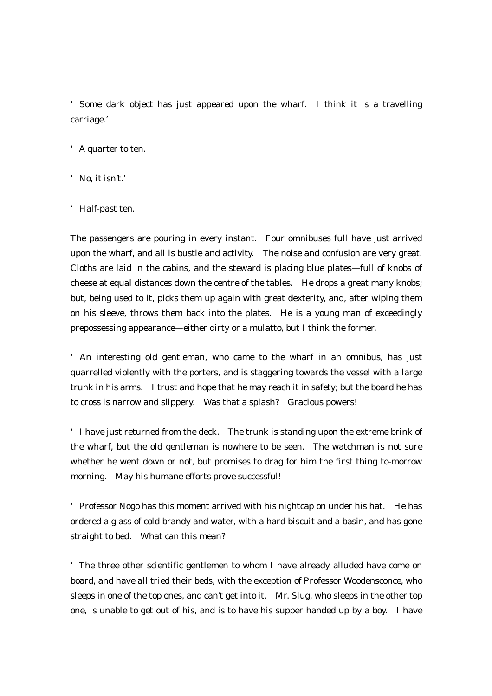'Some dark object has just appeared upon the wharf. I think it is a travelling carriage.'

- 'A quarter to ten.
- 'No, it isn't.'
- 'Half-past ten.

The passengers are pouring in every instant. Four omnibuses full have just arrived upon the wharf, and all is bustle and activity. The noise and confusion are very great. Cloths are laid in the cabins, and the steward is placing blue plates—full of knobs of cheese at equal distances down the centre of the tables. He drops a great many knobs; but, being used to it, picks them up again with great dexterity, and, after wiping them on his sleeve, throws them back into the plates. He is a young man of exceedingly prepossessing appearance—either dirty or a mulatto, but I think the former.

'An interesting old gentleman, who came to the wharf in an omnibus, has just quarrelled violently with the porters, and is staggering towards the vessel with a large trunk in his arms. I trust and hope that he may reach it in safety; but the board he has to cross is narrow and slippery. Was that a splash? Gracious powers!

'I have just returned from the deck. The trunk is standing upon the extreme brink of the wharf, but the old gentleman is nowhere to be seen. The watchman is not sure whether he went down or not, but promises to drag for him the first thing to-morrow morning. May his humane efforts prove successful!

'Professor Nogo has this moment arrived with his nightcap on under his hat. He has ordered a glass of cold brandy and water, with a hard biscuit and a basin, and has gone straight to bed. What can this mean?

'The three other scientific gentlemen to whom I have already alluded have come on board, and have all tried their beds, with the exception of Professor Woodensconce, who sleeps in one of the top ones, and can't get into it. Mr. Slug, who sleeps in the other top one, is unable to get out of his, and is to have his supper handed up by a boy. I have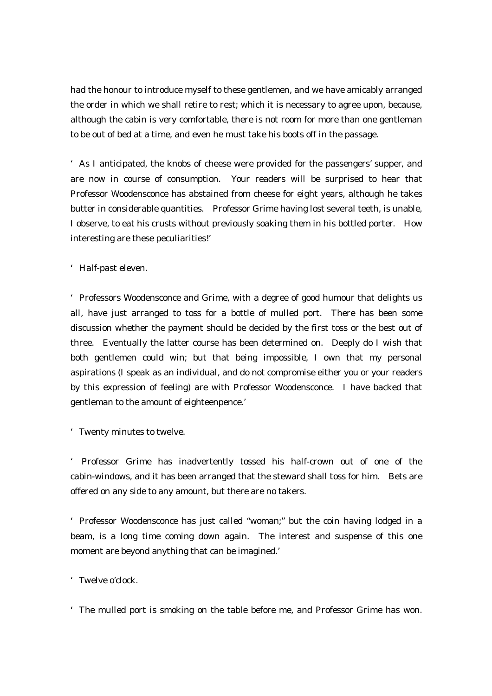had the honour to introduce myself to these gentlemen, and we have amicably arranged the order in which we shall retire to rest; which it is necessary to agree upon, because, although the cabin is very comfortable, there is not room for more than one gentleman to be out of bed at a time, and even he must take his boots off in the passage.

'As I anticipated, the knobs of cheese were provided for the passengers' supper, and are now in course of consumption. Your readers will be surprised to hear that Professor Woodensconce has abstained from cheese for eight years, although he takes butter in considerable quantities. Professor Grime having lost several teeth, is unable, I observe, to eat his crusts without previously soaking them in his bottled porter. How interesting are these peculiarities!'

'Half-past eleven.

'Professors Woodensconce and Grime, with a degree of good humour that delights us all, have just arranged to toss for a bottle of mulled port. There has been some discussion whether the payment should be decided by the first toss or the best out of three. Eventually the latter course has been determined on. Deeply do I wish that both gentlemen could win; but that being impossible, I own that my personal aspirations (I speak as an individual, and do not compromise either you or your readers by this expression of feeling) are with Professor Woodensconce. I have backed that gentleman to the amount of eighteenpence.'

'Twenty minutes to twelve.

' Professor Grime has inadvertently tossed his half-crown out of one of the cabin-windows, and it has been arranged that the steward shall toss for him. Bets are offered on any side to any amount, but there are no takers.

'Professor Woodensconce has just called "woman;" but the coin having lodged in a beam, is a long time coming down again. The interest and suspense of this one moment are beyond anything that can be imagined.'

'Twelve o'clock.

'The mulled port is smoking on the table before me, and Professor Grime has won.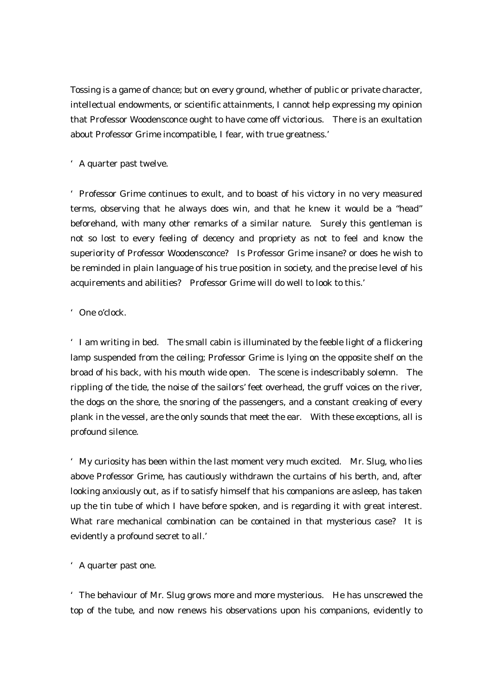Tossing is a game of chance; but on every ground, whether of public or private character, intellectual endowments, or scientific attainments, I cannot help expressing my opinion that Professor Woodensconce ought to have come off victorious. There is an exultation about Professor Grime incompatible, I fear, with true greatness.'

## 'A quarter past twelve.

'Professor Grime continues to exult, and to boast of his victory in no very measured terms, observing that he always does win, and that he knew it would be a "head" beforehand, with many other remarks of a similar nature. Surely this gentleman is not so lost to every feeling of decency and propriety as not to feel and know the superiority of Professor Woodensconce? Is Professor Grime insane? or does he wish to be reminded in plain language of his true position in society, and the precise level of his acquirements and abilities? Professor Grime will do well to look to this.'

## 'One o'clock.

'I am writing in bed. The small cabin is illuminated by the feeble light of a flickering lamp suspended from the ceiling; Professor Grime is lying on the opposite shelf on the broad of his back, with his mouth wide open. The scene is indescribably solemn. The rippling of the tide, the noise of the sailors' feet overhead, the gruff voices on the river, the dogs on the shore, the snoring of the passengers, and a constant creaking of every plank in the vessel, are the only sounds that meet the ear. With these exceptions, all is profound silence.

'My curiosity has been within the last moment very much excited. Mr. Slug, who lies above Professor Grime, has cautiously withdrawn the curtains of his berth, and, after looking anxiously out, as if to satisfy himself that his companions are asleep, has taken up the tin tube of which I have before spoken, and is regarding it with great interest. What rare mechanical combination can be contained in that mysterious case? It is evidently a profound secret to all.'

## 'A quarter past one.

'The behaviour of Mr. Slug grows more and more mysterious. He has unscrewed the top of the tube, and now renews his observations upon his companions, evidently to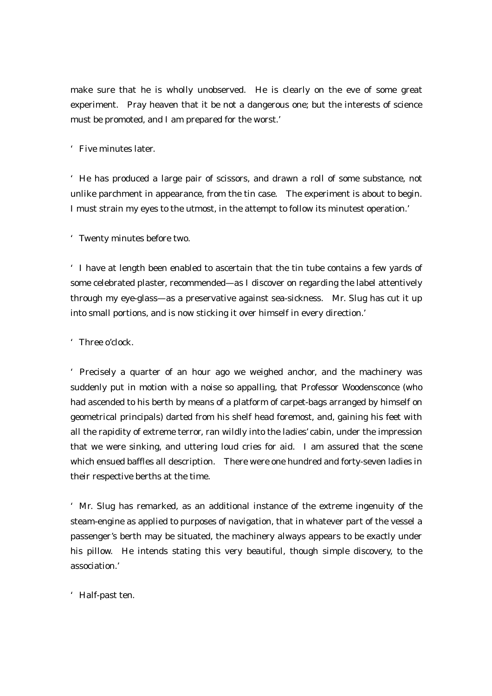make sure that he is wholly unobserved. He is clearly on the eve of some great experiment. Pray heaven that it be not a dangerous one; but the interests of science must be promoted, and I am prepared for the worst.'

'Five minutes later.

'He has produced a large pair of scissors, and drawn a roll of some substance, not unlike parchment in appearance, from the tin case. The experiment is about to begin. I must strain my eyes to the utmost, in the attempt to follow its minutest operation.'

'Twenty minutes before two.

'I have at length been enabled to ascertain that the tin tube contains a few yards of some celebrated plaster, recommended—as I discover on regarding the label attentively through my eye-glass—as a preservative against sea-sickness. Mr. Slug has cut it up into small portions, and is now sticking it over himself in every direction.'

'Three o'clock.

'Precisely a quarter of an hour ago we weighed anchor, and the machinery was suddenly put in motion with a noise so appalling, that Professor Woodensconce (who had ascended to his berth by means of a platform of carpet-bags arranged by himself on geometrical principals) darted from his shelf head foremost, and, gaining his feet with all the rapidity of extreme terror, ran wildly into the ladies' cabin, under the impression that we were sinking, and uttering loud cries for aid. I am assured that the scene which ensued baffles all description. There were one hundred and forty-seven ladies in their respective berths at the time.

'Mr. Slug has remarked, as an additional instance of the extreme ingenuity of the steam-engine as applied to purposes of navigation, that in whatever part of the vessel a passenger's berth may be situated, the machinery always appears to be exactly under his pillow. He intends stating this very beautiful, though simple discovery, to the association.'

'Half-past ten.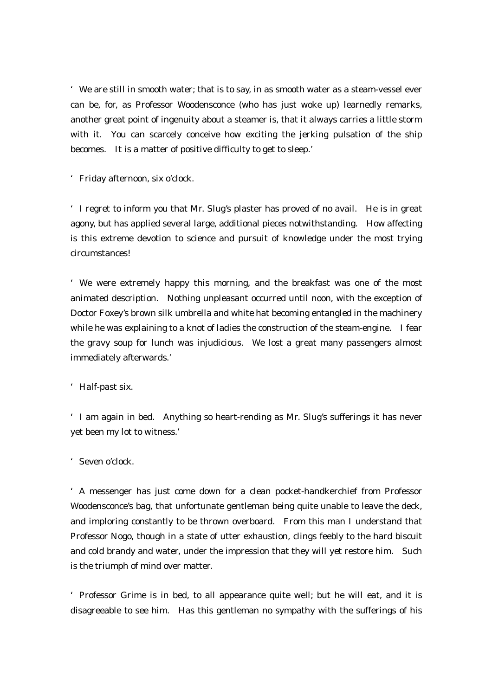'We are still in smooth water; that is to say, in as smooth water as a steam-vessel ever can be, for, as Professor Woodensconce (who has just woke up) learnedly remarks, another great point of ingenuity about a steamer is, that it always carries a little storm with it. You can scarcely conceive how exciting the jerking pulsation of the ship becomes. It is a matter of positive difficulty to get to sleep.'

'Friday afternoon, six o'clock.

'I regret to inform you that Mr. Slug's plaster has proved of no avail. He is in great agony, but has applied several large, additional pieces notwithstanding. How affecting is this extreme devotion to science and pursuit of knowledge under the most trying circumstances!

'We were extremely happy this morning, and the breakfast was one of the most animated description. Nothing unpleasant occurred until noon, with the exception of Doctor Foxey's brown silk umbrella and white hat becoming entangled in the machinery while he was explaining to a knot of ladies the construction of the steam-engine. I fear the gravy soup for lunch was injudicious. We lost a great many passengers almost immediately afterwards.'

'Half-past six.

'I am again in bed. Anything so heart-rending as Mr. Slug's sufferings it has never yet been my lot to witness.'

'Seven o'clock.

'A messenger has just come down for a clean pocket-handkerchief from Professor Woodensconce's bag, that unfortunate gentleman being quite unable to leave the deck, and imploring constantly to be thrown overboard. From this man I understand that Professor Nogo, though in a state of utter exhaustion, clings feebly to the hard biscuit and cold brandy and water, under the impression that they will yet restore him. Such is the triumph of mind over matter.

'Professor Grime is in bed, to all appearance quite well; but he will eat, and it is disagreeable to see him. Has this gentleman no sympathy with the sufferings of his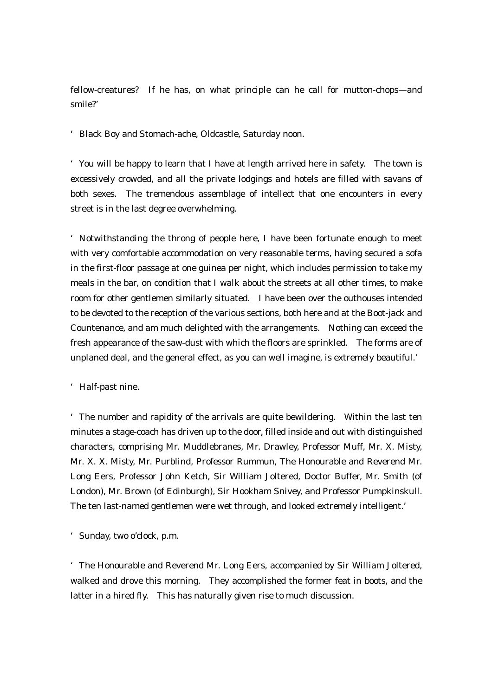fellow-creatures? If he has, on what principle can he call for mutton-chops—and smile?'

'Black Boy and Stomach-ache, Oldcastle, Saturday noon.

'You will be happy to learn that I have at length arrived here in safety. The town is excessively crowded, and all the private lodgings and hotels are filled with savans of both sexes. The tremendous assemblage of intellect that one encounters in every street is in the last degree overwhelming.

'Notwithstanding the throng of people here, I have been fortunate enough to meet with very comfortable accommodation on very reasonable terms, having secured a sofa in the first-floor passage at one guinea per night, which includes permission to take my meals in the bar, on condition that I walk about the streets at all other times, to make room for other gentlemen similarly situated. I have been over the outhouses intended to be devoted to the reception of the various sections, both here and at the Boot-jack and Countenance, and am much delighted with the arrangements. Nothing can exceed the fresh appearance of the saw-dust with which the floors are sprinkled. The forms are of unplaned deal, and the general effect, as you can well imagine, is extremely beautiful.'

'Half-past nine.

'The number and rapidity of the arrivals are quite bewildering. Within the last ten minutes a stage-coach has driven up to the door, filled inside and out with distinguished characters, comprising Mr. Muddlebranes, Mr. Drawley, Professor Muff, Mr. X. Misty, Mr. X. X. Misty, Mr. Purblind, Professor Rummun, The Honourable and Reverend Mr. Long Eers, Professor John Ketch, Sir William Joltered, Doctor Buffer, Mr. Smith (of London), Mr. Brown (of Edinburgh), Sir Hookham Snivey, and Professor Pumpkinskull. The ten last-named gentlemen were wet through, and looked extremely intelligent.'

'Sunday, two o'clock, p.m.

'The Honourable and Reverend Mr. Long Eers, accompanied by Sir William Joltered, walked and drove this morning. They accomplished the former feat in boots, and the latter in a hired fly. This has naturally given rise to much discussion.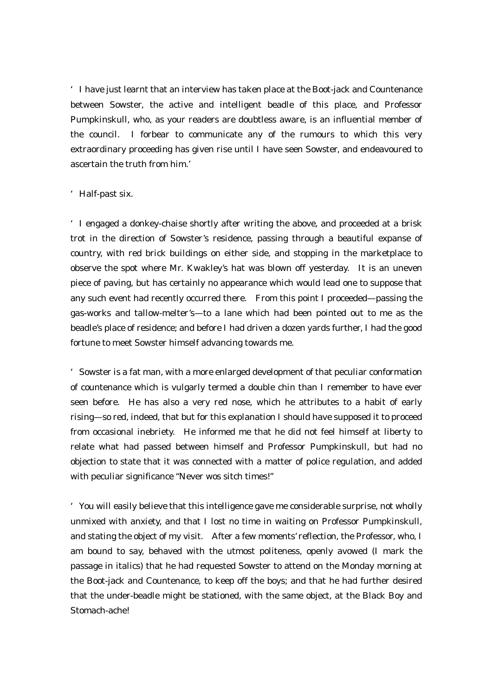'I have just learnt that an interview has taken place at the Boot-jack and Countenance between Sowster, the active and intelligent beadle of this place, and Professor Pumpkinskull, who, as your readers are doubtless aware, is an influential member of the council. I forbear to communicate any of the rumours to which this very extraordinary proceeding has given rise until I have seen Sowster, and endeavoured to ascertain the truth from him.'

#### 'Half-past six.

'I engaged a donkey-chaise shortly after writing the above, and proceeded at a brisk trot in the direction of Sowster's residence, passing through a beautiful expanse of country, with red brick buildings on either side, and stopping in the marketplace to observe the spot where Mr. Kwakley's hat was blown off yesterday. It is an uneven piece of paving, but has certainly no appearance which would lead one to suppose that any such event had recently occurred there. From this point I proceeded—passing the gas-works and tallow-melter's—to a lane which had been pointed out to me as the beadle's place of residence; and before I had driven a dozen yards further, I had the good fortune to meet Sowster himself advancing towards me.

'Sowster is a fat man, with a more enlarged development of that peculiar conformation of countenance which is vulgarly termed a double chin than I remember to have ever seen before. He has also a very red nose, which he attributes to a habit of early rising—so red, indeed, that but for this explanation I should have supposed it to proceed from occasional inebriety. He informed me that he did not feel himself at liberty to relate what had passed between himself and Professor Pumpkinskull, but had no objection to state that it was connected with a matter of police regulation, and added with peculiar significance "Never wos sitch times!"

'You will easily believe that this intelligence gave me considerable surprise, not wholly unmixed with anxiety, and that I lost no time in waiting on Professor Pumpkinskull, and stating the object of my visit. After a few moments' reflection, the Professor, who, I am bound to say, behaved with the utmost politeness, openly avowed (I mark the passage in italics) that he had requested Sowster to attend on the Monday morning at the Boot-jack and Countenance, to keep off the boys; and that he had further desired that the under-beadle might be stationed, with the same object, at the Black Boy and Stomach-ache!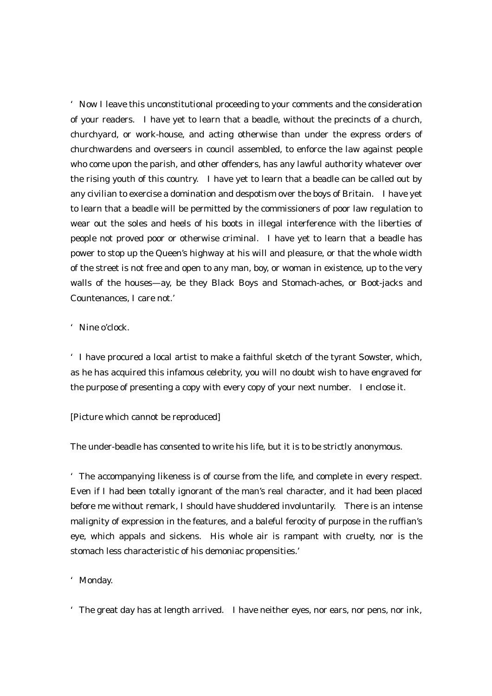'Now I leave this unconstitutional proceeding to your comments and the consideration of your readers. I have yet to learn that a beadle, without the precincts of a church, churchyard, or work-house, and acting otherwise than under the express orders of churchwardens and overseers in council assembled, to enforce the law against people who come upon the parish, and other offenders, has any lawful authority whatever over the rising youth of this country. I have yet to learn that a beadle can be called out by any civilian to exercise a domination and despotism over the boys of Britain. I have yet to learn that a beadle will be permitted by the commissioners of poor law regulation to wear out the soles and heels of his boots in illegal interference with the liberties of people not proved poor or otherwise criminal. I have yet to learn that a beadle has power to stop up the Queen's highway at his will and pleasure, or that the whole width of the street is not free and open to any man, boy, or woman in existence, up to the very walls of the houses—ay, be they Black Boys and Stomach-aches, or Boot-jacks and Countenances, I care not.'

#### 'Nine o'clock.

'I have procured a local artist to make a faithful sketch of the tyrant Sowster, which, as he has acquired this infamous celebrity, you will no doubt wish to have engraved for the purpose of presenting a copy with every copy of your next number. I enclose it.

#### [Picture which cannot be reproduced]

The under-beadle has consented to write his life, but it is to be strictly anonymous.

'The accompanying likeness is of course from the life, and complete in every respect. Even if I had been totally ignorant of the man's real character, and it had been placed before me without remark, I should have shuddered involuntarily. There is an intense malignity of expression in the features, and a baleful ferocity of purpose in the ruffian's eye, which appals and sickens. His whole air is rampant with cruelty, nor is the stomach less characteristic of his demoniac propensities.'

#### 'Monday.

'The great day has at length arrived. I have neither eyes, nor ears, nor pens, nor ink,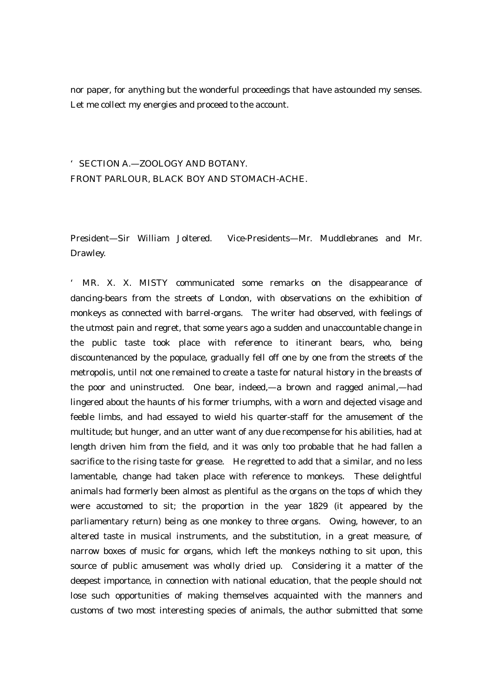nor paper, for anything but the wonderful proceedings that have astounded my senses. Let me collect my energies and proceed to the account.

# 'SECTION A.—ZOOLOGY AND BOTANY. FRONT PARLOUR, BLACK BOY AND STOMACH-ACHE.

President—Sir William Joltered. Vice-Presidents—Mr. Muddlebranes and Mr. Drawley.

' MR. X. X. MISTY communicated some remarks on the disappearance of dancing-bears from the streets of London, with observations on the exhibition of monkeys as connected with barrel-organs. The writer had observed, with feelings of the utmost pain and regret, that some years ago a sudden and unaccountable change in the public taste took place with reference to itinerant bears, who, being discountenanced by the populace, gradually fell off one by one from the streets of the metropolis, until not one remained to create a taste for natural history in the breasts of the poor and uninstructed. One bear, indeed,—a brown and ragged animal,—had lingered about the haunts of his former triumphs, with a worn and dejected visage and feeble limbs, and had essayed to wield his quarter-staff for the amusement of the multitude; but hunger, and an utter want of any due recompense for his abilities, had at length driven him from the field, and it was only too probable that he had fallen a sacrifice to the rising taste for grease. He regretted to add that a similar, and no less lamentable, change had taken place with reference to monkeys. These delightful animals had formerly been almost as plentiful as the organs on the tops of which they were accustomed to sit; the proportion in the year 1829 (it appeared by the parliamentary return) being as one monkey to three organs. Owing, however, to an altered taste in musical instruments, and the substitution, in a great measure, of narrow boxes of music for organs, which left the monkeys nothing to sit upon, this source of public amusement was wholly dried up. Considering it a matter of the deepest importance, in connection with national education, that the people should not lose such opportunities of making themselves acquainted with the manners and customs of two most interesting species of animals, the author submitted that some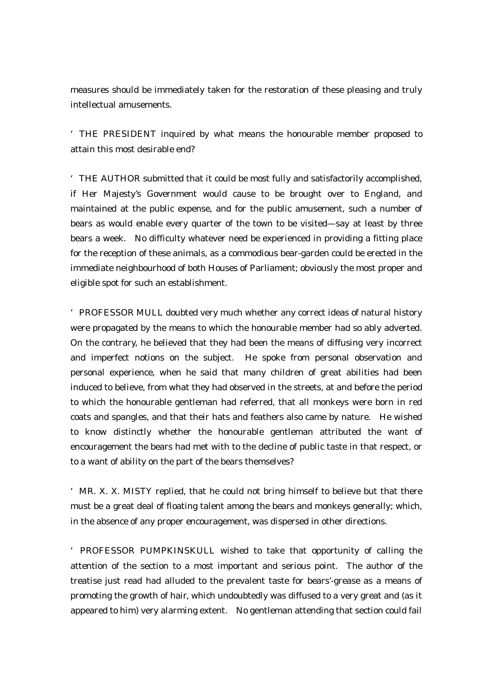measures should be immediately taken for the restoration of these pleasing and truly intellectual amusements.

'THE PRESIDENT inquired by what means the honourable member proposed to attain this most desirable end?

'THE AUTHOR submitted that it could be most fully and satisfactorily accomplished, if Her Majesty's Government would cause to be brought over to England, and maintained at the public expense, and for the public amusement, such a number of bears as would enable every quarter of the town to be visited—say at least by three bears a week. No difficulty whatever need be experienced in providing a fitting place for the reception of these animals, as a commodious bear-garden could be erected in the immediate neighbourhood of both Houses of Parliament; obviously the most proper and eligible spot for such an establishment.

'PROFESSOR MULL doubted very much whether any correct ideas of natural history were propagated by the means to which the honourable member had so ably adverted. On the contrary, he believed that they had been the means of diffusing very incorrect and imperfect notions on the subject. He spoke from personal observation and personal experience, when he said that many children of great abilities had been induced to believe, from what they had observed in the streets, at and before the period to which the honourable gentleman had referred, that all monkeys were born in red coats and spangles, and that their hats and feathers also came by nature. He wished to know distinctly whether the honourable gentleman attributed the want of encouragement the bears had met with to the decline of public taste in that respect, or to a want of ability on the part of the bears themselves?

'MR. X. X. MISTY replied, that he could not bring himself to believe but that there must be a great deal of floating talent among the bears and monkeys generally; which, in the absence of any proper encouragement, was dispersed in other directions.

'PROFESSOR PUMPKINSKULL wished to take that opportunity of calling the attention of the section to a most important and serious point. The author of the treatise just read had alluded to the prevalent taste for bears'-grease as a means of promoting the growth of hair, which undoubtedly was diffused to a very great and (as it appeared to him) very alarming extent. No gentleman attending that section could fail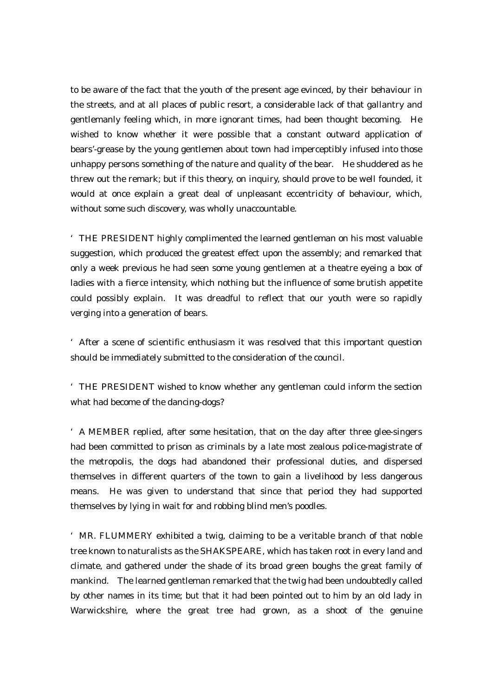to be aware of the fact that the youth of the present age evinced, by their behaviour in the streets, and at all places of public resort, a considerable lack of that gallantry and gentlemanly feeling which, in more ignorant times, had been thought becoming. He wished to know whether it were possible that a constant outward application of bears'-grease by the young gentlemen about town had imperceptibly infused into those unhappy persons something of the nature and quality of the bear. He shuddered as he threw out the remark; but if this theory, on inquiry, should prove to be well founded, it would at once explain a great deal of unpleasant eccentricity of behaviour, which, without some such discovery, was wholly unaccountable.

'THE PRESIDENT highly complimented the learned gentleman on his most valuable suggestion, which produced the greatest effect upon the assembly; and remarked that only a week previous he had seen some young gentlemen at a theatre eyeing a box of ladies with a fierce intensity, which nothing but the influence of some brutish appetite could possibly explain. It was dreadful to reflect that our youth were so rapidly verging into a generation of bears.

'After a scene of scientific enthusiasm it was resolved that this important question should be immediately submitted to the consideration of the council.

'THE PRESIDENT wished to know whether any gentleman could inform the section what had become of the dancing-dogs?

'A MEMBER replied, after some hesitation, that on the day after three glee-singers had been committed to prison as criminals by a late most zealous police-magistrate of the metropolis, the dogs had abandoned their professional duties, and dispersed themselves in different quarters of the town to gain a livelihood by less dangerous means. He was given to understand that since that period they had supported themselves by lying in wait for and robbing blind men's poodles.

'MR. FLUMMERY exhibited a twig, claiming to be a veritable branch of that noble tree known to naturalists as the SHAKSPEARE, which has taken root in every land and climate, and gathered under the shade of its broad green boughs the great family of mankind. The learned gentleman remarked that the twig had been undoubtedly called by other names in its time; but that it had been pointed out to him by an old lady in Warwickshire, where the great tree had grown, as a shoot of the genuine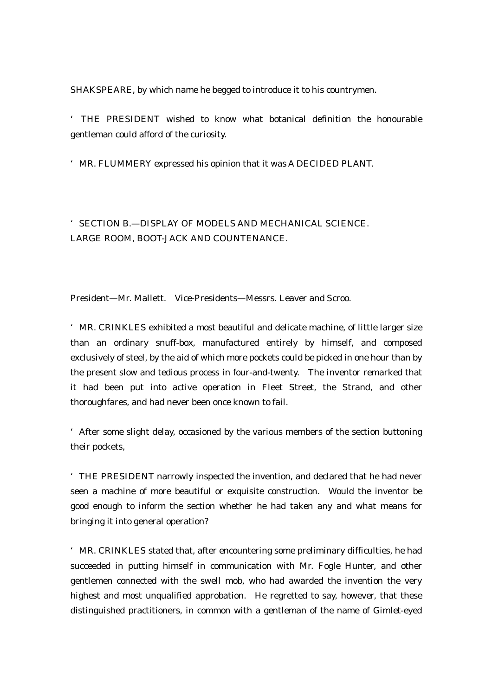SHAKSPEARE, by which name he begged to introduce it to his countrymen.

' THE PRESIDENT wished to know what botanical definition the honourable gentleman could afford of the curiosity.

'MR. FLUMMERY expressed his opinion that it was A DECIDED PLANT.

'SECTION B.—DISPLAY OF MODELS AND MECHANICAL SCIENCE. LARGE ROOM, BOOT-JACK AND COUNTENANCE.

President—Mr. Mallett. Vice-Presidents—Messrs. Leaver and Scroo.

'MR. CRINKLES exhibited a most beautiful and delicate machine, of little larger size than an ordinary snuff-box, manufactured entirely by himself, and composed exclusively of steel, by the aid of which more pockets could be picked in one hour than by the present slow and tedious process in four-and-twenty. The inventor remarked that it had been put into active operation in Fleet Street, the Strand, and other thoroughfares, and had never been once known to fail.

'After some slight delay, occasioned by the various members of the section buttoning their pockets,

'THE PRESIDENT narrowly inspected the invention, and declared that he had never seen a machine of more beautiful or exquisite construction. Would the inventor be good enough to inform the section whether he had taken any and what means for bringing it into general operation?

'MR. CRINKLES stated that, after encountering some preliminary difficulties, he had succeeded in putting himself in communication with Mr. Fogle Hunter, and other gentlemen connected with the swell mob, who had awarded the invention the very highest and most unqualified approbation. He regretted to say, however, that these distinguished practitioners, in common with a gentleman of the name of Gimlet-eyed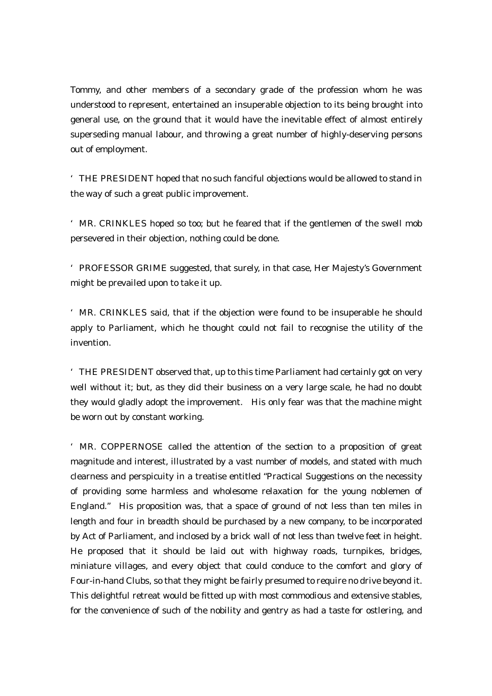Tommy, and other members of a secondary grade of the profession whom he was understood to represent, entertained an insuperable objection to its being brought into general use, on the ground that it would have the inevitable effect of almost entirely superseding manual labour, and throwing a great number of highly-deserving persons out of employment.

'THE PRESIDENT hoped that no such fanciful objections would be allowed to stand in the way of such a great public improvement.

'MR. CRINKLES hoped so too; but he feared that if the gentlemen of the swell mob persevered in their objection, nothing could be done.

'PROFESSOR GRIME suggested, that surely, in that case, Her Majesty's Government might be prevailed upon to take it up.

'MR. CRINKLES said, that if the objection were found to be insuperable he should apply to Parliament, which he thought could not fail to recognise the utility of the invention.

'THE PRESIDENT observed that, up to this time Parliament had certainly got on very well without it; but, as they did their business on a very large scale, he had no doubt they would gladly adopt the improvement. His only fear was that the machine might be worn out by constant working.

'MR. COPPERNOSE called the attention of the section to a proposition of great magnitude and interest, illustrated by a vast number of models, and stated with much clearness and perspicuity in a treatise entitled "Practical Suggestions on the necessity of providing some harmless and wholesome relaxation for the young noblemen of England." His proposition was, that a space of ground of not less than ten miles in length and four in breadth should be purchased by a new company, to be incorporated by Act of Parliament, and inclosed by a brick wall of not less than twelve feet in height. He proposed that it should be laid out with highway roads, turnpikes, bridges, miniature villages, and every object that could conduce to the comfort and glory of Four-in-hand Clubs, so that they might be fairly presumed to require no drive beyond it. This delightful retreat would be fitted up with most commodious and extensive stables, for the convenience of such of the nobility and gentry as had a taste for ostlering, and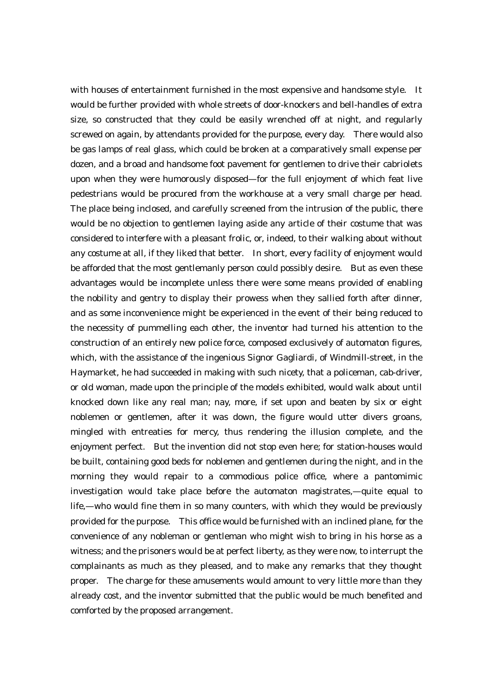with houses of entertainment furnished in the most expensive and handsome style. It would be further provided with whole streets of door-knockers and bell-handles of extra size, so constructed that they could be easily wrenched off at night, and regularly screwed on again, by attendants provided for the purpose, every day. There would also be gas lamps of real glass, which could be broken at a comparatively small expense per dozen, and a broad and handsome foot pavement for gentlemen to drive their cabriolets upon when they were humorously disposed—for the full enjoyment of which feat live pedestrians would be procured from the workhouse at a very small charge per head. The place being inclosed, and carefully screened from the intrusion of the public, there would be no objection to gentlemen laying aside any article of their costume that was considered to interfere with a pleasant frolic, or, indeed, to their walking about without any costume at all, if they liked that better. In short, every facility of enjoyment would be afforded that the most gentlemanly person could possibly desire. But as even these advantages would be incomplete unless there were some means provided of enabling the nobility and gentry to display their prowess when they sallied forth after dinner, and as some inconvenience might be experienced in the event of their being reduced to the necessity of pummelling each other, the inventor had turned his attention to the construction of an entirely new police force, composed exclusively of automaton figures, which, with the assistance of the ingenious Signor Gagliardi, of Windmill-street, in the Haymarket, he had succeeded in making with such nicety, that a policeman, cab-driver, or old woman, made upon the principle of the models exhibited, would walk about until knocked down like any real man; nay, more, if set upon and beaten by six or eight noblemen or gentlemen, after it was down, the figure would utter divers groans, mingled with entreaties for mercy, thus rendering the illusion complete, and the enjoyment perfect. But the invention did not stop even here; for station-houses would be built, containing good beds for noblemen and gentlemen during the night, and in the morning they would repair to a commodious police office, where a pantomimic investigation would take place before the automaton magistrates,—quite equal to life,—who would fine them in so many counters, with which they would be previously provided for the purpose. This office would be furnished with an inclined plane, for the convenience of any nobleman or gentleman who might wish to bring in his horse as a witness; and the prisoners would be at perfect liberty, as they were now, to interrupt the complainants as much as they pleased, and to make any remarks that they thought proper. The charge for these amusements would amount to very little more than they already cost, and the inventor submitted that the public would be much benefited and comforted by the proposed arrangement.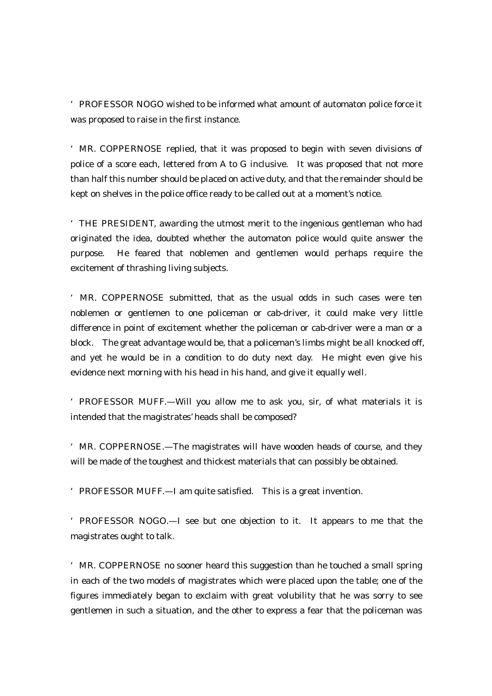'PROFESSOR NOGO wished to be informed what amount of automaton police force it was proposed to raise in the first instance.

'MR. COPPERNOSE replied, that it was proposed to begin with seven divisions of police of a score each, lettered from A to G inclusive. It was proposed that not more than half this number should be placed on active duty, and that the remainder should be kept on shelves in the police office ready to be called out at a moment's notice.

'THE PRESIDENT, awarding the utmost merit to the ingenious gentleman who had originated the idea, doubted whether the automaton police would quite answer the purpose. He feared that noblemen and gentlemen would perhaps require the excitement of thrashing living subjects.

'MR. COPPERNOSE submitted, that as the usual odds in such cases were ten noblemen or gentlemen to one policeman or cab-driver, it could make very little difference in point of excitement whether the policeman or cab-driver were a man or a block. The great advantage would be, that a policeman's limbs might be all knocked off, and yet he would be in a condition to do duty next day. He might even give his evidence next morning with his head in his hand, and give it equally well.

'PROFESSOR MUFF.—Will you allow me to ask you, sir, of what materials it is intended that the magistrates' heads shall be composed?

'MR. COPPERNOSE.—The magistrates will have wooden heads of course, and they will be made of the toughest and thickest materials that can possibly be obtained.

'PROFESSOR MUFF.—I am quite satisfied. This is a great invention.

'PROFESSOR NOGO.—I see but one objection to it. It appears to me that the magistrates ought to talk.

'MR. COPPERNOSE no sooner heard this suggestion than he touched a small spring in each of the two models of magistrates which were placed upon the table; one of the figures immediately began to exclaim with great volubility that he was sorry to see gentlemen in such a situation, and the other to express a fear that the policeman was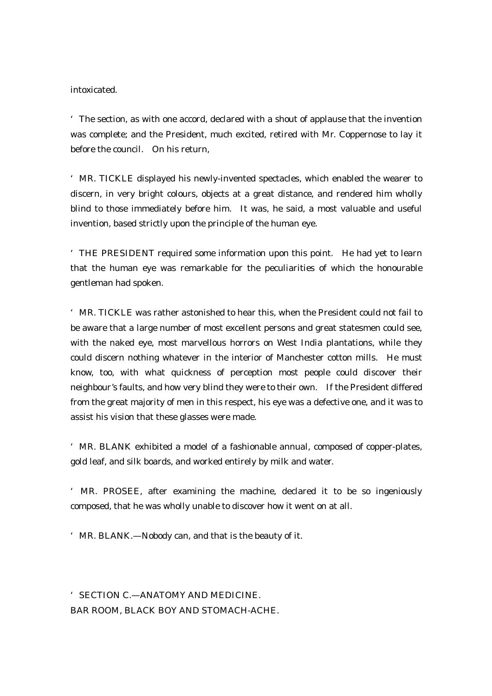intoxicated.

'The section, as with one accord, declared with a shout of applause that the invention was complete; and the President, much excited, retired with Mr. Coppernose to lay it before the council. On his return,

'MR. TICKLE displayed his newly-invented spectacles, which enabled the wearer to discern, in very bright colours, objects at a great distance, and rendered him wholly blind to those immediately before him. It was, he said, a most valuable and useful invention, based strictly upon the principle of the human eye.

'THE PRESIDENT required some information upon this point. He had yet to learn that the human eye was remarkable for the peculiarities of which the honourable gentleman had spoken.

'MR. TICKLE was rather astonished to hear this, when the President could not fail to be aware that a large number of most excellent persons and great statesmen could see, with the naked eye, most marvellous horrors on West India plantations, while they could discern nothing whatever in the interior of Manchester cotton mills. He must know, too, with what quickness of perception most people could discover their neighbour's faults, and how very blind they were to their own. If the President differed from the great majority of men in this respect, his eye was a defective one, and it was to assist his vision that these glasses were made.

'MR. BLANK exhibited a model of a fashionable annual, composed of copper-plates, gold leaf, and silk boards, and worked entirely by milk and water.

'MR. PROSEE, after examining the machine, declared it to be so ingeniously composed, that he was wholly unable to discover how it went on at all.

'MR. BLANK.—Nobody can, and that is the beauty of it.

'SECTION C.—ANATOMY AND MEDICINE. BAR ROOM, BLACK BOY AND STOMACH-ACHE.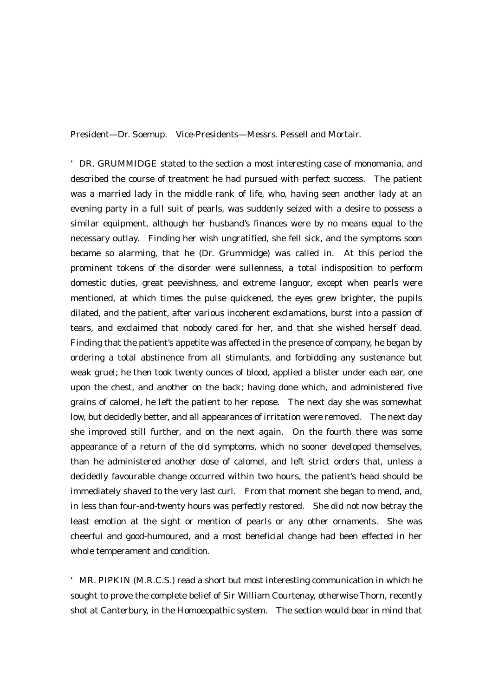President—Dr. Soemup. Vice-Presidents—Messrs. Pessell and Mortair.

'DR. GRUMMIDGE stated to the section a most interesting case of monomania, and described the course of treatment he had pursued with perfect success. The patient was a married lady in the middle rank of life, who, having seen another lady at an evening party in a full suit of pearls, was suddenly seized with a desire to possess a similar equipment, although her husband's finances were by no means equal to the necessary outlay. Finding her wish ungratified, she fell sick, and the symptoms soon became so alarming, that he (Dr. Grummidge) was called in. At this period the prominent tokens of the disorder were sullenness, a total indisposition to perform domestic duties, great peevishness, and extreme languor, except when pearls were mentioned, at which times the pulse quickened, the eyes grew brighter, the pupils dilated, and the patient, after various incoherent exclamations, burst into a passion of tears, and exclaimed that nobody cared for her, and that she wished herself dead. Finding that the patient's appetite was affected in the presence of company, he began by ordering a total abstinence from all stimulants, and forbidding any sustenance but weak gruel; he then took twenty ounces of blood, applied a blister under each ear, one upon the chest, and another on the back; having done which, and administered five grains of calomel, he left the patient to her repose. The next day she was somewhat low, but decidedly better, and all appearances of irritation were removed. The next day she improved still further, and on the next again. On the fourth there was some appearance of a return of the old symptoms, which no sooner developed themselves, than he administered another dose of calomel, and left strict orders that, unless a decidedly favourable change occurred within two hours, the patient's head should be immediately shaved to the very last curl. From that moment she began to mend, and, in less than four-and-twenty hours was perfectly restored. She did not now betray the least emotion at the sight or mention of pearls or any other ornaments. She was cheerful and good-humoured, and a most beneficial change had been effected in her whole temperament and condition.

'MR. PIPKIN (M.R.C.S.) read a short but most interesting communication in which he sought to prove the complete belief of Sir William Courtenay, otherwise Thorn, recently shot at Canterbury, in the Homoeopathic system. The section would bear in mind that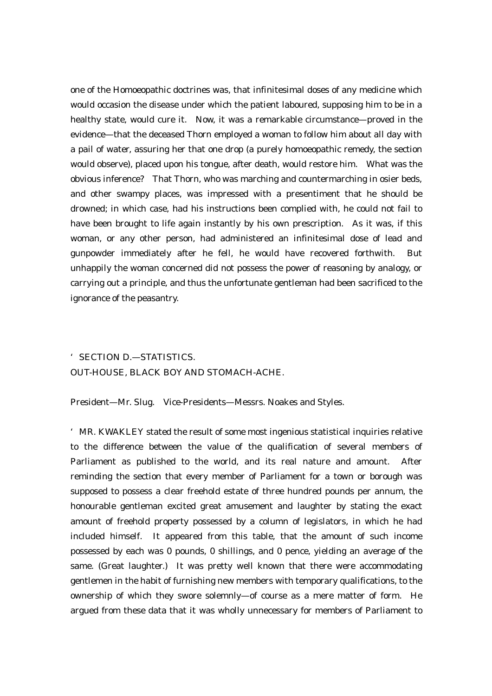one of the Homoeopathic doctrines was, that infinitesimal doses of any medicine which would occasion the disease under which the patient laboured, supposing him to be in a healthy state, would cure it. Now, it was a remarkable circumstance—proved in the evidence—that the deceased Thorn employed a woman to follow him about all day with a pail of water, assuring her that one drop (a purely homoeopathic remedy, the section would observe), placed upon his tongue, after death, would restore him. What was the obvious inference? That Thorn, who was marching and countermarching in osier beds, and other swampy places, was impressed with a presentiment that he should be drowned; in which case, had his instructions been complied with, he could not fail to have been brought to life again instantly by his own prescription. As it was, if this woman, or any other person, had administered an infinitesimal dose of lead and gunpowder immediately after he fell, he would have recovered forthwith. But unhappily the woman concerned did not possess the power of reasoning by analogy, or carrying out a principle, and thus the unfortunate gentleman had been sacrificed to the ignorance of the peasantry.

# 'SECTION D.—STATISTICS. OUT-HOUSE, BLACK BOY AND STOMACH-ACHE.

President—Mr. Slug. Vice-Presidents—Messrs. Noakes and Styles.

'MR. KWAKLEY stated the result of some most ingenious statistical inquiries relative to the difference between the value of the qualification of several members of Parliament as published to the world, and its real nature and amount. After reminding the section that every member of Parliament for a town or borough was supposed to possess a clear freehold estate of three hundred pounds per annum, the honourable gentleman excited great amusement and laughter by stating the exact amount of freehold property possessed by a column of legislators, in which he had included himself. It appeared from this table, that the amount of such income possessed by each was 0 pounds, 0 shillings, and 0 pence, yielding an average of the same. (Great laughter.) It was pretty well known that there were accommodating gentlemen in the habit of furnishing new members with temporary qualifications, to the ownership of which they swore solemnly—of course as a mere matter of form. He argued from these data that it was wholly unnecessary for members of Parliament to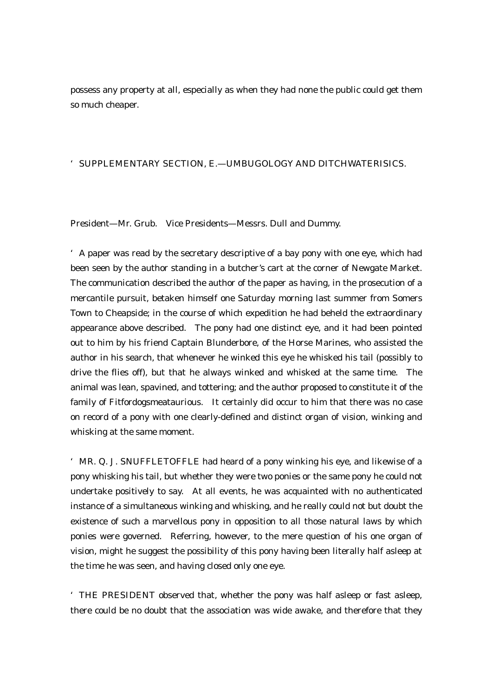possess any property at all, especially as when they had none the public could get them so much cheaper.

#### 'SUPPLEMENTARY SECTION, E.—UMBUGOLOGY AND DITCHWATERISICS.

President—Mr. Grub. Vice Presidents—Messrs. Dull and Dummy.

'A paper was read by the secretary descriptive of a bay pony with one eye, which had been seen by the author standing in a butcher's cart at the corner of Newgate Market. The communication described the author of the paper as having, in the prosecution of a mercantile pursuit, betaken himself one Saturday morning last summer from Somers Town to Cheapside; in the course of which expedition he had beheld the extraordinary appearance above described. The pony had one distinct eye, and it had been pointed out to him by his friend Captain Blunderbore, of the Horse Marines, who assisted the author in his search, that whenever he winked this eye he whisked his tail (possibly to drive the flies off), but that he always winked and whisked at the same time. The animal was lean, spavined, and tottering; and the author proposed to constitute it of the family of Fitfordogsmeataurious. It certainly did occur to him that there was no case on record of a pony with one clearly-defined and distinct organ of vision, winking and whisking at the same moment.

'MR. Q. J. SNUFFLETOFFLE had heard of a pony winking his eye, and likewise of a pony whisking his tail, but whether they were two ponies or the same pony he could not undertake positively to say. At all events, he was acquainted with no authenticated instance of a simultaneous winking and whisking, and he really could not but doubt the existence of such a marvellous pony in opposition to all those natural laws by which ponies were governed. Referring, however, to the mere question of his one organ of vision, might he suggest the possibility of this pony having been literally half asleep at the time he was seen, and having closed only one eye.

'THE PRESIDENT observed that, whether the pony was half asleep or fast asleep, there could be no doubt that the association was wide awake, and therefore that they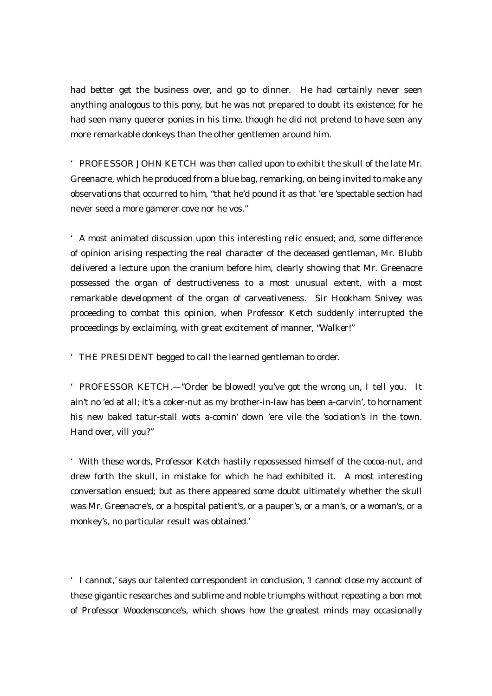had better get the business over, and go to dinner. He had certainly never seen anything analogous to this pony, but he was not prepared to doubt its existence; for he had seen many queerer ponies in his time, though he did not pretend to have seen any more remarkable donkeys than the other gentlemen around him.

'PROFESSOR JOHN KETCH was then called upon to exhibit the skull of the late Mr. Greenacre, which he produced from a blue bag, remarking, on being invited to make any observations that occurred to him, "that he'd pound it as that 'ere 'spectable section had never seed a more gamerer cove nor he vos."

'A most animated discussion upon this interesting relic ensued; and, some difference of opinion arising respecting the real character of the deceased gentleman, Mr. Blubb delivered a lecture upon the cranium before him, clearly showing that Mr. Greenacre possessed the organ of destructiveness to a most unusual extent, with a most remarkable development of the organ of carveativeness. Sir Hookham Snivey was proceeding to combat this opinion, when Professor Ketch suddenly interrupted the proceedings by exclaiming, with great excitement of manner, "Walker!"

'THE PRESIDENT begged to call the learned gentleman to order.

'PROFESSOR KETCH.—"Order be blowed! you've got the wrong un, I tell you. It ain't no 'ed at all; it's a coker-nut as my brother-in-law has been a-carvin', to hornament his new baked tatur-stall wots a-comin' down 'ere vile the 'sociation's in the town. Hand over, vill you?"

'With these words, Professor Ketch hastily repossessed himself of the cocoa-nut, and drew forth the skull, in mistake for which he had exhibited it. A most interesting conversation ensued; but as there appeared some doubt ultimately whether the skull was Mr. Greenacre's, or a hospital patient's, or a pauper's, or a man's, or a woman's, or a monkey's, no particular result was obtained.'

'I cannot,' says our talented correspondent in conclusion, 'I cannot close my account of these gigantic researches and sublime and noble triumphs without repeating a bon mot of Professor Woodensconce's, which shows how the greatest minds may occasionally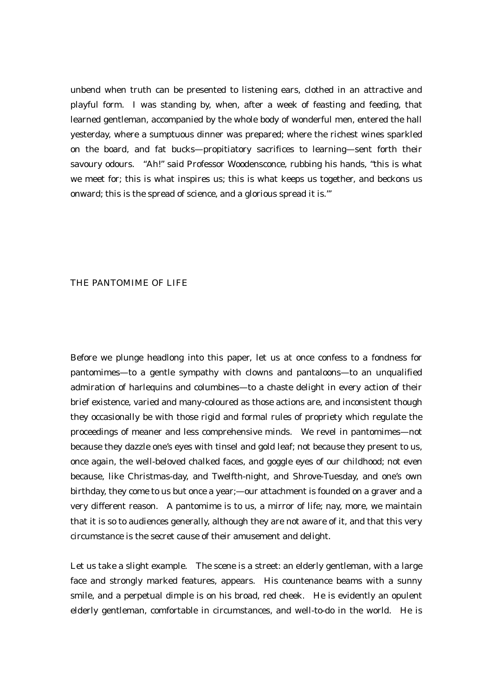unbend when truth can be presented to listening ears, clothed in an attractive and playful form. I was standing by, when, after a week of feasting and feeding, that learned gentleman, accompanied by the whole body of wonderful men, entered the hall yesterday, where a sumptuous dinner was prepared; where the richest wines sparkled on the board, and fat bucks—propitiatory sacrifices to learning—sent forth their savoury odours. "Ah!" said Professor Woodensconce, rubbing his hands, "this is what we meet for; this is what inspires us; this is what keeps us together, and beckons us onward; this is the spread of science, and a glorious spread it is."'

#### THE PANTOMIME OF LIFE

Before we plunge headlong into this paper, let us at once confess to a fondness for pantomimes—to a gentle sympathy with clowns and pantaloons—to an unqualified admiration of harlequins and columbines—to a chaste delight in every action of their brief existence, varied and many-coloured as those actions are, and inconsistent though they occasionally be with those rigid and formal rules of propriety which regulate the proceedings of meaner and less comprehensive minds. We revel in pantomimes—not because they dazzle one's eyes with tinsel and gold leaf; not because they present to us, once again, the well-beloved chalked faces, and goggle eyes of our childhood; not even because, like Christmas-day, and Twelfth-night, and Shrove-Tuesday, and one's own birthday, they come to us but once a year;—our attachment is founded on a graver and a very different reason. A pantomime is to us, a mirror of life; nay, more, we maintain that it is so to audiences generally, although they are not aware of it, and that this very circumstance is the secret cause of their amusement and delight.

Let us take a slight example. The scene is a street: an elderly gentleman, with a large face and strongly marked features, appears. His countenance beams with a sunny smile, and a perpetual dimple is on his broad, red cheek. He is evidently an opulent elderly gentleman, comfortable in circumstances, and well-to-do in the world. He is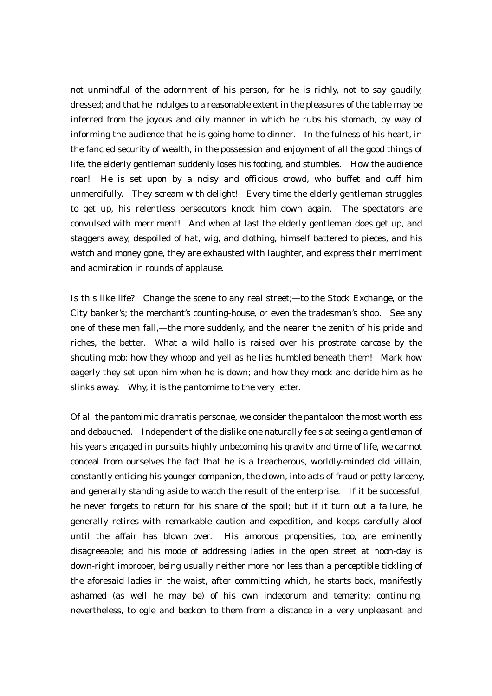not unmindful of the adornment of his person, for he is richly, not to say gaudily, dressed; and that he indulges to a reasonable extent in the pleasures of the table may be inferred from the joyous and oily manner in which he rubs his stomach, by way of informing the audience that he is going home to dinner. In the fulness of his heart, in the fancied security of wealth, in the possession and enjoyment of all the good things of life, the elderly gentleman suddenly loses his footing, and stumbles. How the audience roar! He is set upon by a noisy and officious crowd, who buffet and cuff him unmercifully. They scream with delight! Every time the elderly gentleman struggles to get up, his relentless persecutors knock him down again. The spectators are convulsed with merriment! And when at last the elderly gentleman does get up, and staggers away, despoiled of hat, wig, and clothing, himself battered to pieces, and his watch and money gone, they are exhausted with laughter, and express their merriment and admiration in rounds of applause.

Is this like life? Change the scene to any real street;—to the Stock Exchange, or the City banker's; the merchant's counting-house, or even the tradesman's shop. See any one of these men fall,—the more suddenly, and the nearer the zenith of his pride and riches, the better. What a wild hallo is raised over his prostrate carcase by the shouting mob; how they whoop and yell as he lies humbled beneath them! Mark how eagerly they set upon him when he is down; and how they mock and deride him as he slinks away. Why, it is the pantomime to the very letter.

Of all the pantomimic dramatis personae, we consider the pantaloon the most worthless and debauched. Independent of the dislike one naturally feels at seeing a gentleman of his years engaged in pursuits highly unbecoming his gravity and time of life, we cannot conceal from ourselves the fact that he is a treacherous, worldly-minded old villain, constantly enticing his younger companion, the clown, into acts of fraud or petty larceny, and generally standing aside to watch the result of the enterprise. If it be successful, he never forgets to return for his share of the spoil; but if it turn out a failure, he generally retires with remarkable caution and expedition, and keeps carefully aloof until the affair has blown over. His amorous propensities, too, are eminently disagreeable; and his mode of addressing ladies in the open street at noon-day is down-right improper, being usually neither more nor less than a perceptible tickling of the aforesaid ladies in the waist, after committing which, he starts back, manifestly ashamed (as well he may be) of his own indecorum and temerity; continuing, nevertheless, to ogle and beckon to them from a distance in a very unpleasant and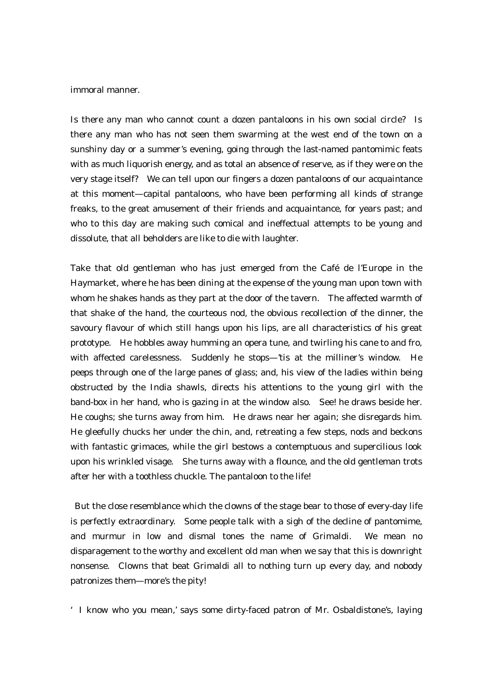#### immoral manner.

Is there any man who cannot count a dozen pantaloons in his own social circle? Is there any man who has not seen them swarming at the west end of the town on a sunshiny day or a summer's evening, going through the last-named pantomimic feats with as much liquorish energy, and as total an absence of reserve, as if they were on the very stage itself? We can tell upon our fingers a dozen pantaloons of our acquaintance at this moment—capital pantaloons, who have been performing all kinds of strange freaks, to the great amusement of their friends and acquaintance, for years past; and who to this day are making such comical and ineffectual attempts to be young and dissolute, that all beholders are like to die with laughter.

Take that old gentleman who has just emerged from the Café de l'Europe in the Haymarket, where he has been dining at the expense of the young man upon town with whom he shakes hands as they part at the door of the tavern. The affected warmth of that shake of the hand, the courteous nod, the obvious recollection of the dinner, the savoury flavour of which still hangs upon his lips, are all characteristics of his great prototype. He hobbles away humming an opera tune, and twirling his cane to and fro, with affected carelessness. Suddenly he stops—'tis at the milliner's window. He peeps through one of the large panes of glass; and, his view of the ladies within being obstructed by the India shawls, directs his attentions to the young girl with the band-box in her hand, who is gazing in at the window also. See! he draws beside her. He coughs; she turns away from him. He draws near her again; she disregards him. He gleefully chucks her under the chin, and, retreating a few steps, nods and beckons with fantastic grimaces, while the girl bestows a contemptuous and supercilious look upon his wrinkled visage. She turns away with a flounce, and the old gentleman trots after her with a toothless chuckle. The pantaloon to the life!

 But the close resemblance which the clowns of the stage bear to those of every-day life is perfectly extraordinary. Some people talk with a sigh of the decline of pantomime, and murmur in low and dismal tones the name of Grimaldi. We mean no disparagement to the worthy and excellent old man when we say that this is downright nonsense. Clowns that beat Grimaldi all to nothing turn up every day, and nobody patronizes them—more's the pity!

'I know who you mean,' says some dirty-faced patron of Mr. Osbaldistone's, laying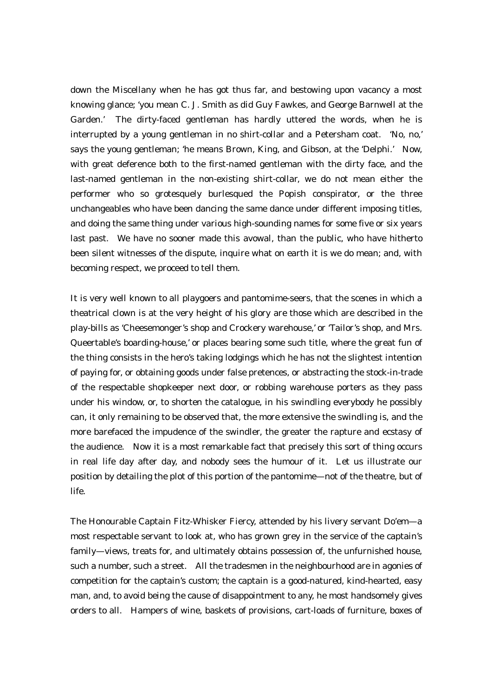down the Miscellany when he has got thus far, and bestowing upon vacancy a most knowing glance; 'you mean C. J. Smith as did Guy Fawkes, and George Barnwell at the Garden.' The dirty-faced gentleman has hardly uttered the words, when he is interrupted by a young gentleman in no shirt-collar and a Petersham coat. 'No, no,' says the young gentleman; 'he means Brown, King, and Gibson, at the 'Delphi.' Now, with great deference both to the first-named gentleman with the dirty face, and the last-named gentleman in the non-existing shirt-collar, we do not mean either the performer who so grotesquely burlesqued the Popish conspirator, or the three unchangeables who have been dancing the same dance under different imposing titles, and doing the same thing under various high-sounding names for some five or six years last past. We have no sooner made this avowal, than the public, who have hitherto been silent witnesses of the dispute, inquire what on earth it is we do mean; and, with becoming respect, we proceed to tell them.

It is very well known to all playgoers and pantomime-seers, that the scenes in which a theatrical clown is at the very height of his glory are those which are described in the play-bills as 'Cheesemonger's shop and Crockery warehouse,' or 'Tailor's shop, and Mrs. Queertable's boarding-house,' or places bearing some such title, where the great fun of the thing consists in the hero's taking lodgings which he has not the slightest intention of paying for, or obtaining goods under false pretences, or abstracting the stock-in-trade of the respectable shopkeeper next door, or robbing warehouse porters as they pass under his window, or, to shorten the catalogue, in his swindling everybody he possibly can, it only remaining to be observed that, the more extensive the swindling is, and the more barefaced the impudence of the swindler, the greater the rapture and ecstasy of the audience. Now it is a most remarkable fact that precisely this sort of thing occurs in real life day after day, and nobody sees the humour of it. Let us illustrate our position by detailing the plot of this portion of the pantomime—not of the theatre, but of life.

The Honourable Captain Fitz-Whisker Fiercy, attended by his livery servant Do'em—a most respectable servant to look at, who has grown grey in the service of the captain's family—views, treats for, and ultimately obtains possession of, the unfurnished house, such a number, such a street. All the tradesmen in the neighbourhood are in agonies of competition for the captain's custom; the captain is a good-natured, kind-hearted, easy man, and, to avoid being the cause of disappointment to any, he most handsomely gives orders to all. Hampers of wine, baskets of provisions, cart-loads of furniture, boxes of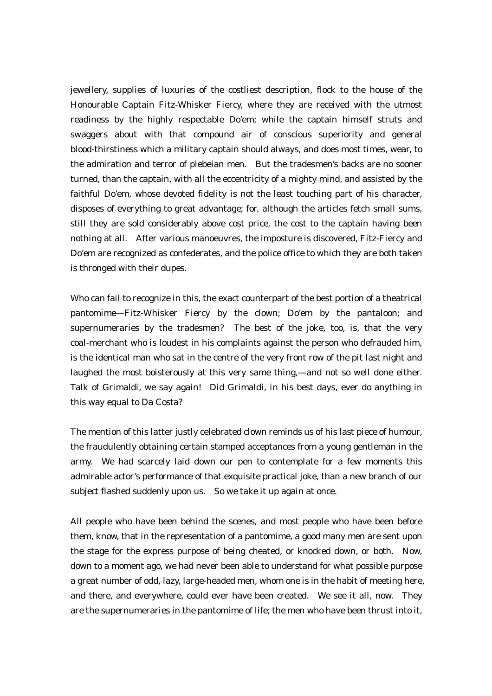jewellery, supplies of luxuries of the costliest description, flock to the house of the Honourable Captain Fitz-Whisker Fiercy, where they are received with the utmost readiness by the highly respectable Do'em; while the captain himself struts and swaggers about with that compound air of conscious superiority and general blood-thirstiness which a military captain should always, and does most times, wear, to the admiration and terror of plebeian men. But the tradesmen's backs are no sooner turned, than the captain, with all the eccentricity of a mighty mind, and assisted by the faithful Do'em, whose devoted fidelity is not the least touching part of his character, disposes of everything to great advantage; for, although the articles fetch small sums, still they are sold considerably above cost price, the cost to the captain having been nothing at all. After various manoeuvres, the imposture is discovered, Fitz-Fiercy and Do'em are recognized as confederates, and the police office to which they are both taken is thronged with their dupes.

Who can fail to recognize in this, the exact counterpart of the best portion of a theatrical pantomime—Fitz-Whisker Fiercy by the clown; Do'em by the pantaloon; and supernumeraries by the tradesmen? The best of the joke, too, is, that the very coal-merchant who is loudest in his complaints against the person who defrauded him, is the identical man who sat in the centre of the very front row of the pit last night and laughed the most boisterously at this very same thing,—and not so well done either. Talk of Grimaldi, we say again! Did Grimaldi, in his best days, ever do anything in this way equal to Da Costa?

The mention of this latter justly celebrated clown reminds us of his last piece of humour, the fraudulently obtaining certain stamped acceptances from a young gentleman in the army. We had scarcely laid down our pen to contemplate for a few moments this admirable actor's performance of that exquisite practical joke, than a new branch of our subject flashed suddenly upon us. So we take it up again at once.

All people who have been behind the scenes, and most people who have been before them, know, that in the representation of a pantomime, a good many men are sent upon the stage for the express purpose of being cheated, or knocked down, or both. Now, down to a moment ago, we had never been able to understand for what possible purpose a great number of odd, lazy, large-headed men, whom one is in the habit of meeting here, and there, and everywhere, could ever have been created. We see it all, now. They are the supernumeraries in the pantomime of life; the men who have been thrust into it,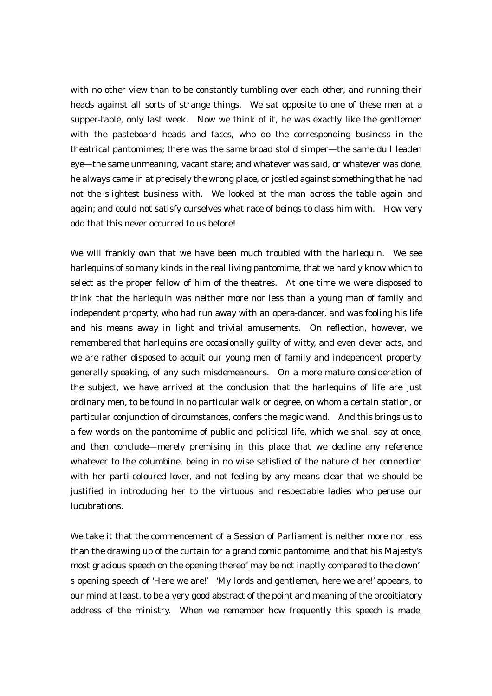with no other view than to be constantly tumbling over each other, and running their heads against all sorts of strange things. We sat opposite to one of these men at a supper-table, only last week. Now we think of it, he was exactly like the gentlemen with the pasteboard heads and faces, who do the corresponding business in the theatrical pantomimes; there was the same broad stolid simper—the same dull leaden eye—the same unmeaning, vacant stare; and whatever was said, or whatever was done, he always came in at precisely the wrong place, or jostled against something that he had not the slightest business with. We looked at the man across the table again and again; and could not satisfy ourselves what race of beings to class him with. How very odd that this never occurred to us before!

We will frankly own that we have been much troubled with the harlequin. We see harlequins of so many kinds in the real living pantomime, that we hardly know which to select as the proper fellow of him of the theatres. At one time we were disposed to think that the harlequin was neither more nor less than a young man of family and independent property, who had run away with an opera-dancer, and was fooling his life and his means away in light and trivial amusements. On reflection, however, we remembered that harlequins are occasionally guilty of witty, and even clever acts, and we are rather disposed to acquit our young men of family and independent property, generally speaking, of any such misdemeanours. On a more mature consideration of the subject, we have arrived at the conclusion that the harlequins of life are just ordinary men, to be found in no particular walk or degree, on whom a certain station, or particular conjunction of circumstances, confers the magic wand. And this brings us to a few words on the pantomime of public and political life, which we shall say at once, and then conclude—merely premising in this place that we decline any reference whatever to the columbine, being in no wise satisfied of the nature of her connection with her parti-coloured lover, and not feeling by any means clear that we should be justified in introducing her to the virtuous and respectable ladies who peruse our lucubrations.

We take it that the commencement of a Session of Parliament is neither more nor less than the drawing up of the curtain for a grand comic pantomime, and that his Majesty's most gracious speech on the opening thereof may be not inaptly compared to the clown' s opening speech of 'Here we are!' 'My lords and gentlemen, here we are!' appears, to our mind at least, to be a very good abstract of the point and meaning of the propitiatory address of the ministry. When we remember how frequently this speech is made,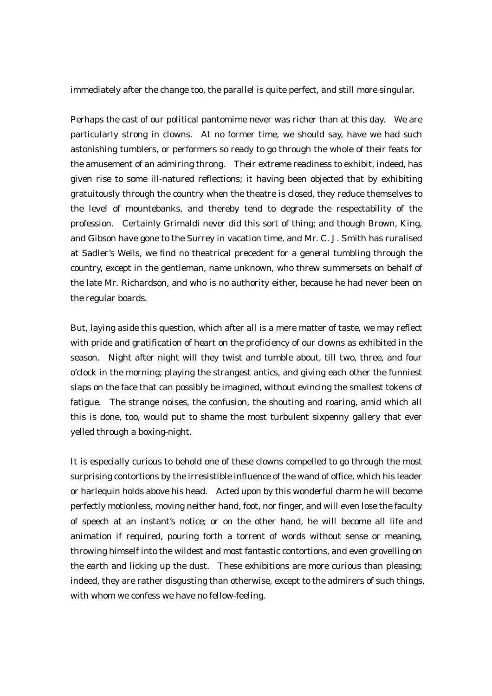immediately after the change too, the parallel is quite perfect, and still more singular.

Perhaps the cast of our political pantomime never was richer than at this day. We are particularly strong in clowns. At no former time, we should say, have we had such astonishing tumblers, or performers so ready to go through the whole of their feats for the amusement of an admiring throng. Their extreme readiness to exhibit, indeed, has given rise to some ill-natured reflections; it having been objected that by exhibiting gratuitously through the country when the theatre is closed, they reduce themselves to the level of mountebanks, and thereby tend to degrade the respectability of the profession. Certainly Grimaldi never did this sort of thing; and though Brown, King, and Gibson have gone to the Surrey in vacation time, and Mr. C. J. Smith has ruralised at Sadler's Wells, we find no theatrical precedent for a general tumbling through the country, except in the gentleman, name unknown, who threw summersets on behalf of the late Mr. Richardson, and who is no authority either, because he had never been on the regular boards.

But, laying aside this question, which after all is a mere matter of taste, we may reflect with pride and gratification of heart on the proficiency of our clowns as exhibited in the season. Night after night will they twist and tumble about, till two, three, and four o'clock in the morning; playing the strangest antics, and giving each other the funniest slaps on the face that can possibly be imagined, without evincing the smallest tokens of fatigue. The strange noises, the confusion, the shouting and roaring, amid which all this is done, too, would put to shame the most turbulent sixpenny gallery that ever yelled through a boxing-night.

It is especially curious to behold one of these clowns compelled to go through the most surprising contortions by the irresistible influence of the wand of office, which his leader or harlequin holds above his head. Acted upon by this wonderful charm he will become perfectly motionless, moving neither hand, foot, nor finger, and will even lose the faculty of speech at an instant's notice; or on the other hand, he will become all life and animation if required, pouring forth a torrent of words without sense or meaning, throwing himself into the wildest and most fantastic contortions, and even grovelling on the earth and licking up the dust. These exhibitions are more curious than pleasing; indeed, they are rather disgusting than otherwise, except to the admirers of such things, with whom we confess we have no fellow-feeling.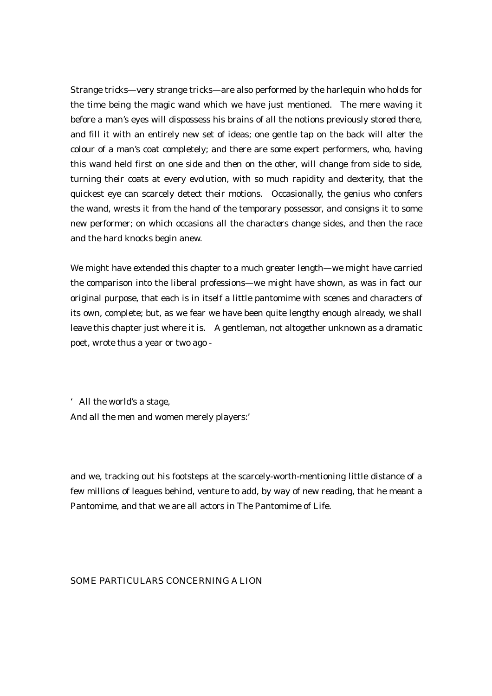Strange tricks—very strange tricks—are also performed by the harlequin who holds for the time being the magic wand which we have just mentioned. The mere waving it before a man's eyes will dispossess his brains of all the notions previously stored there, and fill it with an entirely new set of ideas; one gentle tap on the back will alter the colour of a man's coat completely; and there are some expert performers, who, having this wand held first on one side and then on the other, will change from side to side, turning their coats at every evolution, with so much rapidity and dexterity, that the quickest eye can scarcely detect their motions. Occasionally, the genius who confers the wand, wrests it from the hand of the temporary possessor, and consigns it to some new performer; on which occasions all the characters change sides, and then the race and the hard knocks begin anew.

We might have extended this chapter to a much greater length—we might have carried the comparison into the liberal professions—we might have shown, as was in fact our original purpose, that each is in itself a little pantomime with scenes and characters of its own, complete; but, as we fear we have been quite lengthy enough already, we shall leave this chapter just where it is. A gentleman, not altogether unknown as a dramatic poet, wrote thus a year or two ago -

'All the world's a stage, And all the men and women merely players:'

and we, tracking out his footsteps at the scarcely-worth-mentioning little distance of a few millions of leagues behind, venture to add, by way of new reading, that he meant a Pantomime, and that we are all actors in The Pantomime of Life.

#### SOME PARTICULARS CONCERNING A LION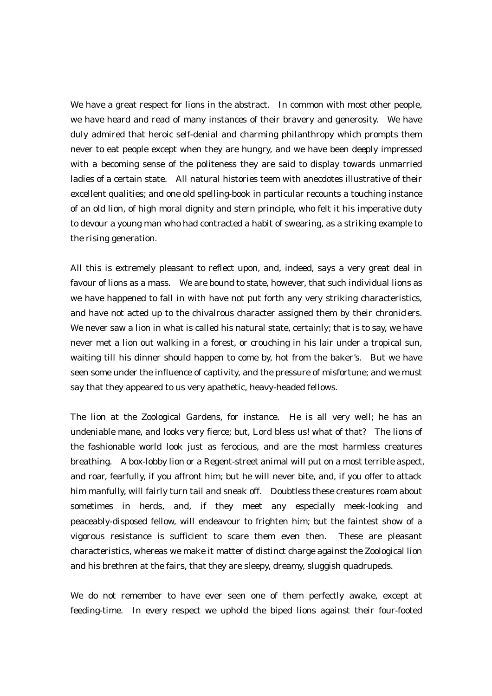We have a great respect for lions in the abstract. In common with most other people, we have heard and read of many instances of their bravery and generosity. We have duly admired that heroic self-denial and charming philanthropy which prompts them never to eat people except when they are hungry, and we have been deeply impressed with a becoming sense of the politeness they are said to display towards unmarried ladies of a certain state. All natural histories teem with anecdotes illustrative of their excellent qualities; and one old spelling-book in particular recounts a touching instance of an old lion, of high moral dignity and stern principle, who felt it his imperative duty to devour a young man who had contracted a habit of swearing, as a striking example to the rising generation.

All this is extremely pleasant to reflect upon, and, indeed, says a very great deal in favour of lions as a mass. We are bound to state, however, that such individual lions as we have happened to fall in with have not put forth any very striking characteristics, and have not acted up to the chivalrous character assigned them by their chroniclers. We never saw a lion in what is called his natural state, certainly; that is to say, we have never met a lion out walking in a forest, or crouching in his lair under a tropical sun, waiting till his dinner should happen to come by, hot from the baker's. But we have seen some under the influence of captivity, and the pressure of misfortune; and we must say that they appeared to us very apathetic, heavy-headed fellows.

The lion at the Zoological Gardens, for instance. He is all very well; he has an undeniable mane, and looks very fierce; but, Lord bless us! what of that? The lions of the fashionable world look just as ferocious, and are the most harmless creatures breathing. A box-lobby lion or a Regent-street animal will put on a most terrible aspect, and roar, fearfully, if you affront him; but he will never bite, and, if you offer to attack him manfully, will fairly turn tail and sneak off. Doubtless these creatures roam about sometimes in herds, and, if they meet any especially meek-looking and peaceably-disposed fellow, will endeavour to frighten him; but the faintest show of a vigorous resistance is sufficient to scare them even then. These are pleasant characteristics, whereas we make it matter of distinct charge against the Zoological lion and his brethren at the fairs, that they are sleepy, dreamy, sluggish quadrupeds.

We do not remember to have ever seen one of them perfectly awake, except at feeding-time. In every respect we uphold the biped lions against their four-footed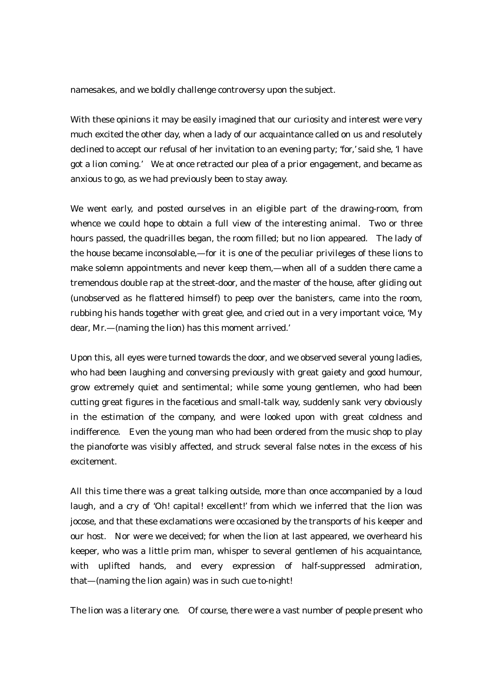namesakes, and we boldly challenge controversy upon the subject.

With these opinions it may be easily imagined that our curiosity and interest were very much excited the other day, when a lady of our acquaintance called on us and resolutely declined to accept our refusal of her invitation to an evening party; 'for,' said she, 'I have got a lion coming.' We at once retracted our plea of a prior engagement, and became as anxious to go, as we had previously been to stay away.

We went early, and posted ourselves in an eligible part of the drawing-room, from whence we could hope to obtain a full view of the interesting animal. Two or three hours passed, the quadrilles began, the room filled; but no lion appeared. The lady of the house became inconsolable,—for it is one of the peculiar privileges of these lions to make solemn appointments and never keep them,—when all of a sudden there came a tremendous double rap at the street-door, and the master of the house, after gliding out (unobserved as he flattered himself) to peep over the banisters, came into the room, rubbing his hands together with great glee, and cried out in a very important voice, 'My dear, Mr.—(naming the lion) has this moment arrived.'

Upon this, all eyes were turned towards the door, and we observed several young ladies, who had been laughing and conversing previously with great gaiety and good humour, grow extremely quiet and sentimental; while some young gentlemen, who had been cutting great figures in the facetious and small-talk way, suddenly sank very obviously in the estimation of the company, and were looked upon with great coldness and indifference. Even the young man who had been ordered from the music shop to play the pianoforte was visibly affected, and struck several false notes in the excess of his excitement.

All this time there was a great talking outside, more than once accompanied by a loud laugh, and a cry of 'Oh! capital! excellent!' from which we inferred that the lion was jocose, and that these exclamations were occasioned by the transports of his keeper and our host. Nor were we deceived; for when the lion at last appeared, we overheard his keeper, who was a little prim man, whisper to several gentlemen of his acquaintance, with uplifted hands, and every expression of half-suppressed admiration, that—(naming the lion again) was in such cue to-night!

The lion was a literary one. Of course, there were a vast number of people present who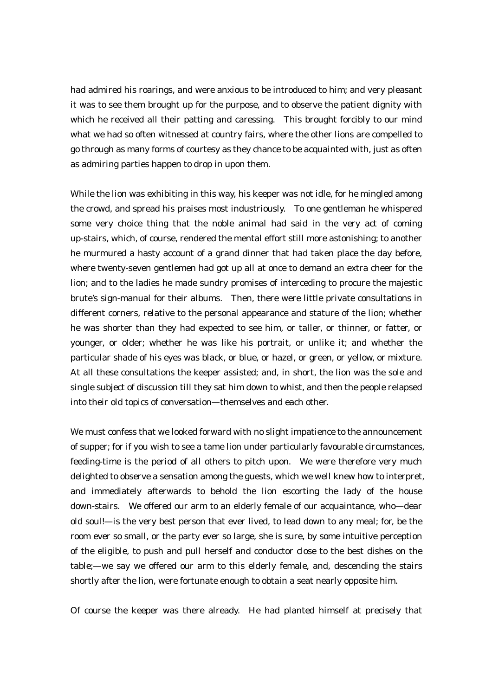had admired his roarings, and were anxious to be introduced to him; and very pleasant it was to see them brought up for the purpose, and to observe the patient dignity with which he received all their patting and caressing. This brought forcibly to our mind what we had so often witnessed at country fairs, where the other lions are compelled to go through as many forms of courtesy as they chance to be acquainted with, just as often as admiring parties happen to drop in upon them.

While the lion was exhibiting in this way, his keeper was not idle, for he mingled among the crowd, and spread his praises most industriously. To one gentleman he whispered some very choice thing that the noble animal had said in the very act of coming up-stairs, which, of course, rendered the mental effort still more astonishing; to another he murmured a hasty account of a grand dinner that had taken place the day before, where twenty-seven gentlemen had got up all at once to demand an extra cheer for the lion; and to the ladies he made sundry promises of interceding to procure the majestic brute's sign-manual for their albums. Then, there were little private consultations in different corners, relative to the personal appearance and stature of the lion; whether he was shorter than they had expected to see him, or taller, or thinner, or fatter, or younger, or older; whether he was like his portrait, or unlike it; and whether the particular shade of his eyes was black, or blue, or hazel, or green, or yellow, or mixture. At all these consultations the keeper assisted; and, in short, the lion was the sole and single subject of discussion till they sat him down to whist, and then the people relapsed into their old topics of conversation—themselves and each other.

We must confess that we looked forward with no slight impatience to the announcement of supper; for if you wish to see a tame lion under particularly favourable circumstances, feeding-time is the period of all others to pitch upon. We were therefore very much delighted to observe a sensation among the guests, which we well knew how to interpret, and immediately afterwards to behold the lion escorting the lady of the house down-stairs. We offered our arm to an elderly female of our acquaintance, who—dear old soul!—is the very best person that ever lived, to lead down to any meal; for, be the room ever so small, or the party ever so large, she is sure, by some intuitive perception of the eligible, to push and pull herself and conductor close to the best dishes on the table;—we say we offered our arm to this elderly female, and, descending the stairs shortly after the lion, were fortunate enough to obtain a seat nearly opposite him.

Of course the keeper was there already. He had planted himself at precisely that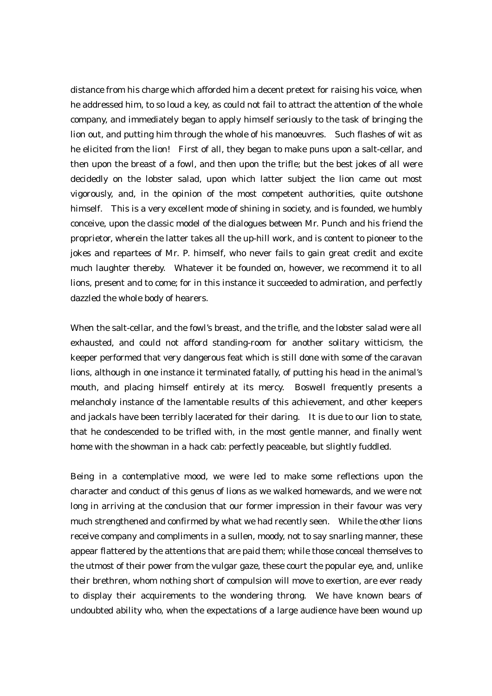distance from his charge which afforded him a decent pretext for raising his voice, when he addressed him, to so loud a key, as could not fail to attract the attention of the whole company, and immediately began to apply himself seriously to the task of bringing the lion out, and putting him through the whole of his manoeuvres. Such flashes of wit as he elicited from the lion! First of all, they began to make puns upon a salt-cellar, and then upon the breast of a fowl, and then upon the trifle; but the best jokes of all were decidedly on the lobster salad, upon which latter subject the lion came out most vigorously, and, in the opinion of the most competent authorities, quite outshone himself. This is a very excellent mode of shining in society, and is founded, we humbly conceive, upon the classic model of the dialogues between Mr. Punch and his friend the proprietor, wherein the latter takes all the up-hill work, and is content to pioneer to the jokes and repartees of Mr. P. himself, who never fails to gain great credit and excite much laughter thereby. Whatever it be founded on, however, we recommend it to all lions, present and to come; for in this instance it succeeded to admiration, and perfectly dazzled the whole body of hearers.

When the salt-cellar, and the fowl's breast, and the trifle, and the lobster salad were all exhausted, and could not afford standing-room for another solitary witticism, the keeper performed that very dangerous feat which is still done with some of the caravan lions, although in one instance it terminated fatally, of putting his head in the animal's mouth, and placing himself entirely at its mercy. Boswell frequently presents a melancholy instance of the lamentable results of this achievement, and other keepers and jackals have been terribly lacerated for their daring. It is due to our lion to state, that he condescended to be trifled with, in the most gentle manner, and finally went home with the showman in a hack cab: perfectly peaceable, but slightly fuddled.

Being in a contemplative mood, we were led to make some reflections upon the character and conduct of this genus of lions as we walked homewards, and we were not long in arriving at the conclusion that our former impression in their favour was very much strengthened and confirmed by what we had recently seen. While the other lions receive company and compliments in a sullen, moody, not to say snarling manner, these appear flattered by the attentions that are paid them; while those conceal themselves to the utmost of their power from the vulgar gaze, these court the popular eye, and, unlike their brethren, whom nothing short of compulsion will move to exertion, are ever ready to display their acquirements to the wondering throng. We have known bears of undoubted ability who, when the expectations of a large audience have been wound up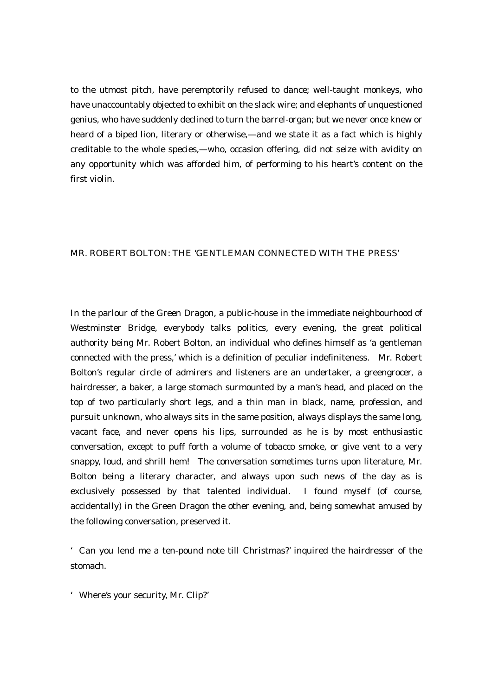to the utmost pitch, have peremptorily refused to dance; well-taught monkeys, who have unaccountably objected to exhibit on the slack wire; and elephants of unquestioned genius, who have suddenly declined to turn the barrel-organ; but we never once knew or heard of a biped lion, literary or otherwise,—and we state it as a fact which is highly creditable to the whole species,—who, occasion offering, did not seize with avidity on any opportunity which was afforded him, of performing to his heart's content on the first violin.

## MR. ROBERT BOLTON: THE 'GENTLEMAN CONNECTED WITH THE PRESS'

In the parlour of the Green Dragon, a public-house in the immediate neighbourhood of Westminster Bridge, everybody talks politics, every evening, the great political authority being Mr. Robert Bolton, an individual who defines himself as 'a gentleman connected with the press,' which is a definition of peculiar indefiniteness. Mr. Robert Bolton's regular circle of admirers and listeners are an undertaker, a greengrocer, a hairdresser, a baker, a large stomach surmounted by a man's head, and placed on the top of two particularly short legs, and a thin man in black, name, profession, and pursuit unknown, who always sits in the same position, always displays the same long, vacant face, and never opens his lips, surrounded as he is by most enthusiastic conversation, except to puff forth a volume of tobacco smoke, or give vent to a very snappy, loud, and shrill hem! The conversation sometimes turns upon literature, Mr. Bolton being a literary character, and always upon such news of the day as is exclusively possessed by that talented individual. I found myself (of course, accidentally) in the Green Dragon the other evening, and, being somewhat amused by the following conversation, preserved it.

'Can you lend me a ten-pound note till Christmas?' inquired the hairdresser of the stomach.

'Where's your security, Mr. Clip?'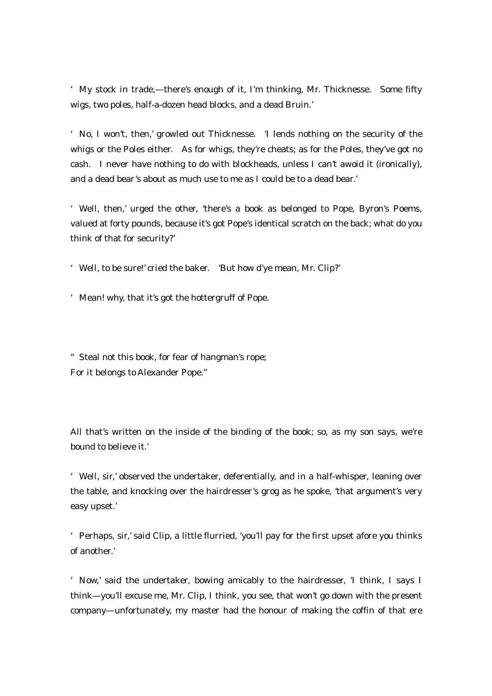'My stock in trade,—there's enough of it, I'm thinking, Mr. Thicknesse. Some fifty wigs, two poles, half-a-dozen head blocks, and a dead Bruin.'

'No, I won't, then,' growled out Thicknesse. 'I lends nothing on the security of the whigs or the Poles either. As for whigs, they're cheats; as for the Poles, they've got no cash. I never have nothing to do with blockheads, unless I can't awoid it (ironically), and a dead bear's about as much use to me as I could be to a dead bear.'

'Well, then,' urged the other, 'there's a book as belonged to Pope, Byron's Poems, valued at forty pounds, because it's got Pope's identical scratch on the back; what do you think of that for security?'

'Well, to be sure!' cried the baker. 'But how d'ye mean, Mr. Clip?'

'Mean! why, that it's got the hottergruff of Pope.

"Steal not this book, for fear of hangman's rope; For it belongs to Alexander Pope."

All that's written on the inside of the binding of the book; so, as my son says, we're bound to believe it.'

'Well, sir,' observed the undertaker, deferentially, and in a half-whisper, leaning over the table, and knocking over the hairdresser's grog as he spoke, 'that argument's very easy upset.'

'Perhaps, sir,' said Clip, a little flurried, 'you'll pay for the first upset afore you thinks of another.'

'Now,' said the undertaker, bowing amicably to the hairdresser, 'I think, I says I think—you'll excuse me, Mr. Clip, I think, you see, that won't go down with the present company—unfortunately, my master had the honour of making the coffin of that ere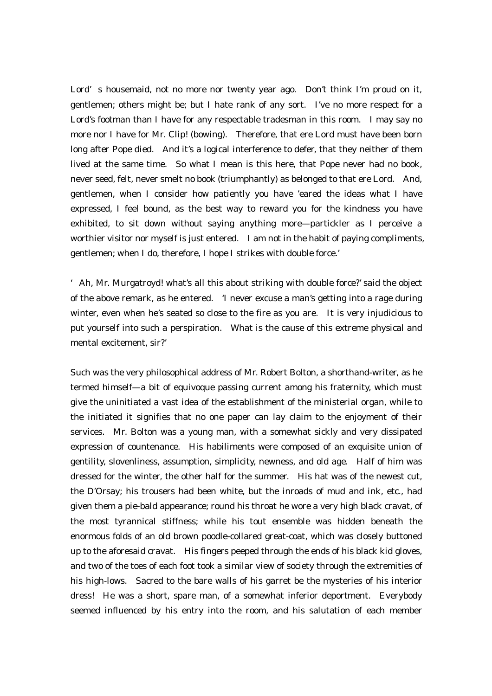Lord's housemaid, not no more nor twenty year ago. Don't think I'm proud on it, gentlemen; others might be; but I hate rank of any sort. I've no more respect for a Lord's footman than I have for any respectable tradesman in this room. I may say no more nor I have for Mr. Clip! (bowing). Therefore, that ere Lord must have been born long after Pope died. And it's a logical interference to defer, that they neither of them lived at the same time. So what I mean is this here, that Pope never had no book, never seed, felt, never smelt no book (triumphantly) as belonged to that ere Lord. And, gentlemen, when I consider how patiently you have 'eared the ideas what I have expressed, I feel bound, as the best way to reward you for the kindness you have exhibited, to sit down without saying anything more—partickler as I perceive a worthier visitor nor myself is just entered. I am not in the habit of paying compliments, gentlemen; when I do, therefore, I hope I strikes with double force.'

'Ah, Mr. Murgatroyd! what's all this about striking with double force?' said the object of the above remark, as he entered. 'I never excuse a man's getting into a rage during winter, even when he's seated so close to the fire as you are. It is very injudicious to put yourself into such a perspiration. What is the cause of this extreme physical and mental excitement, sir?'

Such was the very philosophical address of Mr. Robert Bolton, a shorthand-writer, as he termed himself—a bit of equivoque passing current among his fraternity, which must give the uninitiated a vast idea of the establishment of the ministerial organ, while to the initiated it signifies that no one paper can lay claim to the enjoyment of their services. Mr. Bolton was a young man, with a somewhat sickly and very dissipated expression of countenance. His habiliments were composed of an exquisite union of gentility, slovenliness, assumption, simplicity, newness, and old age. Half of him was dressed for the winter, the other half for the summer. His hat was of the newest cut, the D'Orsay; his trousers had been white, but the inroads of mud and ink, etc., had given them a pie-bald appearance; round his throat he wore a very high black cravat, of the most tyrannical stiffness; while his tout ensemble was hidden beneath the enormous folds of an old brown poodle-collared great-coat, which was closely buttoned up to the aforesaid cravat. His fingers peeped through the ends of his black kid gloves, and two of the toes of each foot took a similar view of society through the extremities of his high-lows. Sacred to the bare walls of his garret be the mysteries of his interior dress! He was a short, spare man, of a somewhat inferior deportment. Everybody seemed influenced by his entry into the room, and his salutation of each member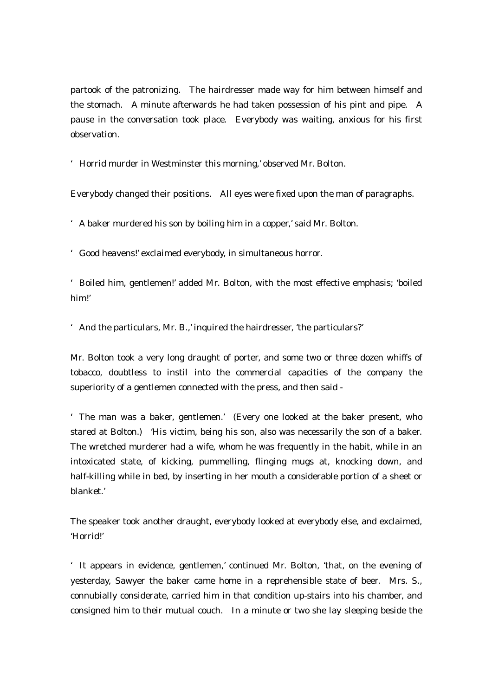partook of the patronizing. The hairdresser made way for him between himself and the stomach. A minute afterwards he had taken possession of his pint and pipe. A pause in the conversation took place. Everybody was waiting, anxious for his first observation.

'Horrid murder in Westminster this morning,' observed Mr. Bolton.

Everybody changed their positions. All eyes were fixed upon the man of paragraphs.

'A baker murdered his son by boiling him in a copper,' said Mr. Bolton.

'Good heavens!' exclaimed everybody, in simultaneous horror.

'Boiled him, gentlemen!' added Mr. Bolton, with the most effective emphasis; 'boiled him!'

'And the particulars, Mr. B.,' inquired the hairdresser, 'the particulars?'

Mr. Bolton took a very long draught of porter, and some two or three dozen whiffs of tobacco, doubtless to instil into the commercial capacities of the company the superiority of a gentlemen connected with the press, and then said -

'The man was a baker, gentlemen.' (Every one looked at the baker present, who stared at Bolton.) 'His victim, being his son, also was necessarily the son of a baker. The wretched murderer had a wife, whom he was frequently in the habit, while in an intoxicated state, of kicking, pummelling, flinging mugs at, knocking down, and half-killing while in bed, by inserting in her mouth a considerable portion of a sheet or blanket.'

The speaker took another draught, everybody looked at everybody else, and exclaimed, 'Horrid!'

'It appears in evidence, gentlemen,' continued Mr. Bolton, 'that, on the evening of yesterday, Sawyer the baker came home in a reprehensible state of beer. Mrs. S., connubially considerate, carried him in that condition up-stairs into his chamber, and consigned him to their mutual couch. In a minute or two she lay sleeping beside the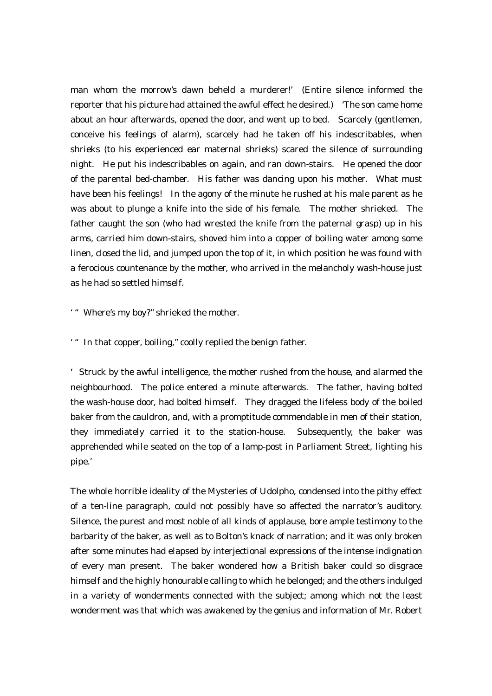man whom the morrow's dawn beheld a murderer!' (Entire silence informed the reporter that his picture had attained the awful effect he desired.) 'The son came home about an hour afterwards, opened the door, and went up to bed. Scarcely (gentlemen, conceive his feelings of alarm), scarcely had he taken off his indescribables, when shrieks (to his experienced ear maternal shrieks) scared the silence of surrounding night. He put his indescribables on again, and ran down-stairs. He opened the door of the parental bed-chamber. His father was dancing upon his mother. What must have been his feelings! In the agony of the minute he rushed at his male parent as he was about to plunge a knife into the side of his female. The mother shrieked. The father caught the son (who had wrested the knife from the paternal grasp) up in his arms, carried him down-stairs, shoved him into a copper of boiling water among some linen, closed the lid, and jumped upon the top of it, in which position he was found with a ferocious countenance by the mother, who arrived in the melancholy wash-house just as he had so settled himself.

'"Where's my boy?" shrieked the mother.

'"In that copper, boiling," coolly replied the benign father.

'Struck by the awful intelligence, the mother rushed from the house, and alarmed the neighbourhood. The police entered a minute afterwards. The father, having bolted the wash-house door, had bolted himself. They dragged the lifeless body of the boiled baker from the cauldron, and, with a promptitude commendable in men of their station, they immediately carried it to the station-house. Subsequently, the baker was apprehended while seated on the top of a lamp-post in Parliament Street, lighting his pipe.'

The whole horrible ideality of the Mysteries of Udolpho, condensed into the pithy effect of a ten-line paragraph, could not possibly have so affected the narrator's auditory. Silence, the purest and most noble of all kinds of applause, bore ample testimony to the barbarity of the baker, as well as to Bolton's knack of narration; and it was only broken after some minutes had elapsed by interjectional expressions of the intense indignation of every man present. The baker wondered how a British baker could so disgrace himself and the highly honourable calling to which he belonged; and the others indulged in a variety of wonderments connected with the subject; among which not the least wonderment was that which was awakened by the genius and information of Mr. Robert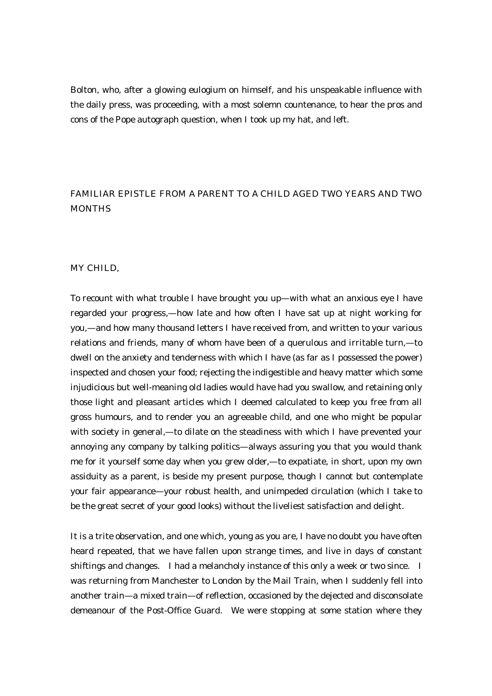Bolton, who, after a glowing eulogium on himself, and his unspeakable influence with the daily press, was proceeding, with a most solemn countenance, to hear the pros and cons of the Pope autograph question, when I took up my hat, and left.

## FAMILIAR EPISTLE FROM A PARENT TO A CHILD AGED TWO YEARS AND TWO MONTHS

## MY CHILD,

To recount with what trouble I have brought you up—with what an anxious eye I have regarded your progress,—how late and how often I have sat up at night working for you,—and how many thousand letters I have received from, and written to your various relations and friends, many of whom have been of a querulous and irritable turn,—to dwell on the anxiety and tenderness with which I have (as far as I possessed the power) inspected and chosen your food; rejecting the indigestible and heavy matter which some injudicious but well-meaning old ladies would have had you swallow, and retaining only those light and pleasant articles which I deemed calculated to keep you free from all gross humours, and to render you an agreeable child, and one who might be popular with society in general,—to dilate on the steadiness with which I have prevented your annoying any company by talking politics—always assuring you that you would thank me for it yourself some day when you grew older,—to expatiate, in short, upon my own assiduity as a parent, is beside my present purpose, though I cannot but contemplate your fair appearance—your robust health, and unimpeded circulation (which I take to be the great secret of your good looks) without the liveliest satisfaction and delight.

It is a trite observation, and one which, young as you are, I have no doubt you have often heard repeated, that we have fallen upon strange times, and live in days of constant shiftings and changes. I had a melancholy instance of this only a week or two since. I was returning from Manchester to London by the Mail Train, when I suddenly fell into another train—a mixed train—of reflection, occasioned by the dejected and disconsolate demeanour of the Post-Office Guard. We were stopping at some station where they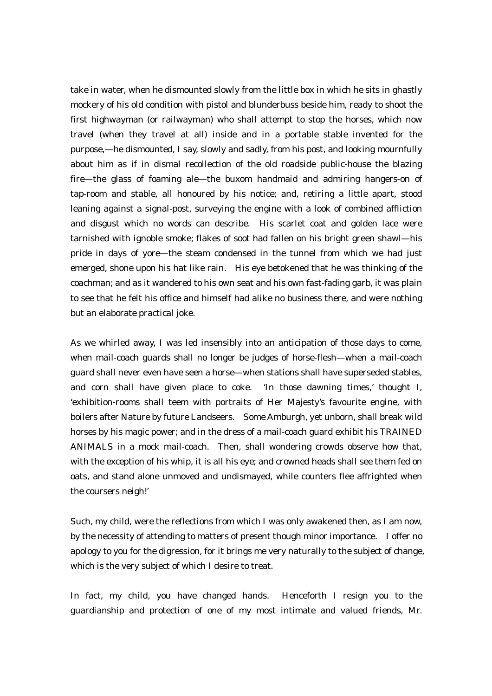take in water, when he dismounted slowly from the little box in which he sits in ghastly mockery of his old condition with pistol and blunderbuss beside him, ready to shoot the first highwayman (or railwayman) who shall attempt to stop the horses, which now travel (when they travel at all) inside and in a portable stable invented for the purpose,—he dismounted, I say, slowly and sadly, from his post, and looking mournfully about him as if in dismal recollection of the old roadside public-house the blazing fire—the glass of foaming ale—the buxom handmaid and admiring hangers-on of tap-room and stable, all honoured by his notice; and, retiring a little apart, stood leaning against a signal-post, surveying the engine with a look of combined affliction and disgust which no words can describe. His scarlet coat and golden lace were tarnished with ignoble smoke; flakes of soot had fallen on his bright green shawl—his pride in days of yore—the steam condensed in the tunnel from which we had just emerged, shone upon his hat like rain. His eye betokened that he was thinking of the coachman; and as it wandered to his own seat and his own fast-fading garb, it was plain to see that he felt his office and himself had alike no business there, and were nothing but an elaborate practical joke.

As we whirled away, I was led insensibly into an anticipation of those days to come, when mail-coach guards shall no longer be judges of horse-flesh—when a mail-coach guard shall never even have seen a horse—when stations shall have superseded stables, and corn shall have given place to coke. 'In those dawning times,' thought I, 'exhibition-rooms shall teem with portraits of Her Majesty's favourite engine, with boilers after Nature by future Landseers. Some Amburgh, yet unborn, shall break wild horses by his magic power; and in the dress of a mail-coach guard exhibit his TRAINED ANIMALS in a mock mail-coach. Then, shall wondering crowds observe how that, with the exception of his whip, it is all his eye; and crowned heads shall see them fed on oats, and stand alone unmoved and undismayed, while counters flee affrighted when the coursers neigh!'

Such, my child, were the reflections from which I was only awakened then, as I am now, by the necessity of attending to matters of present though minor importance. I offer no apology to you for the digression, for it brings me very naturally to the subject of change, which is the very subject of which I desire to treat.

In fact, my child, you have changed hands. Henceforth I resign you to the guardianship and protection of one of my most intimate and valued friends, Mr.